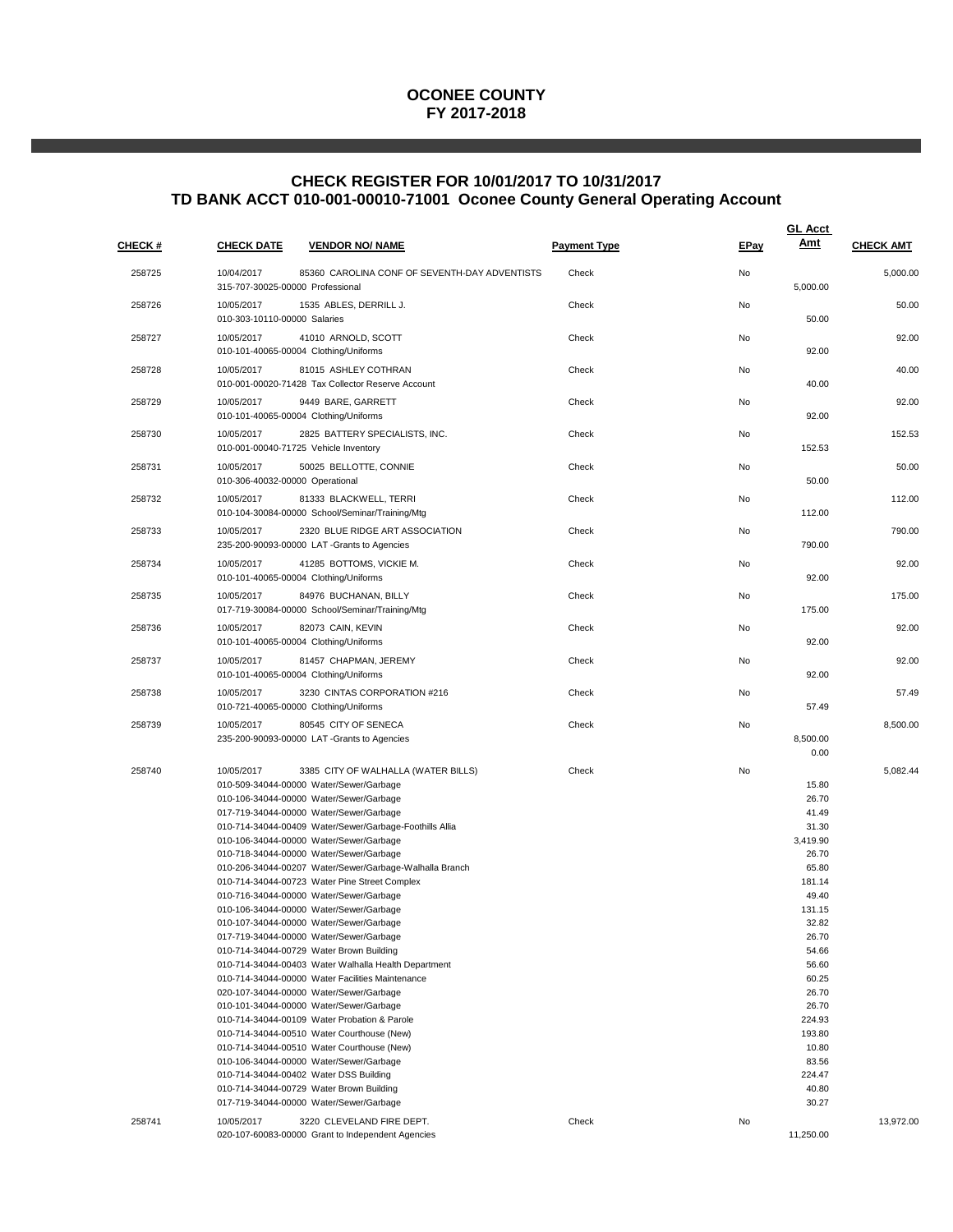### **OCONEE COUNTY FY 2017-2018**

# **CHECK REGISTER FOR 10/01/2017 TO 10/31/2017 TD BANK ACCT 010-001-00010-71001 Oconee County General Operating Account**

| <b>CHECK #</b> | <b>CHECK DATE</b><br><b>VENDOR NO/ NAME</b>                                                                                                                                                                                                                                                                                                                                                                                                                                                                                                                                                                                                                                                                                                                                                                                                                                                                                                                                                                                                                                                                                                                                                       | <b>Payment Type</b> | <b>EPay</b> | <b>GL Acct</b><br>Amt                                                                                                                                                                                                        | <b>CHECK AMT</b> |
|----------------|---------------------------------------------------------------------------------------------------------------------------------------------------------------------------------------------------------------------------------------------------------------------------------------------------------------------------------------------------------------------------------------------------------------------------------------------------------------------------------------------------------------------------------------------------------------------------------------------------------------------------------------------------------------------------------------------------------------------------------------------------------------------------------------------------------------------------------------------------------------------------------------------------------------------------------------------------------------------------------------------------------------------------------------------------------------------------------------------------------------------------------------------------------------------------------------------------|---------------------|-------------|------------------------------------------------------------------------------------------------------------------------------------------------------------------------------------------------------------------------------|------------------|
| 258725         | 10/04/2017<br>85360 CAROLINA CONF OF SEVENTH-DAY ADVENTISTS<br>315-707-30025-00000 Professional                                                                                                                                                                                                                                                                                                                                                                                                                                                                                                                                                                                                                                                                                                                                                                                                                                                                                                                                                                                                                                                                                                   | Check               | No          | 5,000.00                                                                                                                                                                                                                     | 5,000.00         |
| 258726         | 1535 ABLES, DERRILL J.<br>10/05/2017<br>010-303-10110-00000 Salaries                                                                                                                                                                                                                                                                                                                                                                                                                                                                                                                                                                                                                                                                                                                                                                                                                                                                                                                                                                                                                                                                                                                              | Check               | No          | 50.00                                                                                                                                                                                                                        | 50.00            |
| 258727         | 10/05/2017<br>41010 ARNOLD, SCOTT<br>010-101-40065-00004 Clothing/Uniforms                                                                                                                                                                                                                                                                                                                                                                                                                                                                                                                                                                                                                                                                                                                                                                                                                                                                                                                                                                                                                                                                                                                        | Check               | No          | 92.00                                                                                                                                                                                                                        | 92.00            |
| 258728         | 10/05/2017<br>81015 ASHLEY COTHRAN<br>010-001-00020-71428 Tax Collector Reserve Account                                                                                                                                                                                                                                                                                                                                                                                                                                                                                                                                                                                                                                                                                                                                                                                                                                                                                                                                                                                                                                                                                                           | Check               | No          | 40.00                                                                                                                                                                                                                        | 40.00            |
| 258729         | 10/05/2017<br>9449 BARE, GARRETT<br>010-101-40065-00004 Clothing/Uniforms                                                                                                                                                                                                                                                                                                                                                                                                                                                                                                                                                                                                                                                                                                                                                                                                                                                                                                                                                                                                                                                                                                                         | Check               | No          | 92.00                                                                                                                                                                                                                        | 92.00            |
| 258730         | 2825 BATTERY SPECIALISTS, INC.<br>10/05/2017<br>010-001-00040-71725 Vehicle Inventory                                                                                                                                                                                                                                                                                                                                                                                                                                                                                                                                                                                                                                                                                                                                                                                                                                                                                                                                                                                                                                                                                                             | Check               | No          | 152.53                                                                                                                                                                                                                       | 152.53           |
| 258731         | 10/05/2017<br>50025 BELLOTTE, CONNIE<br>010-306-40032-00000 Operational                                                                                                                                                                                                                                                                                                                                                                                                                                                                                                                                                                                                                                                                                                                                                                                                                                                                                                                                                                                                                                                                                                                           | Check               | No          | 50.00                                                                                                                                                                                                                        | 50.00            |
| 258732         | 10/05/2017<br>81333 BLACKWELL, TERRI<br>010-104-30084-00000 School/Seminar/Training/Mtg                                                                                                                                                                                                                                                                                                                                                                                                                                                                                                                                                                                                                                                                                                                                                                                                                                                                                                                                                                                                                                                                                                           | Check               | No          | 112.00                                                                                                                                                                                                                       | 112.00           |
| 258733         | 10/05/2017<br>2320 BLUE RIDGE ART ASSOCIATION<br>235-200-90093-00000 LAT-Grants to Agencies                                                                                                                                                                                                                                                                                                                                                                                                                                                                                                                                                                                                                                                                                                                                                                                                                                                                                                                                                                                                                                                                                                       | Check               | No          | 790.00                                                                                                                                                                                                                       | 790.00           |
| 258734         | 10/05/2017<br>41285 BOTTOMS, VICKIE M.<br>010-101-40065-00004 Clothing/Uniforms                                                                                                                                                                                                                                                                                                                                                                                                                                                                                                                                                                                                                                                                                                                                                                                                                                                                                                                                                                                                                                                                                                                   | Check               | No          | 92.00                                                                                                                                                                                                                        | 92.00            |
| 258735         | 10/05/2017<br>84976 BUCHANAN, BILLY<br>017-719-30084-00000 School/Seminar/Training/Mtg                                                                                                                                                                                                                                                                                                                                                                                                                                                                                                                                                                                                                                                                                                                                                                                                                                                                                                                                                                                                                                                                                                            | Check               | No          | 175.00                                                                                                                                                                                                                       | 175.00           |
| 258736         | 10/05/2017<br>82073 CAIN, KEVIN<br>010-101-40065-00004 Clothing/Uniforms                                                                                                                                                                                                                                                                                                                                                                                                                                                                                                                                                                                                                                                                                                                                                                                                                                                                                                                                                                                                                                                                                                                          | Check               | No          | 92.00                                                                                                                                                                                                                        | 92.00            |
| 258737         | 10/05/2017<br>81457 CHAPMAN, JEREMY<br>010-101-40065-00004 Clothing/Uniforms                                                                                                                                                                                                                                                                                                                                                                                                                                                                                                                                                                                                                                                                                                                                                                                                                                                                                                                                                                                                                                                                                                                      | Check               | No          | 92.00                                                                                                                                                                                                                        | 92.00            |
| 258738         | 3230 CINTAS CORPORATION #216<br>10/05/2017<br>010-721-40065-00000 Clothing/Uniforms                                                                                                                                                                                                                                                                                                                                                                                                                                                                                                                                                                                                                                                                                                                                                                                                                                                                                                                                                                                                                                                                                                               | Check               | No          | 57.49                                                                                                                                                                                                                        | 57.49            |
| 258739         | 10/05/2017<br>80545 CITY OF SENECA<br>235-200-90093-00000 LAT-Grants to Agencies                                                                                                                                                                                                                                                                                                                                                                                                                                                                                                                                                                                                                                                                                                                                                                                                                                                                                                                                                                                                                                                                                                                  | Check               | No          | 8,500.00<br>0.00                                                                                                                                                                                                             | 8,500.00         |
| 258740         | 10/05/2017<br>3385 CITY OF WALHALLA (WATER BILLS)<br>010-509-34044-00000 Water/Sewer/Garbage<br>010-106-34044-00000 Water/Sewer/Garbage<br>017-719-34044-00000 Water/Sewer/Garbage<br>010-714-34044-00409 Water/Sewer/Garbage-Foothills Allia<br>010-106-34044-00000 Water/Sewer/Garbage<br>010-718-34044-00000 Water/Sewer/Garbage<br>010-206-34044-00207 Water/Sewer/Garbage-Walhalla Branch<br>010-714-34044-00723 Water Pine Street Complex<br>010-716-34044-00000 Water/Sewer/Garbage<br>010-106-34044-00000 Water/Sewer/Garbage<br>010-107-34044-00000 Water/Sewer/Garbage<br>017-719-34044-00000 Water/Sewer/Garbage<br>010-714-34044-00729 Water Brown Building<br>010-714-34044-00403 Water Walhalla Health Department<br>010-714-34044-00000 Water Facilities Maintenance<br>020-107-34044-00000 Water/Sewer/Garbage<br>010-101-34044-00000 Water/Sewer/Garbage<br>010-714-34044-00109 Water Probation & Parole<br>010-714-34044-00510 Water Courthouse (New)<br>010-714-34044-00510 Water Courthouse (New)<br>010-106-34044-00000 Water/Sewer/Garbage<br>010-714-34044-00402 Water DSS Building<br>010-714-34044-00729 Water Brown Building<br>017-719-34044-00000 Water/Sewer/Garbage | Check               | No          | 15.80<br>26.70<br>41.49<br>31.30<br>3,419.90<br>26.70<br>65.80<br>181.14<br>49.40<br>131.15<br>32.82<br>26.70<br>54.66<br>56.60<br>60.25<br>26.70<br>26.70<br>224.93<br>193.80<br>10.80<br>83.56<br>224.47<br>40.80<br>30.27 | 5,082.44         |
| 258741         | 3220 CLEVELAND FIRE DEPT.<br>10/05/2017<br>020-107-60083-00000 Grant to Independent Agencies                                                                                                                                                                                                                                                                                                                                                                                                                                                                                                                                                                                                                                                                                                                                                                                                                                                                                                                                                                                                                                                                                                      | Check               | No          | 11,250.00                                                                                                                                                                                                                    | 13,972.00        |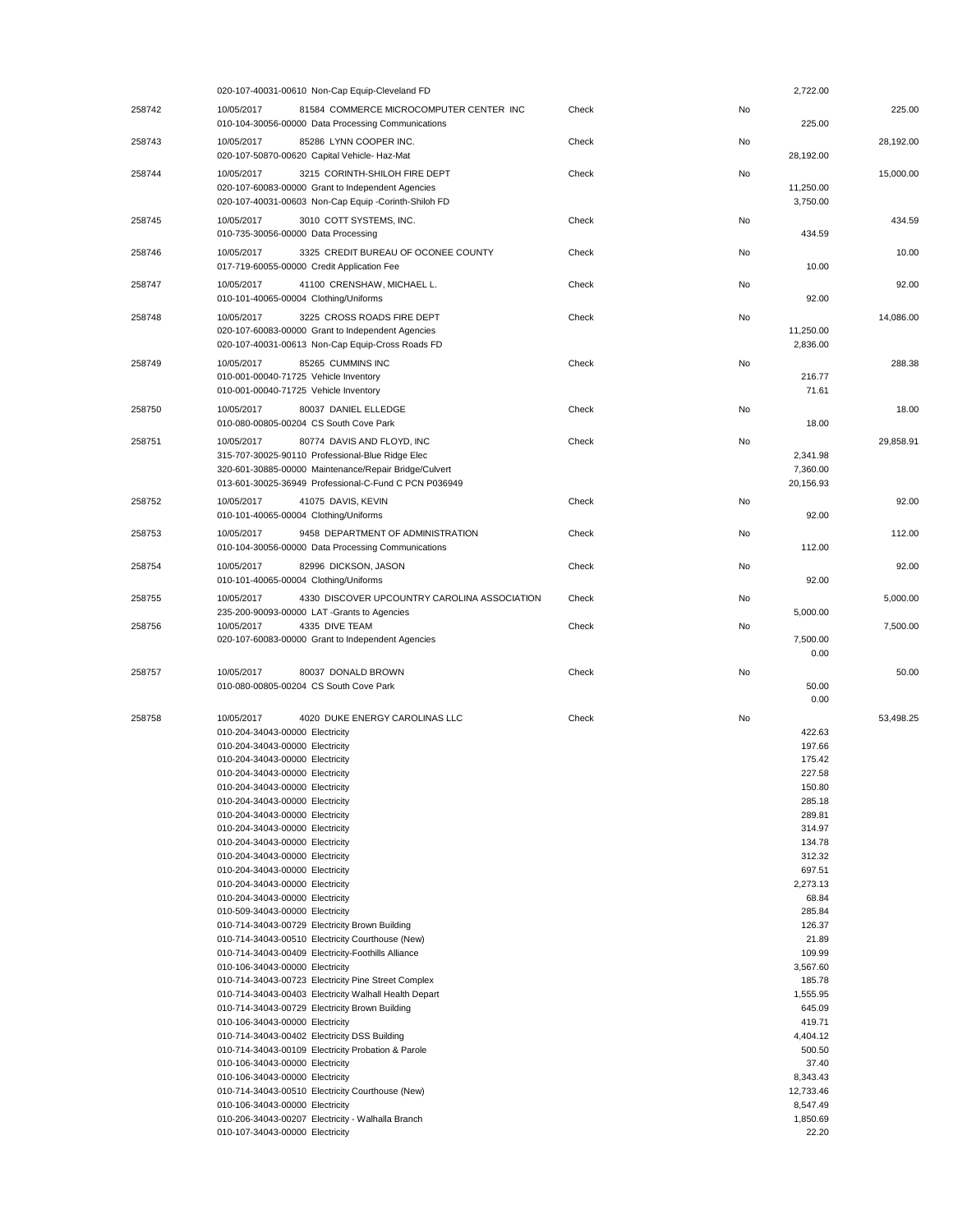|        | 020-107-40031-00610 Non-Cap Equip-Cleveland FD                                                                                                                                                                                                                                                                                                                                                                                                                                                                                                                                                                                                                                                                                                                                                                                                                                                                                                                                                                                                                                                                                                                                                                                                                                                                        |       | 2,722.00                                                                                                                                                                                                                                                                                                                    |           |
|--------|-----------------------------------------------------------------------------------------------------------------------------------------------------------------------------------------------------------------------------------------------------------------------------------------------------------------------------------------------------------------------------------------------------------------------------------------------------------------------------------------------------------------------------------------------------------------------------------------------------------------------------------------------------------------------------------------------------------------------------------------------------------------------------------------------------------------------------------------------------------------------------------------------------------------------------------------------------------------------------------------------------------------------------------------------------------------------------------------------------------------------------------------------------------------------------------------------------------------------------------------------------------------------------------------------------------------------|-------|-----------------------------------------------------------------------------------------------------------------------------------------------------------------------------------------------------------------------------------------------------------------------------------------------------------------------------|-----------|
| 258742 | 10/05/2017<br>81584 COMMERCE MICROCOMPUTER CENTER INC<br>010-104-30056-00000 Data Processing Communications                                                                                                                                                                                                                                                                                                                                                                                                                                                                                                                                                                                                                                                                                                                                                                                                                                                                                                                                                                                                                                                                                                                                                                                                           | Check | No<br>225.00                                                                                                                                                                                                                                                                                                                | 225.00    |
| 258743 | 85286 LYNN COOPER INC.<br>10/05/2017<br>020-107-50870-00620 Capital Vehicle- Haz-Mat                                                                                                                                                                                                                                                                                                                                                                                                                                                                                                                                                                                                                                                                                                                                                                                                                                                                                                                                                                                                                                                                                                                                                                                                                                  | Check | No<br>28,192.00                                                                                                                                                                                                                                                                                                             | 28,192.00 |
| 258744 | 3215 CORINTH-SHILOH FIRE DEPT<br>10/05/2017<br>020-107-60083-00000 Grant to Independent Agencies<br>020-107-40031-00603 Non-Cap Equip -Corinth-Shiloh FD                                                                                                                                                                                                                                                                                                                                                                                                                                                                                                                                                                                                                                                                                                                                                                                                                                                                                                                                                                                                                                                                                                                                                              | Check | No<br>11,250.00<br>3,750.00                                                                                                                                                                                                                                                                                                 | 15,000.00 |
| 258745 | 10/05/2017<br>3010 COTT SYSTEMS, INC.<br>010-735-30056-00000 Data Processing                                                                                                                                                                                                                                                                                                                                                                                                                                                                                                                                                                                                                                                                                                                                                                                                                                                                                                                                                                                                                                                                                                                                                                                                                                          | Check | No<br>434.59                                                                                                                                                                                                                                                                                                                | 434.59    |
| 258746 | 10/05/2017<br>3325 CREDIT BUREAU OF OCONEE COUNTY<br>017-719-60055-00000 Credit Application Fee                                                                                                                                                                                                                                                                                                                                                                                                                                                                                                                                                                                                                                                                                                                                                                                                                                                                                                                                                                                                                                                                                                                                                                                                                       | Check | No<br>10.00                                                                                                                                                                                                                                                                                                                 | 10.00     |
| 258747 | 10/05/2017<br>41100 CRENSHAW, MICHAEL L.<br>010-101-40065-00004 Clothing/Uniforms                                                                                                                                                                                                                                                                                                                                                                                                                                                                                                                                                                                                                                                                                                                                                                                                                                                                                                                                                                                                                                                                                                                                                                                                                                     | Check | No<br>92.00                                                                                                                                                                                                                                                                                                                 | 92.00     |
| 258748 | 10/05/2017<br>3225 CROSS ROADS FIRE DEPT<br>020-107-60083-00000 Grant to Independent Agencies<br>020-107-40031-00613 Non-Cap Equip-Cross Roads FD                                                                                                                                                                                                                                                                                                                                                                                                                                                                                                                                                                                                                                                                                                                                                                                                                                                                                                                                                                                                                                                                                                                                                                     | Check | No<br>11,250.00<br>2,836.00                                                                                                                                                                                                                                                                                                 | 14,086.00 |
| 258749 | 85265 CUMMINS INC<br>10/05/2017<br>010-001-00040-71725 Vehicle Inventory<br>010-001-00040-71725 Vehicle Inventory                                                                                                                                                                                                                                                                                                                                                                                                                                                                                                                                                                                                                                                                                                                                                                                                                                                                                                                                                                                                                                                                                                                                                                                                     | Check | No<br>216.77<br>71.61                                                                                                                                                                                                                                                                                                       | 288.38    |
| 258750 | 10/05/2017<br>80037 DANIEL ELLEDGE<br>010-080-00805-00204 CS South Cove Park                                                                                                                                                                                                                                                                                                                                                                                                                                                                                                                                                                                                                                                                                                                                                                                                                                                                                                                                                                                                                                                                                                                                                                                                                                          | Check | No<br>18.00                                                                                                                                                                                                                                                                                                                 | 18.00     |
| 258751 | 10/05/2017<br>80774 DAVIS AND FLOYD, INC<br>315-707-30025-90110 Professional-Blue Ridge Elec<br>320-601-30885-00000 Maintenance/Repair Bridge/Culvert<br>013-601-30025-36949 Professional-C-Fund C PCN P036949                                                                                                                                                                                                                                                                                                                                                                                                                                                                                                                                                                                                                                                                                                                                                                                                                                                                                                                                                                                                                                                                                                        | Check | No<br>2.341.98<br>7,360.00<br>20,156.93                                                                                                                                                                                                                                                                                     | 29,858.91 |
| 258752 | 10/05/2017<br>41075 DAVIS, KEVIN<br>010-101-40065-00004 Clothing/Uniforms                                                                                                                                                                                                                                                                                                                                                                                                                                                                                                                                                                                                                                                                                                                                                                                                                                                                                                                                                                                                                                                                                                                                                                                                                                             | Check | No<br>92.00                                                                                                                                                                                                                                                                                                                 | 92.00     |
| 258753 | 9458 DEPARTMENT OF ADMINISTRATION<br>10/05/2017<br>010-104-30056-00000 Data Processing Communications                                                                                                                                                                                                                                                                                                                                                                                                                                                                                                                                                                                                                                                                                                                                                                                                                                                                                                                                                                                                                                                                                                                                                                                                                 | Check | No<br>112.00                                                                                                                                                                                                                                                                                                                | 112.00    |
| 258754 | 10/05/2017<br>82996 DICKSON, JASON<br>010-101-40065-00004 Clothing/Uniforms                                                                                                                                                                                                                                                                                                                                                                                                                                                                                                                                                                                                                                                                                                                                                                                                                                                                                                                                                                                                                                                                                                                                                                                                                                           | Check | No<br>92.00                                                                                                                                                                                                                                                                                                                 | 92.00     |
| 258755 | 10/05/2017<br>4330 DISCOVER UPCOUNTRY CAROLINA ASSOCIATION<br>235-200-90093-00000 LAT-Grants to Agencies                                                                                                                                                                                                                                                                                                                                                                                                                                                                                                                                                                                                                                                                                                                                                                                                                                                                                                                                                                                                                                                                                                                                                                                                              | Check | No<br>5,000.00                                                                                                                                                                                                                                                                                                              | 5,000.00  |
| 258756 | 10/05/2017<br>4335 DIVE TEAM<br>020-107-60083-00000 Grant to Independent Agencies                                                                                                                                                                                                                                                                                                                                                                                                                                                                                                                                                                                                                                                                                                                                                                                                                                                                                                                                                                                                                                                                                                                                                                                                                                     | Check | No<br>7,500.00<br>0.00                                                                                                                                                                                                                                                                                                      | 7,500.00  |
| 258757 | 10/05/2017<br>80037 DONALD BROWN<br>010-080-00805-00204 CS South Cove Park                                                                                                                                                                                                                                                                                                                                                                                                                                                                                                                                                                                                                                                                                                                                                                                                                                                                                                                                                                                                                                                                                                                                                                                                                                            | Check | No<br>50.00<br>0.00                                                                                                                                                                                                                                                                                                         | 50.00     |
| 258758 | 10/05/2017<br>4020 DUKE ENERGY CAROLINAS LLC<br>010-204-34043-00000 Electricity<br>010-204-34043-00000 Electricity<br>010-204-34043-00000 Electricity<br>010-204-34043-00000 Electricity<br>010-204-34043-00000 Electricity<br>010-204-34043-00000 Electricity<br>010-204-34043-00000 Electricity<br>010-204-34043-00000 Electricity<br>010-204-34043-00000 Electricity<br>010-204-34043-00000 Electricity<br>010-204-34043-00000 Electricity<br>010-204-34043-00000 Electricity<br>010-204-34043-00000 Electricity<br>010-509-34043-00000 Electricity<br>010-714-34043-00729 Electricity Brown Building<br>010-714-34043-00510 Electricity Courthouse (New)<br>010-714-34043-00409 Electricity-Foothills Alliance<br>010-106-34043-00000 Electricity<br>010-714-34043-00723 Electricity Pine Street Complex<br>010-714-34043-00403 Electricity Walhall Health Depart<br>010-714-34043-00729 Electricity Brown Building<br>010-106-34043-00000 Electricity<br>010-714-34043-00402 Electricity DSS Building<br>010-714-34043-00109 Electricity Probation & Parole<br>010-106-34043-00000 Electricity<br>010-106-34043-00000 Electricity<br>010-714-34043-00510 Electricity Courthouse (New)<br>010-106-34043-00000 Electricity<br>010-206-34043-00207 Electricity - Walhalla Branch<br>010-107-34043-00000 Electricity | Check | No<br>422.63<br>197.66<br>175.42<br>227.58<br>150.80<br>285.18<br>289.81<br>314.97<br>134.78<br>312.32<br>697.51<br>2,273.13<br>68.84<br>285.84<br>126.37<br>21.89<br>109.99<br>3,567.60<br>185.78<br>1,555.95<br>645.09<br>419.71<br>4,404.12<br>500.50<br>37.40<br>8,343.43<br>12,733.46<br>8,547.49<br>1,850.69<br>22.20 | 53,498.25 |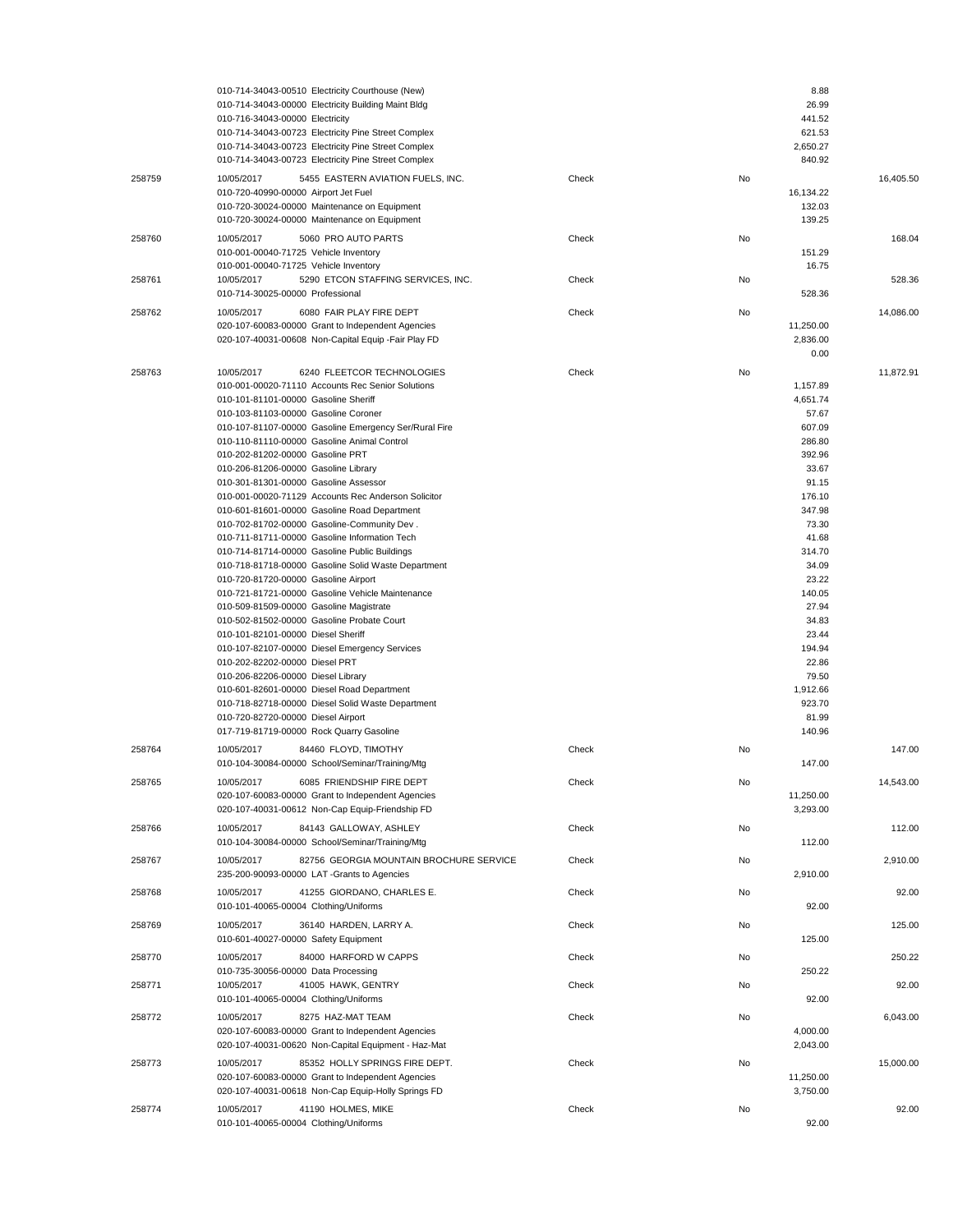|        | 010-714-34043-00510 Electricity Courthouse (New)<br>010-714-34043-00000 Electricity Building Maint Bldg<br>010-716-34043-00000 Electricity<br>010-714-34043-00723 Electricity Pine Street Complex<br>010-714-34043-00723 Electricity Pine Street Complex<br>010-714-34043-00723 Electricity Pine Street Complex                                                                                                                                                                                                                                                                                                                                                                                                                                                                                                                                                                                                                                                                                                                                                                                                                                                                                                                                                    |       | 8.88<br>26.99<br>441.52<br>621.53<br>2,650.27<br>840.92                                                                                                                                                                                                         |           |
|--------|--------------------------------------------------------------------------------------------------------------------------------------------------------------------------------------------------------------------------------------------------------------------------------------------------------------------------------------------------------------------------------------------------------------------------------------------------------------------------------------------------------------------------------------------------------------------------------------------------------------------------------------------------------------------------------------------------------------------------------------------------------------------------------------------------------------------------------------------------------------------------------------------------------------------------------------------------------------------------------------------------------------------------------------------------------------------------------------------------------------------------------------------------------------------------------------------------------------------------------------------------------------------|-------|-----------------------------------------------------------------------------------------------------------------------------------------------------------------------------------------------------------------------------------------------------------------|-----------|
| 258759 | 5455 EASTERN AVIATION FUELS, INC.<br>10/05/2017<br>010-720-40990-00000 Airport Jet Fuel<br>010-720-30024-00000 Maintenance on Equipment<br>010-720-30024-00000 Maintenance on Equipment                                                                                                                                                                                                                                                                                                                                                                                                                                                                                                                                                                                                                                                                                                                                                                                                                                                                                                                                                                                                                                                                            | Check | No<br>16,134.22<br>132.03<br>139.25                                                                                                                                                                                                                             | 16,405.50 |
| 258760 | 10/05/2017<br>5060 PRO AUTO PARTS<br>010-001-00040-71725 Vehicle Inventory                                                                                                                                                                                                                                                                                                                                                                                                                                                                                                                                                                                                                                                                                                                                                                                                                                                                                                                                                                                                                                                                                                                                                                                         | Check | No<br>151.29                                                                                                                                                                                                                                                    | 168.04    |
| 258761 | 010-001-00040-71725 Vehicle Inventory<br>10/05/2017<br>5290 ETCON STAFFING SERVICES, INC.<br>010-714-30025-00000 Professional                                                                                                                                                                                                                                                                                                                                                                                                                                                                                                                                                                                                                                                                                                                                                                                                                                                                                                                                                                                                                                                                                                                                      | Check | 16.75<br>No<br>528.36                                                                                                                                                                                                                                           | 528.36    |
| 258762 | 10/05/2017<br>6080 FAIR PLAY FIRE DEPT<br>020-107-60083-00000 Grant to Independent Agencies<br>020-107-40031-00608 Non-Capital Equip - Fair Play FD                                                                                                                                                                                                                                                                                                                                                                                                                                                                                                                                                                                                                                                                                                                                                                                                                                                                                                                                                                                                                                                                                                                | Check | No<br>11,250.00<br>2,836.00<br>0.00                                                                                                                                                                                                                             | 14,086.00 |
| 258763 | 6240 FLEETCOR TECHNOLOGIES<br>10/05/2017<br>010-001-00020-71110 Accounts Rec Senior Solutions<br>010-101-81101-00000 Gasoline Sheriff<br>010-103-81103-00000 Gasoline Coroner<br>010-107-81107-00000 Gasoline Emergency Ser/Rural Fire<br>010-110-81110-00000 Gasoline Animal Control<br>010-202-81202-00000 Gasoline PRT<br>010-206-81206-00000 Gasoline Library<br>010-301-81301-00000 Gasoline Assessor<br>010-001-00020-71129 Accounts Rec Anderson Solicitor<br>010-601-81601-00000 Gasoline Road Department<br>010-702-81702-00000 Gasoline-Community Dev.<br>010-711-81711-00000 Gasoline Information Tech<br>010-714-81714-00000 Gasoline Public Buildings<br>010-718-81718-00000 Gasoline Solid Waste Department<br>010-720-81720-00000 Gasoline Airport<br>010-721-81721-00000 Gasoline Vehicle Maintenance<br>010-509-81509-00000 Gasoline Magistrate<br>010-502-81502-00000 Gasoline Probate Court<br>010-101-82101-00000 Diesel Sheriff<br>010-107-82107-00000 Diesel Emergency Services<br>010-202-82202-00000 Diesel PRT<br>010-206-82206-00000 Diesel Library<br>010-601-82601-00000 Diesel Road Department<br>010-718-82718-00000 Diesel Solid Waste Department<br>010-720-82720-00000 Diesel Airport<br>017-719-81719-00000 Rock Quarry Gasoline | Check | No<br>1,157.89<br>4,651.74<br>57.67<br>607.09<br>286.80<br>392.96<br>33.67<br>91.15<br>176.10<br>347.98<br>73.30<br>41.68<br>314.70<br>34.09<br>23.22<br>140.05<br>27.94<br>34.83<br>23.44<br>194.94<br>22.86<br>79.50<br>1,912.66<br>923.70<br>81.99<br>140.96 | 11,872.91 |
| 258764 | 10/05/2017<br>84460 FLOYD, TIMOTHY<br>010-104-30084-00000 School/Seminar/Training/Mtg                                                                                                                                                                                                                                                                                                                                                                                                                                                                                                                                                                                                                                                                                                                                                                                                                                                                                                                                                                                                                                                                                                                                                                              | Check | No<br>147.00                                                                                                                                                                                                                                                    | 147.00    |
| 258765 | 6085 FRIENDSHIP FIRE DEPT<br>10/05/2017<br>020-107-60083-00000 Grant to Independent Agencies<br>020-107-40031-00612 Non-Cap Equip-Friendship FD                                                                                                                                                                                                                                                                                                                                                                                                                                                                                                                                                                                                                                                                                                                                                                                                                                                                                                                                                                                                                                                                                                                    | Check | No<br>11,250.00<br>3,293.00                                                                                                                                                                                                                                     | 14,543.00 |
| 258766 | 10/05/2017<br>84143 GALLOWAY, ASHLEY<br>010-104-30084-00000 School/Seminar/Training/Mtg                                                                                                                                                                                                                                                                                                                                                                                                                                                                                                                                                                                                                                                                                                                                                                                                                                                                                                                                                                                                                                                                                                                                                                            | Check | No<br>112.00                                                                                                                                                                                                                                                    | 112.00    |
| 258767 | 10/05/2017<br>82756 GEORGIA MOUNTAIN BROCHURE SERVICE<br>235-200-90093-00000 LAT -Grants to Agencies                                                                                                                                                                                                                                                                                                                                                                                                                                                                                                                                                                                                                                                                                                                                                                                                                                                                                                                                                                                                                                                                                                                                                               | Check | No<br>2,910.00                                                                                                                                                                                                                                                  | 2,910.00  |
| 258768 | 41255 GIORDANO, CHARLES E.<br>10/05/2017<br>010-101-40065-00004 Clothing/Uniforms                                                                                                                                                                                                                                                                                                                                                                                                                                                                                                                                                                                                                                                                                                                                                                                                                                                                                                                                                                                                                                                                                                                                                                                  | Check | No<br>92.00                                                                                                                                                                                                                                                     | 92.00     |
| 258769 | 36140 HARDEN, LARRY A.<br>10/05/2017<br>010-601-40027-00000 Safety Equipment                                                                                                                                                                                                                                                                                                                                                                                                                                                                                                                                                                                                                                                                                                                                                                                                                                                                                                                                                                                                                                                                                                                                                                                       | Check | No<br>125.00                                                                                                                                                                                                                                                    | 125.00    |
| 258770 | 10/05/2017<br>84000 HARFORD W CAPPS<br>010-735-30056-00000 Data Processing                                                                                                                                                                                                                                                                                                                                                                                                                                                                                                                                                                                                                                                                                                                                                                                                                                                                                                                                                                                                                                                                                                                                                                                         | Check | No<br>250.22                                                                                                                                                                                                                                                    | 250.22    |
| 258771 | 10/05/2017<br>41005 HAWK, GENTRY<br>010-101-40065-00004 Clothing/Uniforms                                                                                                                                                                                                                                                                                                                                                                                                                                                                                                                                                                                                                                                                                                                                                                                                                                                                                                                                                                                                                                                                                                                                                                                          | Check | No<br>92.00                                                                                                                                                                                                                                                     | 92.00     |
| 258772 | 10/05/2017<br>8275 HAZ-MAT TEAM<br>020-107-60083-00000 Grant to Independent Agencies<br>020-107-40031-00620 Non-Capital Equipment - Haz-Mat                                                                                                                                                                                                                                                                                                                                                                                                                                                                                                                                                                                                                                                                                                                                                                                                                                                                                                                                                                                                                                                                                                                        | Check | No<br>4,000.00<br>2,043.00                                                                                                                                                                                                                                      | 6,043.00  |
| 258773 | 10/05/2017<br>85352 HOLLY SPRINGS FIRE DEPT.<br>020-107-60083-00000 Grant to Independent Agencies<br>020-107-40031-00618 Non-Cap Equip-Holly Springs FD                                                                                                                                                                                                                                                                                                                                                                                                                                                                                                                                                                                                                                                                                                                                                                                                                                                                                                                                                                                                                                                                                                            | Check | No<br>11,250.00<br>3,750.00                                                                                                                                                                                                                                     | 15,000.00 |
| 258774 | 10/05/2017<br>41190 HOLMES, MIKE<br>010-101-40065-00004 Clothing/Uniforms                                                                                                                                                                                                                                                                                                                                                                                                                                                                                                                                                                                                                                                                                                                                                                                                                                                                                                                                                                                                                                                                                                                                                                                          | Check | No<br>92.00                                                                                                                                                                                                                                                     | 92.00     |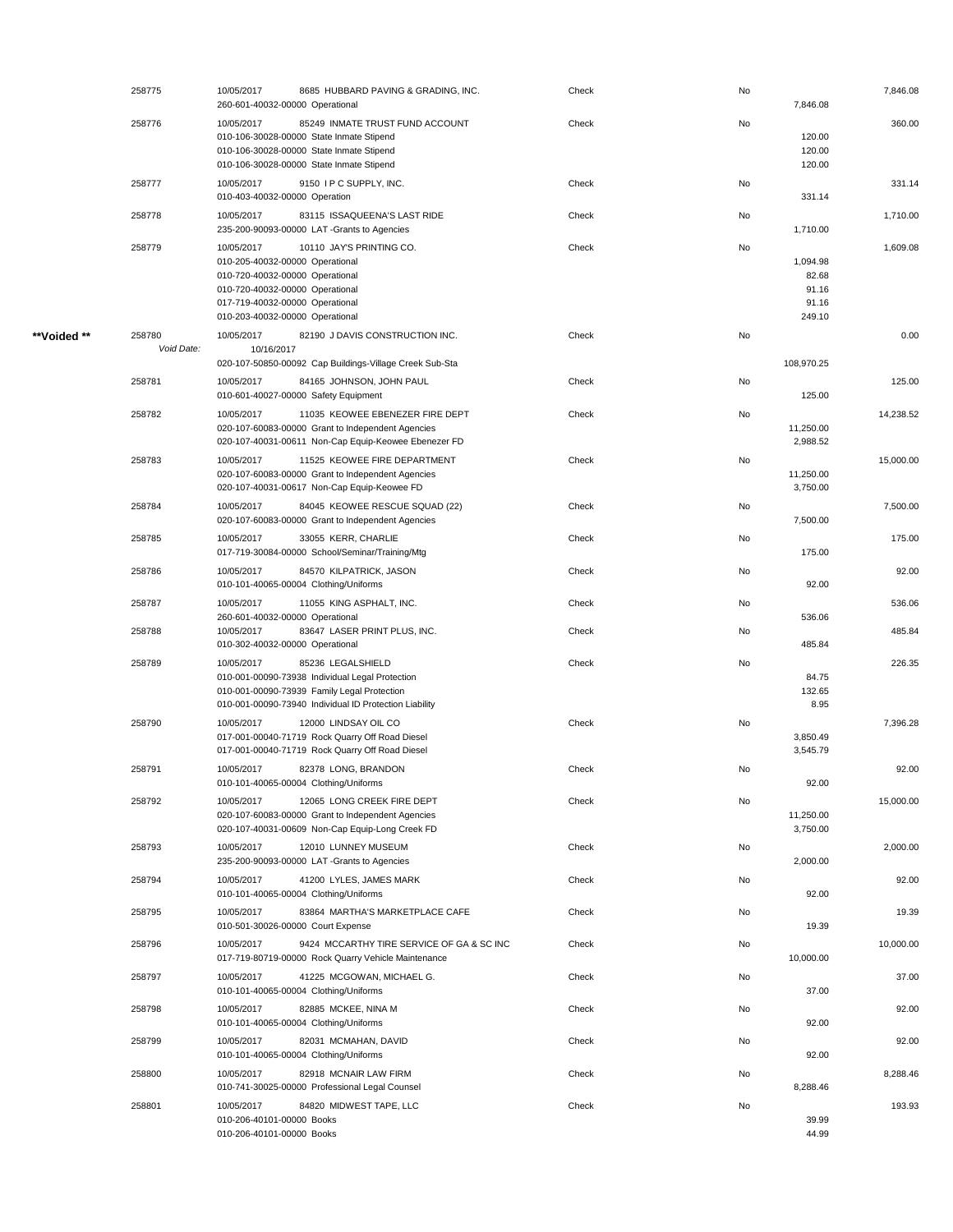|             | 258775               | 10/05/2017<br>260-601-40032-00000 Operational                                                                                                                                             | 8685 HUBBARD PAVING & GRADING, INC.                                                                                                                                           | Check | No | 7,846.08                                      | 7,846.08  |
|-------------|----------------------|-------------------------------------------------------------------------------------------------------------------------------------------------------------------------------------------|-------------------------------------------------------------------------------------------------------------------------------------------------------------------------------|-------|----|-----------------------------------------------|-----------|
|             | 258776               | 10/05/2017                                                                                                                                                                                | 85249 INMATE TRUST FUND ACCOUNT<br>010-106-30028-00000 State Inmate Stipend<br>010-106-30028-00000 State Inmate Stipend<br>010-106-30028-00000 State Inmate Stipend           | Check | No | 120.00<br>120.00<br>120.00                    | 360.00    |
|             | 258777               | 10/05/2017<br>010-403-40032-00000 Operation                                                                                                                                               | 9150 I P C SUPPLY, INC.                                                                                                                                                       | Check | No | 331.14                                        | 331.14    |
|             | 258778               | 10/05/2017                                                                                                                                                                                | 83115 ISSAQUEENA'S LAST RIDE<br>235-200-90093-00000 LAT -Grants to Agencies                                                                                                   | Check | No | 1,710.00                                      | 1,710.00  |
|             | 258779               | 10/05/2017<br>010-205-40032-00000 Operational<br>010-720-40032-00000 Operational<br>010-720-40032-00000 Operational<br>017-719-40032-00000 Operational<br>010-203-40032-00000 Operational | 10110 JAY'S PRINTING CO.                                                                                                                                                      | Check | No | 1,094.98<br>82.68<br>91.16<br>91.16<br>249.10 | 1,609.08  |
| **Voided ** | 258780<br>Void Date: | 10/05/2017<br>10/16/2017                                                                                                                                                                  | 82190 J DAVIS CONSTRUCTION INC.                                                                                                                                               | Check | No |                                               | 0.00      |
|             | 258781               | 10/05/2017                                                                                                                                                                                | 020-107-50850-00092 Cap Buildings-Village Creek Sub-Sta<br>84165 JOHNSON, JOHN PAUL                                                                                           | Check | No | 108,970.25                                    | 125.00    |
|             |                      | 010-601-40027-00000 Safety Equipment                                                                                                                                                      |                                                                                                                                                                               |       |    | 125.00                                        |           |
|             | 258782               | 10/05/2017                                                                                                                                                                                | 11035 KEOWEE EBENEZER FIRE DEPT<br>020-107-60083-00000 Grant to Independent Agencies<br>020-107-40031-00611 Non-Cap Equip-Keowee Ebenezer FD                                  | Check | No | 11,250.00<br>2,988.52                         | 14,238.52 |
|             | 258783               | 10/05/2017                                                                                                                                                                                | 11525 KEOWEE FIRE DEPARTMENT<br>020-107-60083-00000 Grant to Independent Agencies<br>020-107-40031-00617 Non-Cap Equip-Keowee FD                                              | Check | No | 11,250.00<br>3,750.00                         | 15,000.00 |
|             | 258784               | 10/05/2017                                                                                                                                                                                | 84045 KEOWEE RESCUE SQUAD (22)<br>020-107-60083-00000 Grant to Independent Agencies                                                                                           | Check | No | 7,500.00                                      | 7,500.00  |
|             | 258785               | 10/05/2017                                                                                                                                                                                | 33055 KERR, CHARLIE<br>017-719-30084-00000 School/Seminar/Training/Mtg                                                                                                        | Check | No | 175.00                                        | 175.00    |
|             | 258786               | 10/05/2017<br>010-101-40065-00004 Clothing/Uniforms                                                                                                                                       | 84570 KILPATRICK, JASON                                                                                                                                                       | Check | No | 92.00                                         | 92.00     |
|             | 258787               | 10/05/2017                                                                                                                                                                                | 11055 KING ASPHALT, INC.                                                                                                                                                      | Check | No |                                               | 536.06    |
|             | 258788               | 260-601-40032-00000 Operational<br>10/05/2017<br>010-302-40032-00000 Operational                                                                                                          | 83647 LASER PRINT PLUS, INC.                                                                                                                                                  | Check | No | 536.06<br>485.84                              | 485.84    |
|             | 258789               | 10/05/2017                                                                                                                                                                                | 85236 LEGALSHIELD<br>010-001-00090-73938 Individual Legal Protection<br>010-001-00090-73939 Family Legal Protection<br>010-001-00090-73940 Individual ID Protection Liability | Check | No | 84.75<br>132.65<br>8.95                       | 226.35    |
|             | 258790               | 10/05/2017                                                                                                                                                                                | 12000 LINDSAY OIL CO<br>017-001-00040-71719 Rock Quarry Off Road Diesel<br>017-001-00040-71719 Rock Quarry Off Road Diesel                                                    | Check | No | 3,850.49<br>3,545.79                          | 7,396.28  |
|             | 258791               | 10/05/2017<br>010-101-40065-00004 Clothing/Uniforms                                                                                                                                       | 82378 LONG, BRANDON                                                                                                                                                           | Check | No | 92.00                                         | 92.00     |
|             | 258792               | 10/05/2017                                                                                                                                                                                | 12065 LONG CREEK FIRE DEPT<br>020-107-60083-00000 Grant to Independent Agencies<br>020-107-40031-00609 Non-Cap Equip-Long Creek FD                                            | Check | No | 11,250.00<br>3,750.00                         | 15,000.00 |
|             | 258793               | 10/05/2017                                                                                                                                                                                | 12010 LUNNEY MUSEUM<br>235-200-90093-00000 LAT -Grants to Agencies                                                                                                            | Check | No | 2,000.00                                      | 2,000.00  |
|             | 258794               | 10/05/2017<br>010-101-40065-00004 Clothing/Uniforms                                                                                                                                       | 41200 LYLES, JAMES MARK                                                                                                                                                       | Check | No | 92.00                                         | 92.00     |
|             | 258795               | 10/05/2017<br>010-501-30026-00000 Court Expense                                                                                                                                           | 83864 MARTHA'S MARKETPLACE CAFE                                                                                                                                               | Check | No | 19.39                                         | 19.39     |
|             | 258796               | 10/05/2017                                                                                                                                                                                | 9424 MCCARTHY TIRE SERVICE OF GA & SC INC<br>017-719-80719-00000 Rock Quarry Vehicle Maintenance                                                                              | Check | No | 10,000.00                                     | 10,000.00 |
|             | 258797               | 10/05/2017<br>010-101-40065-00004 Clothing/Uniforms                                                                                                                                       | 41225 MCGOWAN, MICHAEL G.                                                                                                                                                     | Check | No | 37.00                                         | 37.00     |
|             | 258798               | 10/05/2017<br>010-101-40065-00004 Clothing/Uniforms                                                                                                                                       | 82885 MCKEE, NINA M                                                                                                                                                           | Check | No | 92.00                                         | 92.00     |
|             | 258799               | 10/05/2017<br>010-101-40065-00004 Clothing/Uniforms                                                                                                                                       | 82031 MCMAHAN, DAVID                                                                                                                                                          | Check | No | 92.00                                         | 92.00     |
|             | 258800               | 10/05/2017                                                                                                                                                                                | 82918 MCNAIR LAW FIRM<br>010-741-30025-00000 Professional Legal Counsel                                                                                                       | Check | No | 8,288.46                                      | 8,288.46  |
|             | 258801               | 10/05/2017<br>010-206-40101-00000 Books<br>010-206-40101-00000 Books                                                                                                                      | 84820 MIDWEST TAPE, LLC                                                                                                                                                       | Check | No | 39.99<br>44.99                                | 193.93    |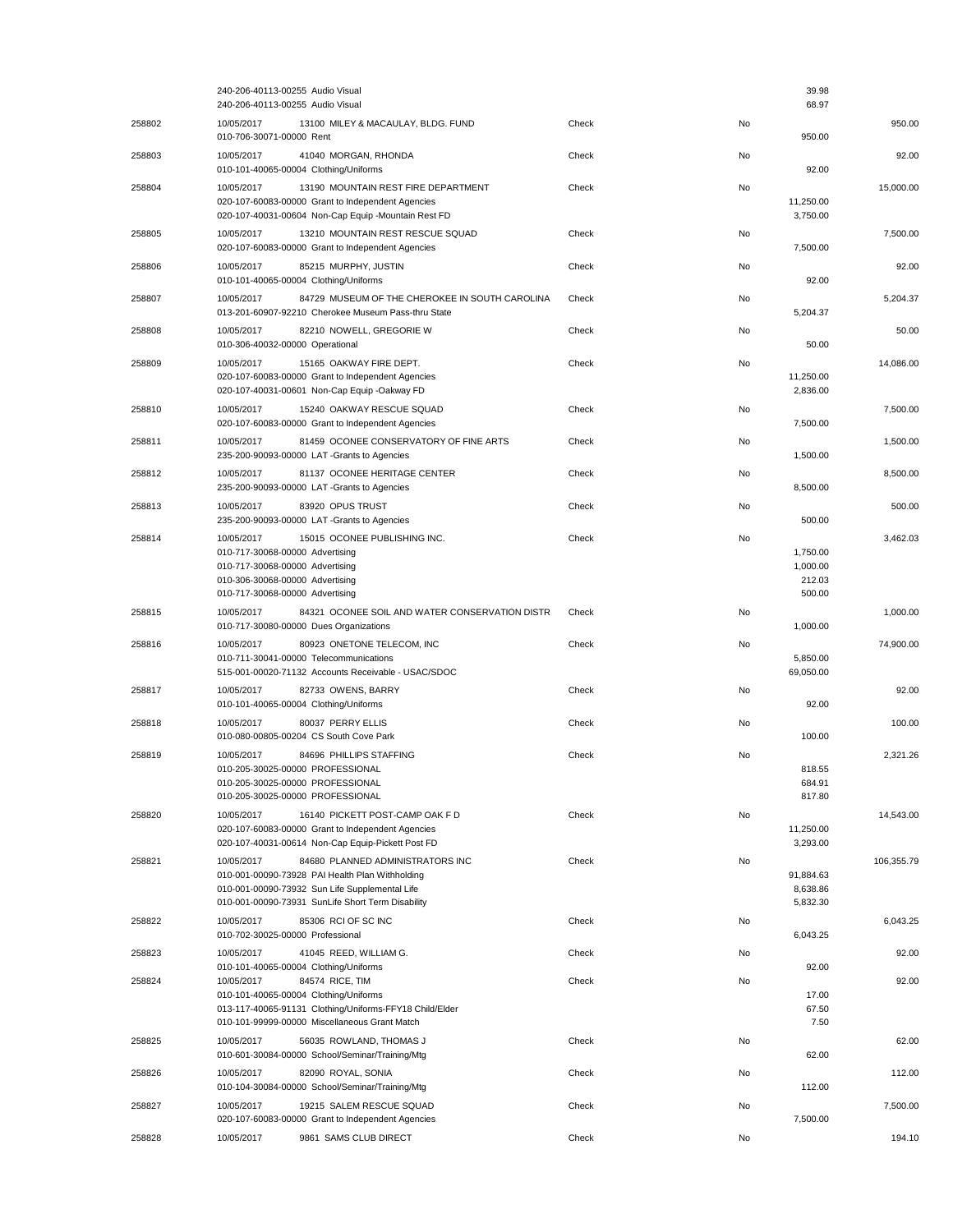|        | 240-206-40113-00255 Audio Visual<br>240-206-40113-00255 Audio Visual                                                                                                                                     |       |    | 39.98<br>68.97                           |            |
|--------|----------------------------------------------------------------------------------------------------------------------------------------------------------------------------------------------------------|-------|----|------------------------------------------|------------|
| 258802 | 10/05/2017<br>13100 MILEY & MACAULAY, BLDG. FUND<br>010-706-30071-00000 Rent                                                                                                                             | Check | No | 950.00                                   | 950.00     |
| 258803 | 10/05/2017<br>41040 MORGAN, RHONDA<br>010-101-40065-00004 Clothing/Uniforms                                                                                                                              | Check | No | 92.00                                    | 92.00      |
| 258804 | 10/05/2017<br>13190 MOUNTAIN REST FIRE DEPARTMENT<br>020-107-60083-00000 Grant to Independent Agencies<br>020-107-40031-00604 Non-Cap Equip -Mountain Rest FD                                            | Check | No | 11,250.00<br>3,750.00                    | 15.000.00  |
| 258805 | 10/05/2017<br>13210 MOUNTAIN REST RESCUE SQUAD<br>020-107-60083-00000 Grant to Independent Agencies                                                                                                      | Check | No | 7,500.00                                 | 7,500.00   |
| 258806 | 10/05/2017<br>85215 MURPHY, JUSTIN<br>010-101-40065-00004 Clothing/Uniforms                                                                                                                              | Check | No | 92.00                                    | 92.00      |
| 258807 | 84729 MUSEUM OF THE CHEROKEE IN SOUTH CAROLINA<br>10/05/2017<br>013-201-60907-92210 Cherokee Museum Pass-thru State                                                                                      | Check | No | 5,204.37                                 | 5,204.37   |
| 258808 | 10/05/2017<br>82210 NOWELL, GREGORIE W<br>010-306-40032-00000 Operational                                                                                                                                | Check | No | 50.00                                    | 50.00      |
| 258809 | 10/05/2017<br>15165 OAKWAY FIRE DEPT.<br>020-107-60083-00000 Grant to Independent Agencies<br>020-107-40031-00601 Non-Cap Equip -Oakway FD                                                               | Check | No | 11,250.00<br>2,836.00                    | 14,086.00  |
| 258810 | 10/05/2017<br>15240 OAKWAY RESCUE SQUAD<br>020-107-60083-00000 Grant to Independent Agencies                                                                                                             | Check | No | 7,500.00                                 | 7,500.00   |
| 258811 | 10/05/2017<br>81459 OCONEE CONSERVATORY OF FINE ARTS<br>235-200-90093-00000 LAT-Grants to Agencies                                                                                                       | Check | No | 1,500.00                                 | 1.500.00   |
| 258812 | 81137 OCONEE HERITAGE CENTER<br>10/05/2017<br>235-200-90093-00000 LAT -Grants to Agencies                                                                                                                | Check | No | 8,500.00                                 | 8,500.00   |
| 258813 | 10/05/2017<br>83920 OPUS TRUST<br>235-200-90093-00000 LAT-Grants to Agencies                                                                                                                             | Check | No | 500.00                                   | 500.00     |
| 258814 | 10/05/2017<br>15015 OCONEE PUBLISHING INC.<br>010-717-30068-00000 Advertising<br>010-717-30068-00000 Advertising<br>010-306-30068-00000 Advertising<br>010-717-30068-00000 Advertising                   | Check | No | 1,750.00<br>1,000.00<br>212.03<br>500.00 | 3,462.03   |
| 258815 | 10/05/2017<br>84321 OCONEE SOIL AND WATER CONSERVATION DISTR<br>010-717-30080-00000 Dues Organizations                                                                                                   | Check | No | 1,000.00                                 | 1,000.00   |
| 258816 | 10/05/2017<br>80923 ONETONE TELECOM, INC<br>010-711-30041-00000 Telecommunications<br>515-001-00020-71132 Accounts Receivable - USAC/SDOC                                                                | Check | No | 5,850.00<br>69,050.00                    | 74,900.00  |
| 258817 | 82733 OWENS, BARRY<br>10/05/2017<br>010-101-40065-00004 Clothing/Uniforms                                                                                                                                | Check | No | 92.00                                    | 92.00      |
| 258818 | 10/05/2017<br>80037 PERRY ELLIS<br>010-080-00805-00204 CS South Cove Park                                                                                                                                | Check | No | 100.00                                   | 100.00     |
| 258819 | 84696 PHILLIPS STAFFING<br>10/05/2017<br>010-205-30025-00000 PROFESSIONAL<br>010-205-30025-00000 PROFESSIONAL<br>010-205-30025-00000 PROFESSIONAL                                                        | Check | No | 818.55<br>684.91<br>817.80               | 2,321.26   |
| 258820 | 10/05/2017<br>16140 PICKETT POST-CAMP OAK F D<br>020-107-60083-00000 Grant to Independent Agencies<br>020-107-40031-00614 Non-Cap Equip-Pickett Post FD                                                  | Check | No | 11,250.00<br>3,293.00                    | 14,543.00  |
| 258821 | 10/05/2017<br>84680 PLANNED ADMINISTRATORS INC<br>010-001-00090-73928 PAI Health Plan Withholding<br>010-001-00090-73932 Sun Life Supplemental Life<br>010-001-00090-73931 SunLife Short Term Disability | Check | No | 91,884.63<br>8,638.86<br>5,832.30        | 106,355.79 |
| 258822 | 10/05/2017<br>85306 RCI OF SC INC<br>010-702-30025-00000 Professional                                                                                                                                    | Check | No | 6,043.25                                 | 6,043.25   |
| 258823 | 10/05/2017<br>41045 REED, WILLIAM G.<br>010-101-40065-00004 Clothing/Uniforms                                                                                                                            | Check | No | 92.00                                    | 92.00      |
| 258824 | 10/05/2017<br>84574 RICE, TIM<br>010-101-40065-00004 Clothing/Uniforms<br>013-117-40065-91131 Clothing/Uniforms-FFY18 Child/Elder<br>010-101-99999-00000 Miscellaneous Grant Match                       | Check | No | 17.00<br>67.50<br>7.50                   | 92.00      |
| 258825 | 56035 ROWLAND, THOMAS J<br>10/05/2017<br>010-601-30084-00000 School/Seminar/Training/Mtg                                                                                                                 | Check | No | 62.00                                    | 62.00      |
| 258826 | 82090 ROYAL, SONIA<br>10/05/2017<br>010-104-30084-00000 School/Seminar/Training/Mtg                                                                                                                      | Check | No | 112.00                                   | 112.00     |
| 258827 | 19215 SALEM RESCUE SQUAD<br>10/05/2017<br>020-107-60083-00000 Grant to Independent Agencies                                                                                                              | Check | No | 7,500.00                                 | 7,500.00   |
| 258828 | 10/05/2017<br>9861 SAMS CLUB DIRECT                                                                                                                                                                      | Check | No |                                          | 194.10     |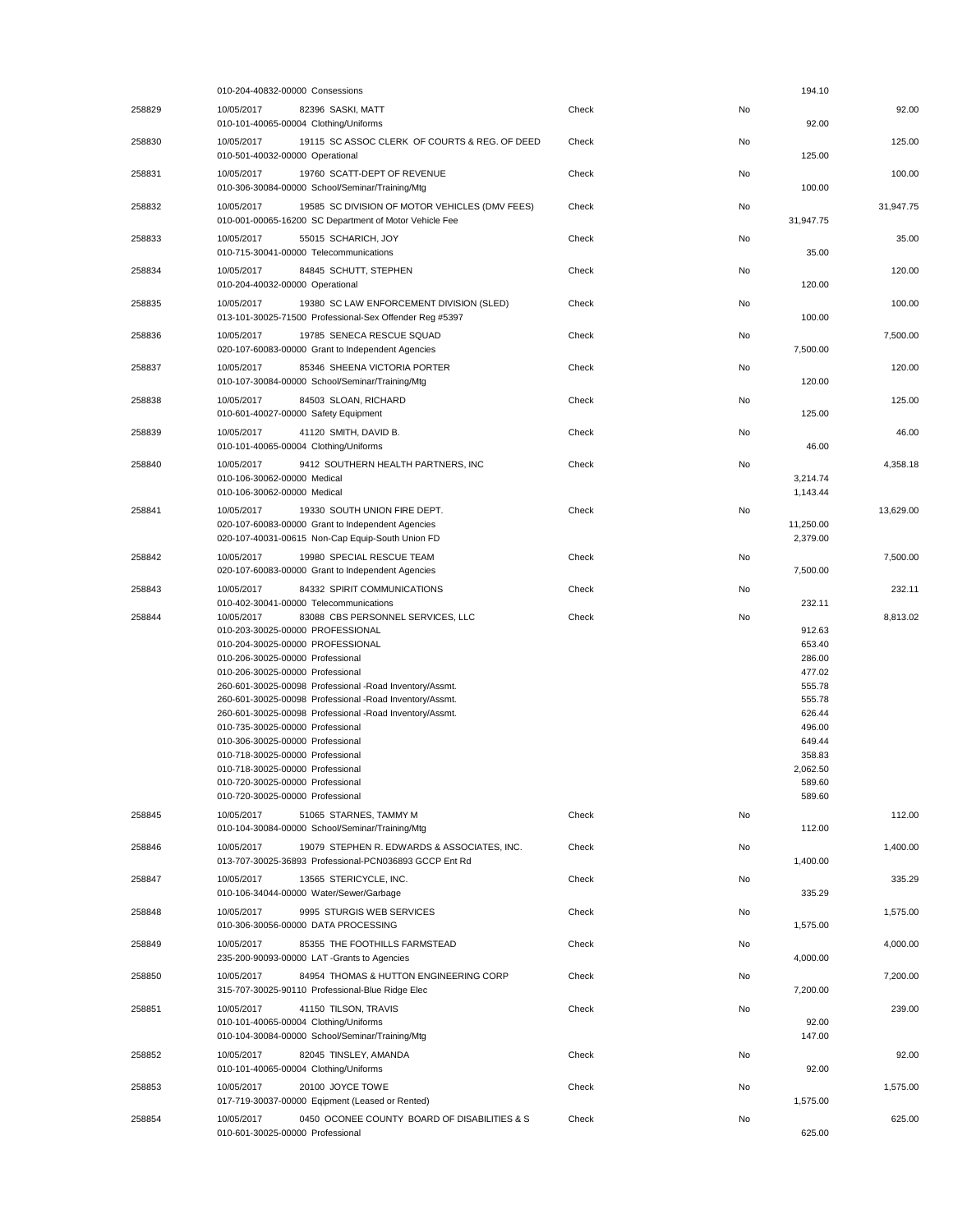|        | 010-204-40832-00000 Consessions                                                                                                                                                                                                                                                                                                                                                                                                                                                                                                                                                                          |       |    | 194.10                                                                                                                           |           |
|--------|----------------------------------------------------------------------------------------------------------------------------------------------------------------------------------------------------------------------------------------------------------------------------------------------------------------------------------------------------------------------------------------------------------------------------------------------------------------------------------------------------------------------------------------------------------------------------------------------------------|-------|----|----------------------------------------------------------------------------------------------------------------------------------|-----------|
| 258829 | 10/05/2017<br>82396 SASKI, MATT<br>010-101-40065-00004 Clothing/Uniforms                                                                                                                                                                                                                                                                                                                                                                                                                                                                                                                                 | Check | No | 92.00                                                                                                                            | 92.00     |
| 258830 | 19115 SC ASSOC CLERK OF COURTS & REG. OF DEED<br>10/05/2017<br>010-501-40032-00000 Operational                                                                                                                                                                                                                                                                                                                                                                                                                                                                                                           | Check | No | 125.00                                                                                                                           | 125.00    |
| 258831 | 10/05/2017<br>19760 SCATT-DEPT OF REVENUE<br>010-306-30084-00000 School/Seminar/Training/Mtg                                                                                                                                                                                                                                                                                                                                                                                                                                                                                                             | Check | No | 100.00                                                                                                                           | 100.00    |
| 258832 | 10/05/2017<br>19585 SC DIVISION OF MOTOR VEHICLES (DMV FEES)<br>010-001-00065-16200 SC Department of Motor Vehicle Fee                                                                                                                                                                                                                                                                                                                                                                                                                                                                                   | Check | No | 31,947.75                                                                                                                        | 31,947.75 |
| 258833 | 10/05/2017<br>55015 SCHARICH, JOY<br>010-715-30041-00000 Telecommunications                                                                                                                                                                                                                                                                                                                                                                                                                                                                                                                              | Check | No | 35.00                                                                                                                            | 35.00     |
| 258834 | 84845 SCHUTT, STEPHEN<br>10/05/2017<br>010-204-40032-00000 Operational                                                                                                                                                                                                                                                                                                                                                                                                                                                                                                                                   | Check | No | 120.00                                                                                                                           | 120.00    |
| 258835 | 10/05/2017<br>19380 SC LAW ENFORCEMENT DIVISION (SLED)<br>013-101-30025-71500 Professional-Sex Offender Reg #5397                                                                                                                                                                                                                                                                                                                                                                                                                                                                                        | Check | No | 100.00                                                                                                                           | 100.00    |
| 258836 | 10/05/2017<br>19785 SENECA RESCUE SQUAD<br>020-107-60083-00000 Grant to Independent Agencies                                                                                                                                                                                                                                                                                                                                                                                                                                                                                                             | Check | No | 7,500.00                                                                                                                         | 7,500.00  |
| 258837 | 10/05/2017<br>85346 SHEENA VICTORIA PORTER<br>010-107-30084-00000 School/Seminar/Training/Mtg                                                                                                                                                                                                                                                                                                                                                                                                                                                                                                            | Check | No | 120.00                                                                                                                           | 120.00    |
| 258838 | 84503 SLOAN, RICHARD<br>10/05/2017<br>010-601-40027-00000 Safety Equipment                                                                                                                                                                                                                                                                                                                                                                                                                                                                                                                               | Check | No | 125.00                                                                                                                           | 125.00    |
| 258839 | 10/05/2017<br>41120 SMITH, DAVID B.<br>010-101-40065-00004 Clothing/Uniforms                                                                                                                                                                                                                                                                                                                                                                                                                                                                                                                             | Check | No | 46.00                                                                                                                            | 46.00     |
| 258840 | 10/05/2017<br>9412 SOUTHERN HEALTH PARTNERS, INC<br>010-106-30062-00000 Medical                                                                                                                                                                                                                                                                                                                                                                                                                                                                                                                          | Check | No |                                                                                                                                  | 4,358.18  |
|        | 010-106-30062-00000 Medical                                                                                                                                                                                                                                                                                                                                                                                                                                                                                                                                                                              |       |    | 3,214.74<br>1,143.44                                                                                                             |           |
| 258841 | 19330 SOUTH UNION FIRE DEPT.<br>10/05/2017<br>020-107-60083-00000 Grant to Independent Agencies<br>020-107-40031-00615 Non-Cap Equip-South Union FD                                                                                                                                                                                                                                                                                                                                                                                                                                                      | Check | No | 11,250.00<br>2,379.00                                                                                                            | 13.629.00 |
| 258842 | 10/05/2017<br>19980 SPECIAL RESCUE TEAM<br>020-107-60083-00000 Grant to Independent Agencies                                                                                                                                                                                                                                                                                                                                                                                                                                                                                                             | Check | No | 7,500.00                                                                                                                         | 7,500.00  |
| 258843 | 84332 SPIRIT COMMUNICATIONS<br>10/05/2017<br>010-402-30041-00000 Telecommunications                                                                                                                                                                                                                                                                                                                                                                                                                                                                                                                      | Check | No | 232.11                                                                                                                           | 232.11    |
| 258844 | 10/05/2017<br>83088 CBS PERSONNEL SERVICES, LLC<br>010-203-30025-00000 PROFESSIONAL<br>010-204-30025-00000 PROFESSIONAL<br>010-206-30025-00000 Professional<br>010-206-30025-00000 Professional<br>260-601-30025-00098 Professional -Road Inventory/Assmt.<br>260-601-30025-00098 Professional -Road Inventory/Assmt.<br>260-601-30025-00098 Professional -Road Inventory/Assmt.<br>010-735-30025-00000 Professional<br>010-306-30025-00000 Professional<br>010-718-30025-00000 Professional<br>010-718-30025-00000 Professional<br>010-720-30025-00000 Professional<br>010-720-30025-00000 Professional | Check | No | 912.63<br>653.40<br>286.00<br>477.02<br>555.78<br>555.78<br>626.44<br>496.00<br>649.44<br>358.83<br>2,062.50<br>589.60<br>589.60 | 8,813.02  |
| 258845 | 10/05/2017<br>51065 STARNES, TAMMY M<br>010-104-30084-00000 School/Seminar/Training/Mtg                                                                                                                                                                                                                                                                                                                                                                                                                                                                                                                  | Check | No | 112.00                                                                                                                           | 112.00    |
| 258846 | 10/05/2017<br>19079 STEPHEN R. EDWARDS & ASSOCIATES, INC.<br>013-707-30025-36893 Professional-PCN036893 GCCP Ent Rd                                                                                                                                                                                                                                                                                                                                                                                                                                                                                      | Check | No | 1,400.00                                                                                                                         | 1,400.00  |
| 258847 | 13565 STERICYCLE, INC.<br>10/05/2017<br>010-106-34044-00000 Water/Sewer/Garbage                                                                                                                                                                                                                                                                                                                                                                                                                                                                                                                          | Check | No | 335.29                                                                                                                           | 335.29    |
| 258848 | 9995 STURGIS WEB SERVICES<br>10/05/2017<br>010-306-30056-00000 DATA PROCESSING                                                                                                                                                                                                                                                                                                                                                                                                                                                                                                                           | Check | No | 1,575.00                                                                                                                         | 1,575.00  |
| 258849 | 10/05/2017<br>85355 THE FOOTHILLS FARMSTEAD<br>235-200-90093-00000 LAT -Grants to Agencies                                                                                                                                                                                                                                                                                                                                                                                                                                                                                                               | Check | No | 4,000.00                                                                                                                         | 4,000.00  |
| 258850 | 10/05/2017<br>84954 THOMAS & HUTTON ENGINEERING CORP<br>315-707-30025-90110 Professional-Blue Ridge Elec                                                                                                                                                                                                                                                                                                                                                                                                                                                                                                 | Check | No | 7,200.00                                                                                                                         | 7,200.00  |
| 258851 | 10/05/2017<br>41150 TILSON, TRAVIS<br>010-101-40065-00004 Clothing/Uniforms<br>010-104-30084-00000 School/Seminar/Training/Mtg                                                                                                                                                                                                                                                                                                                                                                                                                                                                           | Check | No | 92.00<br>147.00                                                                                                                  | 239.00    |
| 258852 | 10/05/2017<br>82045 TINSLEY, AMANDA<br>010-101-40065-00004 Clothing/Uniforms                                                                                                                                                                                                                                                                                                                                                                                                                                                                                                                             | Check | No | 92.00                                                                                                                            | 92.00     |
| 258853 | 10/05/2017<br>20100 JOYCE TOWE<br>017-719-30037-00000 Eqipment (Leased or Rented)                                                                                                                                                                                                                                                                                                                                                                                                                                                                                                                        | Check | No | 1,575.00                                                                                                                         | 1,575.00  |
| 258854 | 0450 OCONEE COUNTY BOARD OF DISABILITIES & S<br>10/05/2017<br>010-601-30025-00000 Professional                                                                                                                                                                                                                                                                                                                                                                                                                                                                                                           | Check | No | 625.00                                                                                                                           | 625.00    |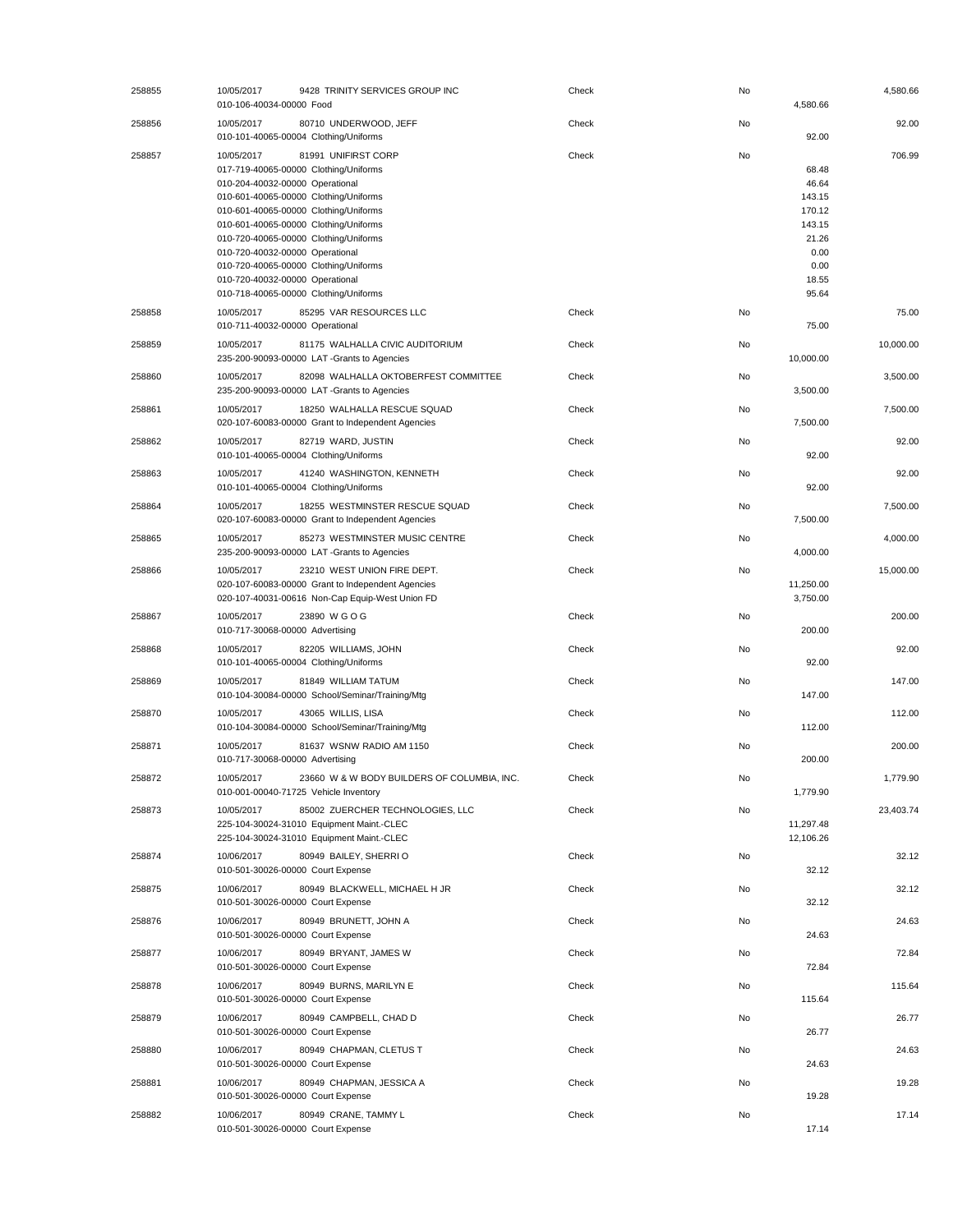| 258855 | 10/05/2017<br>9428 TRINITY SERVICES GROUP INC<br>010-106-40034-00000 Food                                                                                                                                                                                                                                                                                                                                                                 | Check | No<br>4,580.66                                                                                | 4,580.66  |
|--------|-------------------------------------------------------------------------------------------------------------------------------------------------------------------------------------------------------------------------------------------------------------------------------------------------------------------------------------------------------------------------------------------------------------------------------------------|-------|-----------------------------------------------------------------------------------------------|-----------|
| 258856 | 10/05/2017<br>80710 UNDERWOOD, JEFF<br>010-101-40065-00004 Clothing/Uniforms                                                                                                                                                                                                                                                                                                                                                              | Check | No<br>92.00                                                                                   | 92.00     |
| 258857 | 10/05/2017<br>81991 UNIFIRST CORP<br>017-719-40065-00000 Clothing/Uniforms<br>010-204-40032-00000 Operational<br>010-601-40065-00000 Clothing/Uniforms<br>010-601-40065-00000 Clothing/Uniforms<br>010-601-40065-00000 Clothing/Uniforms<br>010-720-40065-00000 Clothing/Uniforms<br>010-720-40032-00000 Operational<br>010-720-40065-00000 Clothing/Uniforms<br>010-720-40032-00000 Operational<br>010-718-40065-00000 Clothing/Uniforms | Check | No<br>68.48<br>46.64<br>143.15<br>170.12<br>143.15<br>21.26<br>0.00<br>0.00<br>18.55<br>95.64 | 706.99    |
| 258858 | 10/05/2017<br>85295 VAR RESOURCES LLC<br>010-711-40032-00000 Operational                                                                                                                                                                                                                                                                                                                                                                  | Check | No<br>75.00                                                                                   | 75.00     |
| 258859 | 10/05/2017<br>81175 WALHALLA CIVIC AUDITORIUM<br>235-200-90093-00000 LAT -Grants to Agencies                                                                                                                                                                                                                                                                                                                                              | Check | No<br>10,000.00                                                                               | 10,000.00 |
| 258860 | 10/05/2017<br>82098 WALHALLA OKTOBERFEST COMMITTEE<br>235-200-90093-00000 LAT -Grants to Agencies                                                                                                                                                                                                                                                                                                                                         | Check | No<br>3,500.00                                                                                | 3,500.00  |
| 258861 | 10/05/2017<br>18250 WALHALLA RESCUE SQUAD<br>020-107-60083-00000 Grant to Independent Agencies                                                                                                                                                                                                                                                                                                                                            | Check | No<br>7,500.00                                                                                | 7,500.00  |
| 258862 | 10/05/2017<br>82719 WARD, JUSTIN<br>010-101-40065-00004 Clothing/Uniforms                                                                                                                                                                                                                                                                                                                                                                 | Check | No<br>92.00                                                                                   | 92.00     |
| 258863 | 10/05/2017<br>41240 WASHINGTON, KENNETH<br>010-101-40065-00004 Clothing/Uniforms                                                                                                                                                                                                                                                                                                                                                          | Check | No<br>92.00                                                                                   | 92.00     |
| 258864 | 10/05/2017<br>18255 WESTMINSTER RESCUE SQUAD<br>020-107-60083-00000 Grant to Independent Agencies                                                                                                                                                                                                                                                                                                                                         | Check | No<br>7,500.00                                                                                | 7,500.00  |
| 258865 | 10/05/2017<br>85273 WESTMINSTER MUSIC CENTRE<br>235-200-90093-00000 LAT-Grants to Agencies                                                                                                                                                                                                                                                                                                                                                | Check | No<br>4,000.00                                                                                | 4,000.00  |
| 258866 | 10/05/2017<br>23210 WEST UNION FIRE DEPT.<br>020-107-60083-00000 Grant to Independent Agencies<br>020-107-40031-00616 Non-Cap Equip-West Union FD                                                                                                                                                                                                                                                                                         | Check | No<br>11,250.00<br>3,750.00                                                                   | 15,000.00 |
| 258867 | 10/05/2017<br>23890 WGOG<br>010-717-30068-00000 Advertising                                                                                                                                                                                                                                                                                                                                                                               | Check | No<br>200.00                                                                                  | 200.00    |
| 258868 | 10/05/2017<br>82205 WILLIAMS, JOHN<br>010-101-40065-00004 Clothing/Uniforms                                                                                                                                                                                                                                                                                                                                                               | Check | No<br>92.00                                                                                   | 92.00     |
| 258869 | 10/05/2017<br>81849 WILLIAM TATUM<br>010-104-30084-00000 School/Seminar/Training/Mtg                                                                                                                                                                                                                                                                                                                                                      | Check | No<br>147.00                                                                                  | 147.00    |
| 258870 | 10/05/2017<br>43065 WILLIS, LISA<br>010-104-30084-00000 School/Seminar/Training/Mtg                                                                                                                                                                                                                                                                                                                                                       | Check | No<br>112.00                                                                                  | 112.00    |
| 258871 | 10/05/2017<br>81637 WSNW RADIO AM 1150<br>010-717-30068-00000 Advertising                                                                                                                                                                                                                                                                                                                                                                 | Check | No<br>200.00                                                                                  | 200.00    |
| 258872 | 10/05/2017<br>23660 W & W BODY BUILDERS OF COLUMBIA, INC.<br>010-001-00040-71725 Vehicle Inventory                                                                                                                                                                                                                                                                                                                                        | Check | No<br>1,779.90                                                                                | 1,779.90  |
| 258873 | 10/05/2017<br>85002 ZUERCHER TECHNOLOGIES, LLC<br>225-104-30024-31010 Equipment Maint.-CLEC<br>225-104-30024-31010 Equipment Maint.-CLEC                                                                                                                                                                                                                                                                                                  | Check | No<br>11,297.48<br>12,106.26                                                                  | 23,403.74 |
| 258874 | 10/06/2017<br>80949 BAILEY, SHERRIO<br>010-501-30026-00000 Court Expense                                                                                                                                                                                                                                                                                                                                                                  | Check | No<br>32.12                                                                                   | 32.12     |
| 258875 | 10/06/2017<br>80949 BLACKWELL, MICHAEL H JR<br>010-501-30026-00000 Court Expense                                                                                                                                                                                                                                                                                                                                                          | Check | No<br>32.12                                                                                   | 32.12     |
| 258876 | 10/06/2017<br>80949 BRUNETT, JOHN A<br>010-501-30026-00000 Court Expense                                                                                                                                                                                                                                                                                                                                                                  | Check | No<br>24.63                                                                                   | 24.63     |
| 258877 | 10/06/2017<br>80949 BRYANT, JAMES W<br>010-501-30026-00000 Court Expense                                                                                                                                                                                                                                                                                                                                                                  | Check | No<br>72.84                                                                                   | 72.84     |
| 258878 | 80949 BURNS, MARILYN E<br>10/06/2017<br>010-501-30026-00000 Court Expense                                                                                                                                                                                                                                                                                                                                                                 | Check | No<br>115.64                                                                                  | 115.64    |
| 258879 | 80949 CAMPBELL, CHAD D<br>10/06/2017<br>010-501-30026-00000 Court Expense                                                                                                                                                                                                                                                                                                                                                                 | Check | No<br>26.77                                                                                   | 26.77     |
| 258880 | 10/06/2017<br>80949 CHAPMAN, CLETUS T<br>010-501-30026-00000 Court Expense                                                                                                                                                                                                                                                                                                                                                                | Check | No<br>24.63                                                                                   | 24.63     |
| 258881 | 10/06/2017<br>80949 CHAPMAN, JESSICA A<br>010-501-30026-00000 Court Expense                                                                                                                                                                                                                                                                                                                                                               | Check | No<br>19.28                                                                                   | 19.28     |
| 258882 | 10/06/2017<br>80949 CRANE, TAMMY L<br>010-501-30026-00000 Court Expense                                                                                                                                                                                                                                                                                                                                                                   | Check | No<br>17.14                                                                                   | 17.14     |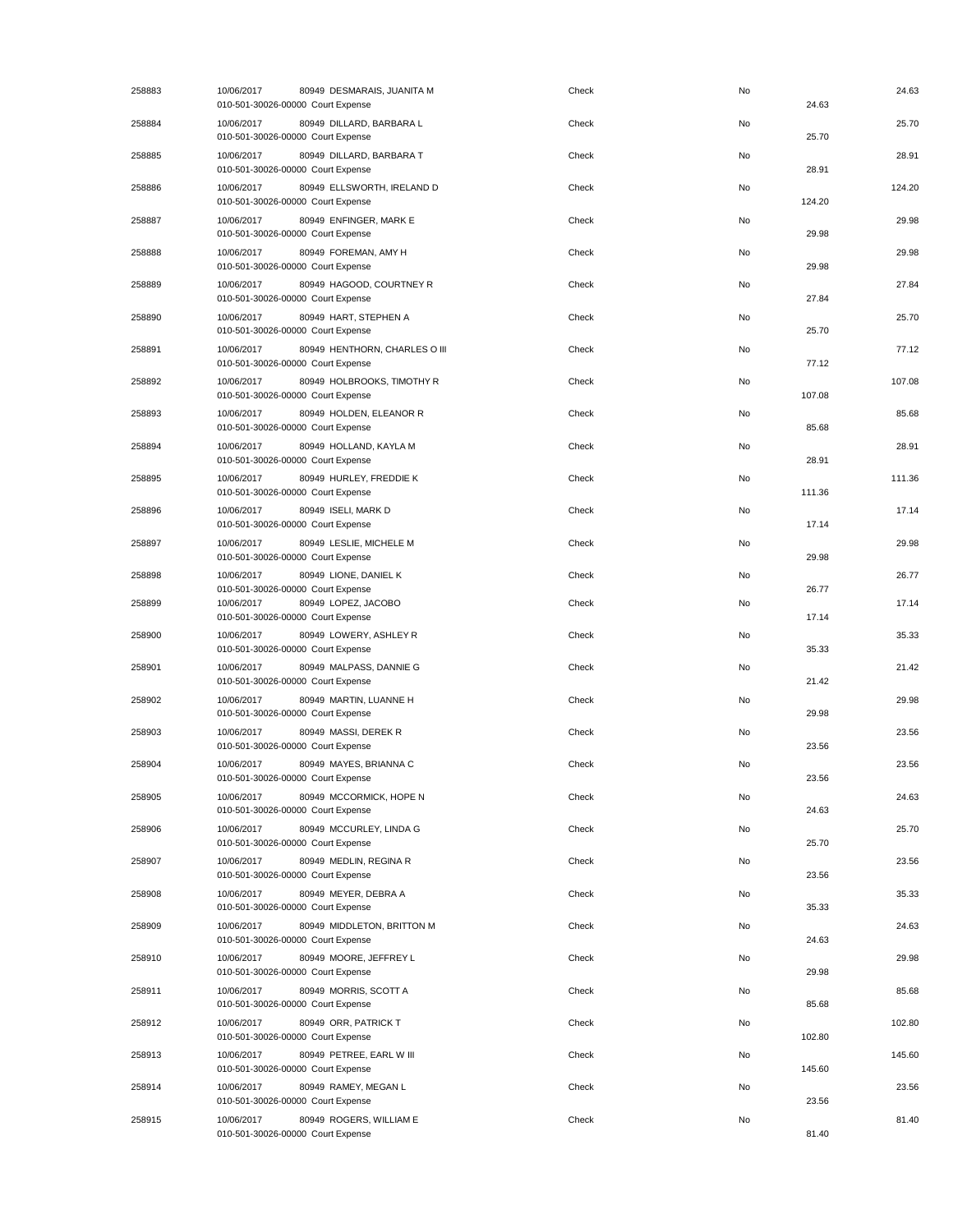| 258883 | 10/06/2017<br>80949 DESMARAIS, JUANITA M<br>010-501-30026-00000 Court Expense    | Check | No | 24.63  | 24.63  |
|--------|----------------------------------------------------------------------------------|-------|----|--------|--------|
| 258884 | 10/06/2017<br>80949 DILLARD, BARBARA L<br>010-501-30026-00000 Court Expense      | Check | No | 25.70  | 25.70  |
| 258885 | 10/06/2017<br>80949 DILLARD, BARBARA T<br>010-501-30026-00000 Court Expense      | Check | No | 28.91  | 28.91  |
| 258886 | 10/06/2017<br>80949 ELLSWORTH, IRELAND D<br>010-501-30026-00000 Court Expense    | Check | No | 124.20 | 124.20 |
| 258887 | 80949 ENFINGER, MARK E<br>10/06/2017<br>010-501-30026-00000 Court Expense        | Check | No | 29.98  | 29.98  |
| 258888 | 80949 FOREMAN, AMY H<br>10/06/2017<br>010-501-30026-00000 Court Expense          | Check | No | 29.98  | 29.98  |
| 258889 | 80949 HAGOOD, COURTNEY R<br>10/06/2017<br>010-501-30026-00000 Court Expense      | Check | No | 27.84  | 27.84  |
| 258890 | 80949 HART, STEPHEN A<br>10/06/2017<br>010-501-30026-00000 Court Expense         | Check | No | 25.70  | 25.70  |
| 258891 | 10/06/2017<br>80949 HENTHORN, CHARLES O III<br>010-501-30026-00000 Court Expense | Check | No | 77.12  | 77.12  |
| 258892 | 10/06/2017<br>80949 HOLBROOKS, TIMOTHY R<br>010-501-30026-00000 Court Expense    | Check | No | 107.08 | 107.08 |
| 258893 | 80949 HOLDEN, ELEANOR R<br>10/06/2017<br>010-501-30026-00000 Court Expense       | Check | No | 85.68  | 85.68  |
| 258894 | 10/06/2017<br>80949 HOLLAND, KAYLA M<br>010-501-30026-00000 Court Expense        | Check | No | 28.91  | 28.91  |
| 258895 | 80949 HURLEY, FREDDIE K<br>10/06/2017<br>010-501-30026-00000 Court Expense       | Check | No | 111.36 | 111.36 |
| 258896 | 10/06/2017<br>80949 ISELI, MARK D<br>010-501-30026-00000 Court Expense           | Check | No | 17.14  | 17.14  |
| 258897 | 10/06/2017<br>80949 LESLIE, MICHELE M<br>010-501-30026-00000 Court Expense       | Check | No | 29.98  | 29.98  |
| 258898 | 10/06/2017<br>80949 LIONE, DANIEL K<br>010-501-30026-00000 Court Expense         | Check | No | 26.77  | 26.77  |
| 258899 | 80949 LOPEZ, JACOBO<br>10/06/2017<br>010-501-30026-00000 Court Expense           | Check | No | 17.14  | 17.14  |
| 258900 | 80949 LOWERY, ASHLEY R<br>10/06/2017<br>010-501-30026-00000 Court Expense        | Check | No | 35.33  | 35.33  |
| 258901 | 10/06/2017<br>80949 MALPASS, DANNIE G<br>010-501-30026-00000 Court Expense       | Check | No | 21.42  | 21.42  |
| 258902 | 10/06/2017<br>80949 MARTIN, LUANNE H<br>010-501-30026-00000 Court Expense        | Check | No | 29.98  | 29.98  |
| 258903 | 80949 MASSI, DEREK R<br>10/06/2017<br>010-501-30026-00000 Court Expense          | Check | No | 23.56  | 23.56  |
| 258904 | 80949 MAYES, BRIANNA C<br>10/06/2017<br>010-501-30026-00000 Court Expense        | Check | No | 23.56  | 23.56  |
| 258905 | 10/06/2017<br>80949 MCCORMICK, HOPE N<br>010-501-30026-00000 Court Expense       | Check | No | 24.63  | 24.63  |
| 258906 | 10/06/2017<br>80949 MCCURLEY, LINDA G<br>010-501-30026-00000 Court Expense       | Check | No | 25.70  | 25.70  |
| 258907 | 80949 MEDLIN, REGINA R<br>10/06/2017<br>010-501-30026-00000 Court Expense        | Check | No | 23.56  | 23.56  |
| 258908 | 10/06/2017<br>80949 MEYER, DEBRA A<br>010-501-30026-00000 Court Expense          | Check | No | 35.33  | 35.33  |
| 258909 | 10/06/2017<br>80949 MIDDLETON, BRITTON M<br>010-501-30026-00000 Court Expense    | Check | No | 24.63  | 24.63  |
| 258910 | 10/06/2017<br>80949 MOORE, JEFFREY L<br>010-501-30026-00000 Court Expense        | Check | No | 29.98  | 29.98  |
| 258911 | 10/06/2017<br>80949 MORRIS, SCOTT A<br>010-501-30026-00000 Court Expense         | Check | No | 85.68  | 85.68  |
| 258912 | 80949 ORR, PATRICK T<br>10/06/2017<br>010-501-30026-00000 Court Expense          | Check | No | 102.80 | 102.80 |
| 258913 | 80949 PETREE, EARL W III<br>10/06/2017<br>010-501-30026-00000 Court Expense      | Check | No | 145.60 | 145.60 |
| 258914 | 10/06/2017<br>80949 RAMEY, MEGAN L<br>010-501-30026-00000 Court Expense          | Check | No | 23.56  | 23.56  |
| 258915 | 80949 ROGERS, WILLIAM E<br>10/06/2017<br>010-501-30026-00000 Court Expense       | Check | No | 81.40  | 81.40  |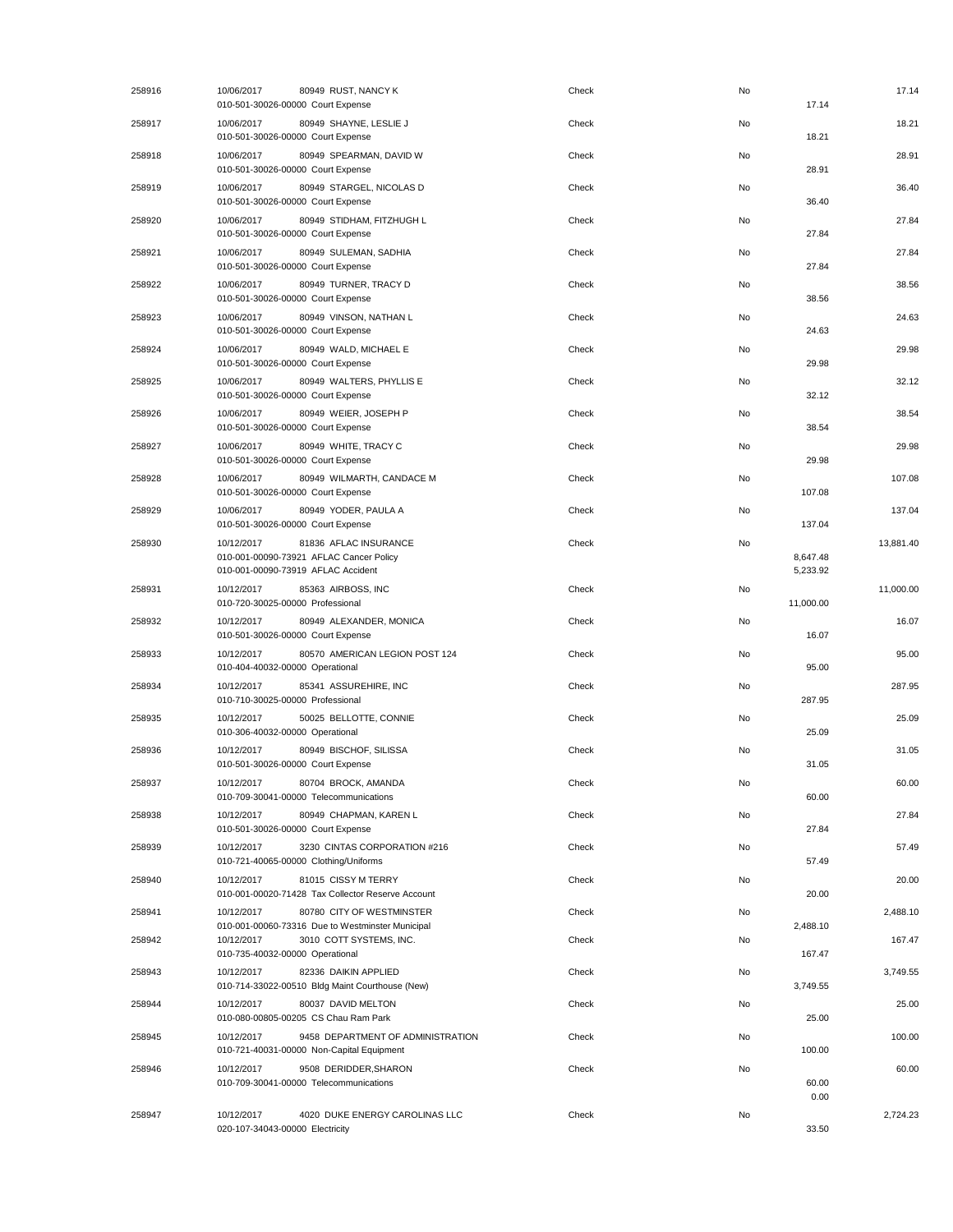| 258916 | 10/06/2017<br>010-501-30026-00000 Court Expense      | 80949 RUST, NANCY K                                                            | Check | No | 17.14                | 17.14     |
|--------|------------------------------------------------------|--------------------------------------------------------------------------------|-------|----|----------------------|-----------|
| 258917 | 10/06/2017<br>010-501-30026-00000 Court Expense      | 80949 SHAYNE, LESLIE J                                                         | Check | No | 18.21                | 18.21     |
| 258918 | 10/06/2017<br>010-501-30026-00000 Court Expense      | 80949 SPEARMAN, DAVID W                                                        | Check | No | 28.91                | 28.91     |
| 258919 | 10/06/2017<br>010-501-30026-00000 Court Expense      | 80949 STARGEL, NICOLAS D                                                       | Check | No | 36.40                | 36.40     |
| 258920 | 10/06/2017<br>010-501-30026-00000 Court Expense      | 80949 STIDHAM, FITZHUGH L                                                      | Check | No | 27.84                | 27.84     |
| 258921 | 10/06/2017<br>010-501-30026-00000 Court Expense      | 80949 SULEMAN, SADHIA                                                          | Check | No | 27.84                | 27.84     |
| 258922 | 10/06/2017<br>010-501-30026-00000 Court Expense      | 80949 TURNER, TRACY D                                                          | Check | No | 38.56                | 38.56     |
| 258923 | 10/06/2017<br>010-501-30026-00000 Court Expense      | 80949 VINSON, NATHAN L                                                         | Check | No | 24.63                | 24.63     |
| 258924 | 10/06/2017<br>010-501-30026-00000 Court Expense      | 80949 WALD, MICHAEL E                                                          | Check | No | 29.98                | 29.98     |
| 258925 | 10/06/2017<br>010-501-30026-00000 Court Expense      | 80949 WALTERS, PHYLLIS E                                                       | Check | No | 32.12                | 32.12     |
| 258926 | 10/06/2017<br>010-501-30026-00000 Court Expense      | 80949 WEIER, JOSEPH P                                                          | Check | No | 38.54                | 38.54     |
| 258927 | 10/06/2017<br>010-501-30026-00000 Court Expense      | 80949 WHITE, TRACY C                                                           | Check | No | 29.98                | 29.98     |
| 258928 | 10/06/2017<br>010-501-30026-00000 Court Expense      | 80949 WILMARTH, CANDACE M                                                      | Check | No | 107.08               | 107.08    |
| 258929 | 10/06/2017<br>010-501-30026-00000 Court Expense      | 80949 YODER, PAULA A                                                           | Check | No | 137.04               | 137.04    |
| 258930 | 10/12/2017<br>010-001-00090-73919 AFLAC Accident     | 81836 AFLAC INSURANCE<br>010-001-00090-73921 AFLAC Cancer Policy               | Check | No | 8,647.48<br>5,233.92 | 13,881.40 |
| 258931 | 10/12/2017<br>010-720-30025-00000 Professional       | 85363 AIRBOSS, INC                                                             | Check | No | 11,000.00            | 11,000.00 |
| 258932 | 10/12/2017<br>010-501-30026-00000 Court Expense      | 80949 ALEXANDER, MONICA                                                        | Check | No | 16.07                | 16.07     |
| 258933 | 10/12/2017<br>010-404-40032-00000 Operational        | 80570 AMERICAN LEGION POST 124                                                 | Check | No | 95.00                | 95.00     |
| 258934 | 10/12/2017<br>010-710-30025-00000 Professional       | 85341 ASSUREHIRE, INC                                                          | Check | No | 287.95               | 287.95    |
| 258935 | 10/12/2017<br>010-306-40032-00000 Operational        | 50025 BELLOTTE, CONNIE                                                         | Check | No | 25.09                | 25.09     |
| 258936 | 10/12/2017<br>010-501-30026-00000 Court Expense      | 80949 BISCHOF, SILISSA                                                         | Check | No | 31.05                | 31.05     |
| 258937 | 10/12/2017<br>010-709-30041-00000 Telecommunications | 80704 BROCK, AMANDA                                                            | Check | No | 60.00                | 60.00     |
| 258938 | 10/12/2017<br>010-501-30026-00000 Court Expense      | 80949 CHAPMAN, KAREN L                                                         | Check | No | 27.84                | 27.84     |
| 258939 | 10/12/2017<br>010-721-40065-00000 Clothing/Uniforms  | 3230 CINTAS CORPORATION #216                                                   | Check | No | 57.49                | 57.49     |
| 258940 | 10/12/2017                                           | 81015 CISSY M TERRY<br>010-001-00020-71428 Tax Collector Reserve Account       | Check | No | 20.00                | 20.00     |
| 258941 | 10/12/2017                                           | 80780 CITY OF WESTMINSTER<br>010-001-00060-73316 Due to Westminster Municipal  | Check | No | 2,488.10             | 2,488.10  |
| 258942 | 10/12/2017<br>010-735-40032-00000 Operational        | 3010 COTT SYSTEMS, INC.                                                        | Check | No | 167.47               | 167.47    |
| 258943 | 10/12/2017                                           | 82336 DAIKIN APPLIED<br>010-714-33022-00510 Bldg Maint Courthouse (New)        | Check | No | 3,749.55             | 3,749.55  |
| 258944 | 10/12/2017<br>010-080-00805-00205 CS Chau Ram Park   | 80037 DAVID MELTON                                                             | Check | No | 25.00                | 25.00     |
| 258945 | 10/12/2017                                           | 9458 DEPARTMENT OF ADMINISTRATION<br>010-721-40031-00000 Non-Capital Equipment | Check | No | 100.00               | 100.00    |
| 258946 | 10/12/2017<br>010-709-30041-00000 Telecommunications | 9508 DERIDDER, SHARON                                                          | Check | No | 60.00                | 60.00     |
| 258947 | 10/12/2017<br>020-107-34043-00000 Electricity        | 4020 DUKE ENERGY CAROLINAS LLC                                                 | Check | No | 0.00<br>33.50        | 2,724.23  |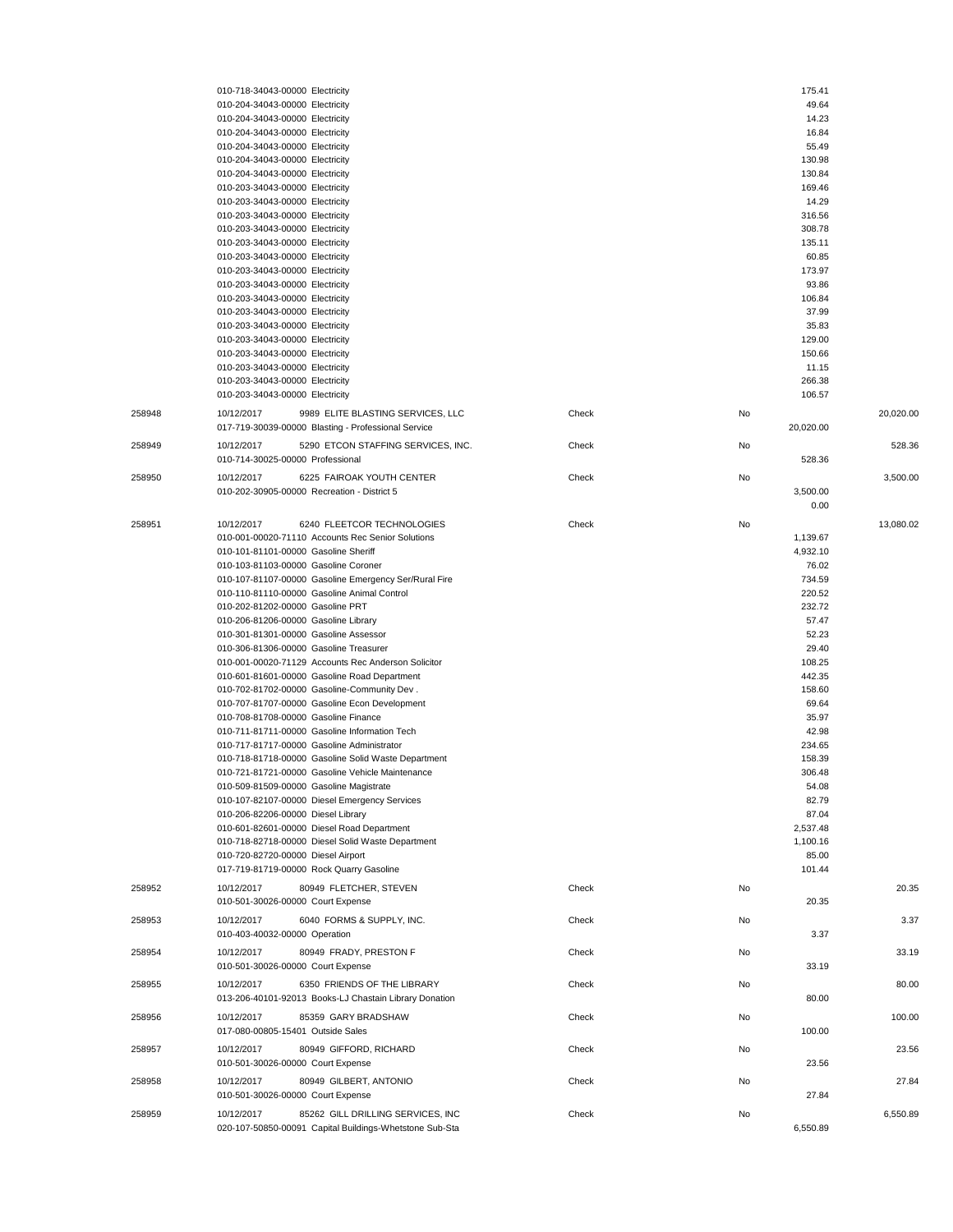|        | 010-718-34043-00000 Electricity                         |       |    | 175.41    |           |
|--------|---------------------------------------------------------|-------|----|-----------|-----------|
|        | 010-204-34043-00000 Electricity                         |       |    | 49.64     |           |
|        | 010-204-34043-00000 Electricity                         |       |    | 14.23     |           |
|        | 010-204-34043-00000 Electricity                         |       |    | 16.84     |           |
|        | 010-204-34043-00000 Electricity                         |       |    | 55.49     |           |
|        | 010-204-34043-00000 Electricity                         |       |    | 130.98    |           |
|        | 010-204-34043-00000 Electricity                         |       |    | 130.84    |           |
|        | 010-203-34043-00000 Electricity                         |       |    | 169.46    |           |
|        | 010-203-34043-00000 Electricity                         |       |    | 14.29     |           |
|        | 010-203-34043-00000 Electricity                         |       |    | 316.56    |           |
|        | 010-203-34043-00000 Electricity                         |       |    | 308.78    |           |
|        | 010-203-34043-00000 Electricity                         |       |    | 135.11    |           |
|        | 010-203-34043-00000 Electricity                         |       |    | 60.85     |           |
|        | 010-203-34043-00000 Electricity                         |       |    | 173.97    |           |
|        | 010-203-34043-00000 Electricity                         |       |    | 93.86     |           |
|        | 010-203-34043-00000 Electricity                         |       |    | 106.84    |           |
|        | 010-203-34043-00000 Electricity                         |       |    | 37.99     |           |
|        | 010-203-34043-00000 Electricity                         |       |    | 35.83     |           |
|        | 010-203-34043-00000 Electricity                         |       |    | 129.00    |           |
|        | 010-203-34043-00000 Electricity                         |       |    | 150.66    |           |
|        | 010-203-34043-00000 Electricity                         |       |    | 11.15     |           |
|        | 010-203-34043-00000 Electricity                         |       |    | 266.38    |           |
|        | 010-203-34043-00000 Electricity                         |       |    | 106.57    |           |
|        |                                                         |       |    |           |           |
| 258948 | 9989 ELITE BLASTING SERVICES, LLC<br>10/12/2017         | Check | No |           | 20,020.00 |
|        | 017-719-30039-00000 Blasting - Professional Service     |       |    | 20,020.00 |           |
| 258949 | 5290 ETCON STAFFING SERVICES, INC.<br>10/12/2017        | Check | No |           | 528.36    |
|        | 010-714-30025-00000 Professional                        |       |    | 528.36    |           |
|        |                                                         |       |    |           |           |
| 258950 | 6225 FAIROAK YOUTH CENTER<br>10/12/2017                 | Check | No |           | 3,500.00  |
|        | 010-202-30905-00000 Recreation - District 5             |       |    | 3,500.00  |           |
|        |                                                         |       |    | 0.00      |           |
| 258951 | 10/12/2017<br>6240 FLEETCOR TECHNOLOGIES                | Check | No |           | 13,080.02 |
|        | 010-001-00020-71110 Accounts Rec Senior Solutions       |       |    | 1,139.67  |           |
|        | 010-101-81101-00000 Gasoline Sheriff                    |       |    | 4,932.10  |           |
|        | 010-103-81103-00000 Gasoline Coroner                    |       |    | 76.02     |           |
|        | 010-107-81107-00000 Gasoline Emergency Ser/Rural Fire   |       |    | 734.59    |           |
|        | 010-110-81110-00000 Gasoline Animal Control             |       |    | 220.52    |           |
|        | 010-202-81202-00000 Gasoline PRT                        |       |    | 232.72    |           |
|        |                                                         |       |    | 57.47     |           |
|        | 010-206-81206-00000 Gasoline Library                    |       |    | 52.23     |           |
|        | 010-301-81301-00000 Gasoline Assessor                   |       |    |           |           |
|        | 010-306-81306-00000 Gasoline Treasurer                  |       |    | 29.40     |           |
|        | 010-001-00020-71129 Accounts Rec Anderson Solicitor     |       |    | 108.25    |           |
|        | 010-601-81601-00000 Gasoline Road Department            |       |    | 442.35    |           |
|        | 010-702-81702-00000 Gasoline-Community Dev.             |       |    | 158.60    |           |
|        | 010-707-81707-00000 Gasoline Econ Development           |       |    | 69.64     |           |
|        | 010-708-81708-00000 Gasoline Finance                    |       |    | 35.97     |           |
|        | 010-711-81711-00000 Gasoline Information Tech           |       |    | 42.98     |           |
|        | 010-717-81717-00000 Gasoline Administrator              |       |    | 234.65    |           |
|        | 010-718-81718-00000 Gasoline Solid Waste Department     |       |    | 158.39    |           |
|        | 010-721-81721-00000 Gasoline Vehicle Maintenance        |       |    | 306.48    |           |
|        | 010-509-81509-00000 Gasoline Magistrate                 |       |    | 54.08     |           |
|        | 010-107-82107-00000 Diesel Emergency Services           |       |    | 82.79     |           |
|        | 010-206-82206-00000 Diesel Library                      |       |    | 87.04     |           |
|        | 010-601-82601-00000 Diesel Road Department              |       |    | 2,537.48  |           |
|        | 010-718-82718-00000 Diesel Solid Waste Department       |       |    | 1,100.16  |           |
|        | 010-720-82720-00000 Diesel Airport                      |       |    | 85.00     |           |
|        | 017-719-81719-00000 Rock Quarry Gasoline                |       |    | 101.44    |           |
|        |                                                         |       |    |           |           |
| 258952 | 10/12/2017<br>80949 FLETCHER, STEVEN                    | Check | No |           | 20.35     |
|        | 010-501-30026-00000 Court Expense                       |       |    | 20.35     |           |
| 258953 | 10/12/2017<br>6040 FORMS & SUPPLY, INC.                 | Check | No |           | 3.37      |
|        | 010-403-40032-00000 Operation                           |       |    | 3.37      |           |
|        |                                                         |       |    |           |           |
| 258954 | 10/12/2017<br>80949 FRADY, PRESTON F                    | Check | No |           | 33.19     |
|        | 010-501-30026-00000 Court Expense                       |       |    | 33.19     |           |
| 258955 | 6350 FRIENDS OF THE LIBRARY<br>10/12/2017               | Check | No |           | 80.00     |
|        | 013-206-40101-92013 Books-LJ Chastain Library Donation  |       |    | 80.00     |           |
|        |                                                         |       |    |           |           |
| 258956 | 85359 GARY BRADSHAW<br>10/12/2017                       | Check | No |           | 100.00    |
|        | 017-080-00805-15401 Outside Sales                       |       |    | 100.00    |           |
| 258957 | 10/12/2017<br>80949 GIFFORD, RICHARD                    | Check | No |           | 23.56     |
|        | 010-501-30026-00000 Court Expense                       |       |    | 23.56     |           |
| 258958 | 10/12/2017<br>80949 GILBERT, ANTONIO                    | Check | No |           | 27.84     |
|        | 010-501-30026-00000 Court Expense                       |       |    | 27.84     |           |
|        |                                                         |       |    |           |           |
| 258959 | 10/12/2017<br>85262 GILL DRILLING SERVICES, INC         | Check | No |           | 6,550.89  |
|        | 020-107-50850-00091 Capital Buildings-Whetstone Sub-Sta |       |    | 6,550.89  |           |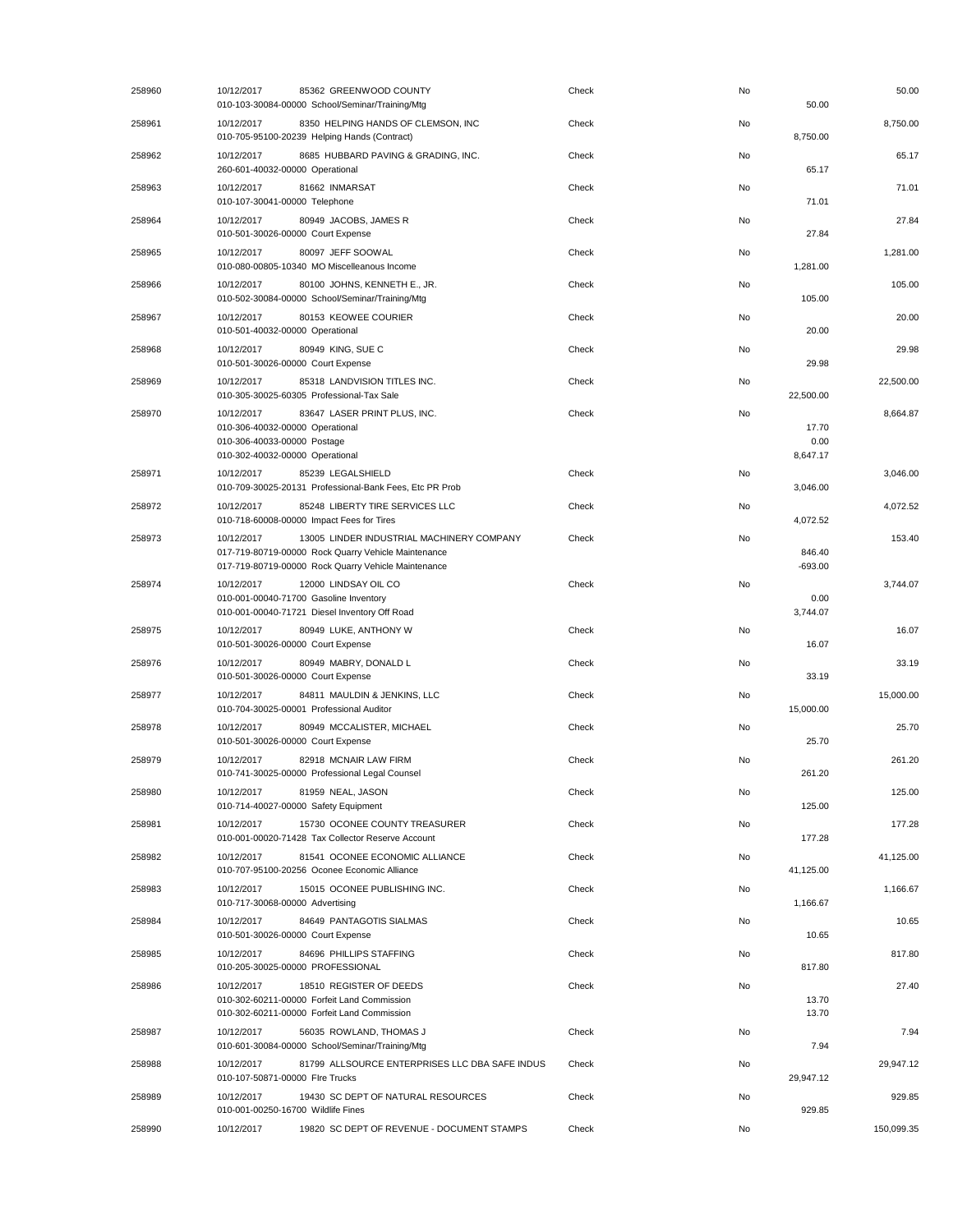| 258960 | 10/12/2017<br>85362 GREENWOOD COUNTY<br>010-103-30084-00000 School/Seminar/Training/Mtg                                                                               |                                                | Check | No<br>50.00                     | 50.00      |
|--------|-----------------------------------------------------------------------------------------------------------------------------------------------------------------------|------------------------------------------------|-------|---------------------------------|------------|
| 258961 | 10/12/2017<br>8350 HELPING HANDS OF CLEMSON, INC<br>010-705-95100-20239 Helping Hands (Contract)                                                                      |                                                | Check | No<br>8,750.00                  | 8,750.00   |
| 258962 | 8685 HUBBARD PAVING & GRADING, INC.<br>10/12/2017<br>260-601-40032-00000 Operational                                                                                  |                                                | Check | No<br>65.17                     | 65.17      |
| 258963 | 10/12/2017<br>81662 INMARSAT<br>010-107-30041-00000 Telephone                                                                                                         |                                                | Check | No<br>71.01                     | 71.01      |
| 258964 | 10/12/2017<br>80949 JACOBS, JAMES R<br>010-501-30026-00000 Court Expense                                                                                              |                                                | Check | No<br>27.84                     | 27.84      |
| 258965 | 10/12/2017<br>80097 JEFF SOOWAL<br>010-080-00805-10340 MO Miscelleanous Income                                                                                        |                                                | Check | No<br>1,281.00                  | 1,281.00   |
| 258966 | 80100 JOHNS, KENNETH E., JR.<br>10/12/2017<br>010-502-30084-00000 School/Seminar/Training/Mtg                                                                         |                                                | Check | No<br>105.00                    | 105.00     |
| 258967 | 80153 KEOWEE COURIER<br>10/12/2017<br>010-501-40032-00000 Operational                                                                                                 |                                                | Check | No<br>20.00                     | 20.00      |
| 258968 | 10/12/2017<br>80949 KING, SUE C<br>010-501-30026-00000 Court Expense                                                                                                  |                                                | Check | No<br>29.98                     | 29.98      |
| 258969 | 10/12/2017<br>85318 LANDVISION TITLES INC.<br>010-305-30025-60305 Professional-Tax Sale                                                                               |                                                | Check | No<br>22,500.00                 | 22,500.00  |
| 258970 | 83647 LASER PRINT PLUS, INC.<br>10/12/2017<br>010-306-40032-00000 Operational<br>010-306-40033-00000 Postage<br>010-302-40032-00000 Operational                       |                                                | Check | No<br>17.70<br>0.00<br>8,647.17 | 8,664.87   |
| 258971 | 85239 LEGALSHIELD<br>10/12/2017<br>010-709-30025-20131 Professional-Bank Fees, Etc PR Prob                                                                            |                                                | Check | No<br>3,046.00                  | 3,046.00   |
| 258972 | 10/12/2017<br>85248 LIBERTY TIRE SERVICES LLC<br>010-718-60008-00000 Impact Fees for Tires                                                                            |                                                | Check | No<br>4,072.52                  | 4,072.52   |
| 258973 | 10/12/2017<br>13005 LINDER INDUSTRIAL MACHINERY COMPANY<br>017-719-80719-00000 Rock Quarry Vehicle Maintenance<br>017-719-80719-00000 Rock Quarry Vehicle Maintenance |                                                | Check | No<br>846.40<br>$-693.00$       | 153.40     |
| 258974 | 10/12/2017<br>12000 LINDSAY OIL CO<br>010-001-00040-71700 Gasoline Inventory<br>010-001-00040-71721 Diesel Inventory Off Road                                         |                                                | Check | No<br>0.00<br>3,744.07          | 3,744.07   |
| 258975 | 10/12/2017<br>80949 LUKE, ANTHONY W<br>010-501-30026-00000 Court Expense                                                                                              |                                                | Check | No<br>16.07                     | 16.07      |
| 258976 | 10/12/2017<br>80949 MABRY, DONALD L<br>010-501-30026-00000 Court Expense                                                                                              |                                                | Check | No<br>33.19                     | 33.19      |
| 258977 | 10/12/2017<br>84811 MAULDIN & JENKINS, LLC<br>010-704-30025-00001 Professional Auditor                                                                                |                                                | Check | No<br>15,000.00                 | 15,000.00  |
| 258978 | 80949 MCCALISTER, MICHAEL<br>10/12/2017<br>010-501-30026-00000 Court Expense                                                                                          |                                                | Check | No<br>25.70                     | 25.70      |
| 258979 | 10/12/2017<br>82918 MCNAIR LAW FIRM<br>010-741-30025-00000 Professional Legal Counsel                                                                                 |                                                | Check | No<br>261.20                    | 261.20     |
| 258980 | 10/12/2017<br>81959 NEAL, JASON<br>010-714-40027-00000 Safety Equipment                                                                                               |                                                | Check | No<br>125.00                    | 125.00     |
| 258981 | 10/12/2017<br>15730 OCONEE COUNTY TREASURER<br>010-001-00020-71428 Tax Collector Reserve Account                                                                      |                                                | Check | No<br>177.28                    | 177.28     |
| 258982 | 81541 OCONEE ECONOMIC ALLIANCE<br>10/12/2017<br>010-707-95100-20256 Oconee Economic Alliance                                                                          |                                                | Check | No<br>41,125.00                 | 41,125.00  |
| 258983 | 15015 OCONEE PUBLISHING INC.<br>10/12/2017<br>010-717-30068-00000 Advertising                                                                                         |                                                | Check | No<br>1,166.67                  | 1,166.67   |
| 258984 | 10/12/2017<br>84649 PANTAGOTIS SIALMAS<br>010-501-30026-00000 Court Expense                                                                                           |                                                | Check | No<br>10.65                     | 10.65      |
| 258985 | 10/12/2017<br>84696 PHILLIPS STAFFING<br>010-205-30025-00000 PROFESSIONAL                                                                                             |                                                | Check | No<br>817.80                    | 817.80     |
| 258986 | 10/12/2017<br>18510 REGISTER OF DEEDS<br>010-302-60211-00000 Forfeit Land Commission<br>010-302-60211-00000 Forfeit Land Commission                                   |                                                | Check | No<br>13.70<br>13.70            | 27.40      |
| 258987 | 10/12/2017<br>56035 ROWLAND, THOMAS J<br>010-601-30084-00000 School/Seminar/Training/Mtg                                                                              |                                                | Check | No<br>7.94                      | 7.94       |
| 258988 | 10/12/2017<br>010-107-50871-00000 Flre Trucks                                                                                                                         | 81799 ALLSOURCE ENTERPRISES LLC DBA SAFE INDUS | Check | No<br>29,947.12                 | 29,947.12  |
| 258989 | 10/12/2017<br>19430 SC DEPT OF NATURAL RESOURCES<br>010-001-00250-16700 Wildlife Fines                                                                                |                                                | Check | No<br>929.85                    | 929.85     |
| 258990 | 10/12/2017<br>19820 SC DEPT OF REVENUE - DOCUMENT STAMPS                                                                                                              |                                                | Check | No                              | 150,099.35 |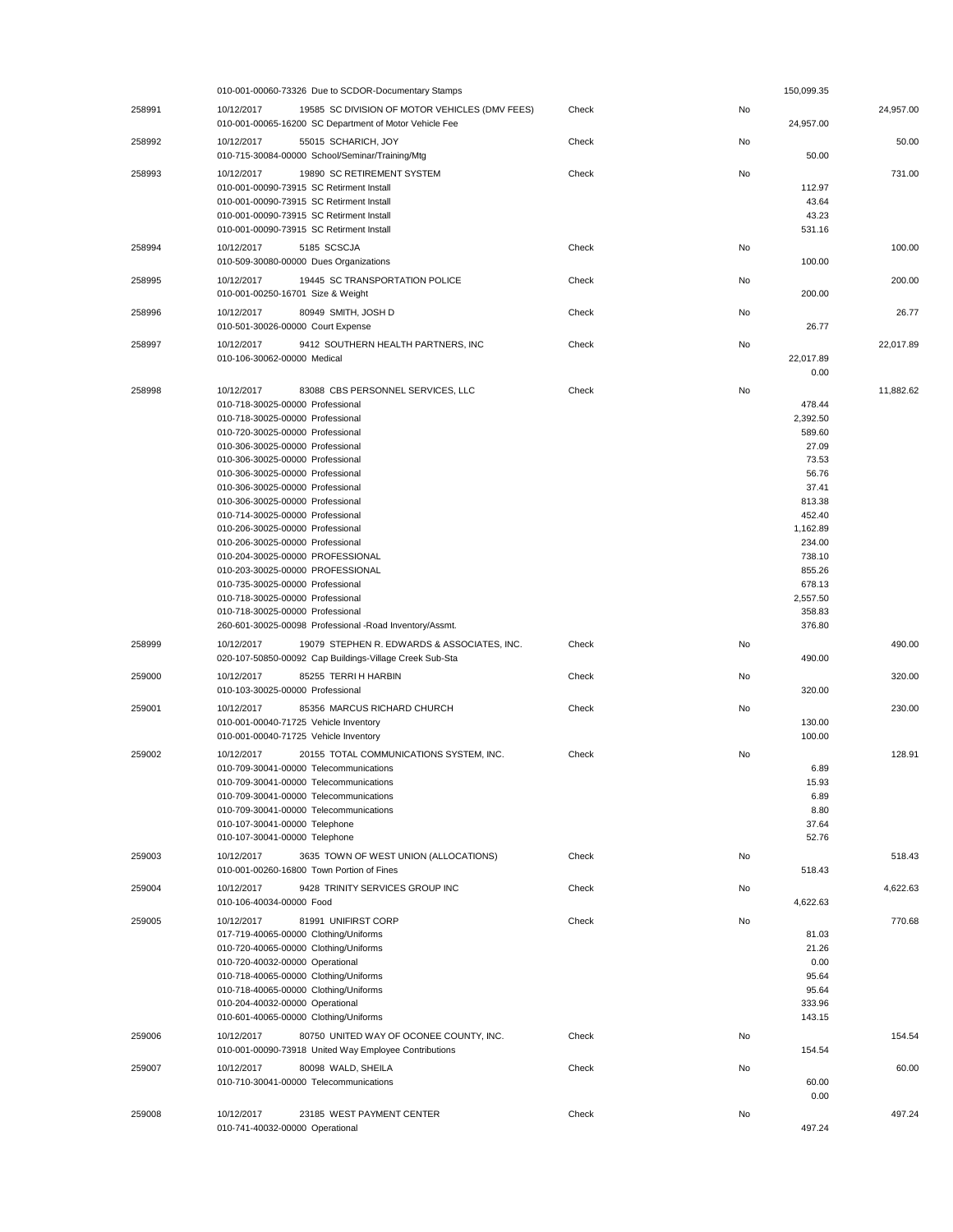|        | 010-001-00060-73326 Due to SCDOR-Documentary Stamps                                                                                                                                                                                                                                                                                                                                                                                                                                                                                                                                                                                                                                                        |       |    | 150,099.35                                                                                                                                                               |           |
|--------|------------------------------------------------------------------------------------------------------------------------------------------------------------------------------------------------------------------------------------------------------------------------------------------------------------------------------------------------------------------------------------------------------------------------------------------------------------------------------------------------------------------------------------------------------------------------------------------------------------------------------------------------------------------------------------------------------------|-------|----|--------------------------------------------------------------------------------------------------------------------------------------------------------------------------|-----------|
| 258991 | 10/12/2017<br>19585 SC DIVISION OF MOTOR VEHICLES (DMV FEES)<br>010-001-00065-16200 SC Department of Motor Vehicle Fee                                                                                                                                                                                                                                                                                                                                                                                                                                                                                                                                                                                     | Check | No | 24,957.00                                                                                                                                                                | 24,957.00 |
| 258992 | 55015 SCHARICH, JOY<br>10/12/2017<br>010-715-30084-00000 School/Seminar/Training/Mtg                                                                                                                                                                                                                                                                                                                                                                                                                                                                                                                                                                                                                       | Check | No | 50.00                                                                                                                                                                    | 50.00     |
| 258993 | 19890 SC RETIREMENT SYSTEM<br>10/12/2017<br>010-001-00090-73915 SC Retirment Install<br>010-001-00090-73915 SC Retirment Install<br>010-001-00090-73915 SC Retirment Install<br>010-001-00090-73915 SC Retirment Install                                                                                                                                                                                                                                                                                                                                                                                                                                                                                   | Check | No | 112.97<br>43.64<br>43.23<br>531.16                                                                                                                                       | 731.00    |
| 258994 | 10/12/2017<br>5185 SCSCJA<br>010-509-30080-00000 Dues Organizations                                                                                                                                                                                                                                                                                                                                                                                                                                                                                                                                                                                                                                        | Check | No | 100.00                                                                                                                                                                   | 100.00    |
| 258995 | 10/12/2017<br>19445 SC TRANSPORTATION POLICE<br>010-001-00250-16701 Size & Weight                                                                                                                                                                                                                                                                                                                                                                                                                                                                                                                                                                                                                          | Check | No | 200.00                                                                                                                                                                   | 200.00    |
| 258996 | 10/12/2017<br>80949 SMITH, JOSH D<br>010-501-30026-00000 Court Expense                                                                                                                                                                                                                                                                                                                                                                                                                                                                                                                                                                                                                                     | Check | No | 26.77                                                                                                                                                                    | 26.77     |
| 258997 | 10/12/2017<br>9412 SOUTHERN HEALTH PARTNERS, INC<br>010-106-30062-00000 Medical                                                                                                                                                                                                                                                                                                                                                                                                                                                                                                                                                                                                                            | Check | No | 22,017.89<br>0.00                                                                                                                                                        | 22,017.89 |
| 258998 | 10/12/2017<br>83088 CBS PERSONNEL SERVICES, LLC<br>010-718-30025-00000 Professional<br>010-718-30025-00000 Professional<br>010-720-30025-00000 Professional<br>010-306-30025-00000 Professional<br>010-306-30025-00000 Professional<br>010-306-30025-00000 Professional<br>010-306-30025-00000 Professional<br>010-306-30025-00000 Professional<br>010-714-30025-00000 Professional<br>010-206-30025-00000 Professional<br>010-206-30025-00000 Professional<br>010-204-30025-00000 PROFESSIONAL<br>010-203-30025-00000 PROFESSIONAL<br>010-735-30025-00000 Professional<br>010-718-30025-00000 Professional<br>010-718-30025-00000 Professional<br>260-601-30025-00098 Professional -Road Inventory/Assmt. | Check | No | 478.44<br>2,392.50<br>589.60<br>27.09<br>73.53<br>56.76<br>37.41<br>813.38<br>452.40<br>1,162.89<br>234.00<br>738.10<br>855.26<br>678.13<br>2,557.50<br>358.83<br>376.80 | 11,882.62 |
| 258999 | 10/12/2017<br>19079 STEPHEN R. EDWARDS & ASSOCIATES, INC.<br>020-107-50850-00092 Cap Buildings-Village Creek Sub-Sta                                                                                                                                                                                                                                                                                                                                                                                                                                                                                                                                                                                       | Check | No | 490.00                                                                                                                                                                   | 490.00    |
| 259000 | 10/12/2017<br>85255 TERRI H HARBIN<br>010-103-30025-00000 Professional                                                                                                                                                                                                                                                                                                                                                                                                                                                                                                                                                                                                                                     | Check | No | 320.00                                                                                                                                                                   | 320.00    |
| 259001 | 10/12/2017<br>85356 MARCUS RICHARD CHURCH<br>010-001-00040-71725 Vehicle Inventory<br>010-001-00040-71725 Vehicle Inventory                                                                                                                                                                                                                                                                                                                                                                                                                                                                                                                                                                                | Check | No | 130.00<br>100.00                                                                                                                                                         | 230.00    |
| 259002 | 20155 TOTAL COMMUNICATIONS SYSTEM, INC.<br>10/12/2017<br>010-709-30041-00000 Telecommunications<br>010-709-30041-00000 Telecommunications<br>010-709-30041-00000 Telecommunications<br>010-709-30041-00000 Telecommunications<br>010-107-30041-00000 Telephone<br>010-107-30041-00000 Telephone                                                                                                                                                                                                                                                                                                                                                                                                            | Check | No | 6.89<br>15.93<br>6.89<br>8.80<br>37.64<br>52.76                                                                                                                          | 128.91    |
| 259003 | 3635 TOWN OF WEST UNION (ALLOCATIONS)<br>10/12/2017<br>010-001-00260-16800 Town Portion of Fines                                                                                                                                                                                                                                                                                                                                                                                                                                                                                                                                                                                                           | Check | No | 518.43                                                                                                                                                                   | 518.43    |
| 259004 | 10/12/2017<br>9428 TRINITY SERVICES GROUP INC<br>010-106-40034-00000 Food                                                                                                                                                                                                                                                                                                                                                                                                                                                                                                                                                                                                                                  | Check | No | 4,622.63                                                                                                                                                                 | 4,622.63  |
| 259005 | 10/12/2017<br>81991 UNIFIRST CORP<br>017-719-40065-00000 Clothing/Uniforms<br>010-720-40065-00000 Clothing/Uniforms<br>010-720-40032-00000 Operational<br>010-718-40065-00000 Clothing/Uniforms<br>010-718-40065-00000 Clothing/Uniforms<br>010-204-40032-00000 Operational<br>010-601-40065-00000 Clothing/Uniforms                                                                                                                                                                                                                                                                                                                                                                                       | Check | No | 81.03<br>21.26<br>0.00<br>95.64<br>95.64<br>333.96<br>143.15                                                                                                             | 770.68    |
| 259006 | 10/12/2017<br>80750 UNITED WAY OF OCONEE COUNTY, INC.<br>010-001-00090-73918 United Way Employee Contributions                                                                                                                                                                                                                                                                                                                                                                                                                                                                                                                                                                                             | Check | No | 154.54                                                                                                                                                                   | 154.54    |
| 259007 | 10/12/2017<br>80098 WALD, SHEILA<br>010-710-30041-00000 Telecommunications                                                                                                                                                                                                                                                                                                                                                                                                                                                                                                                                                                                                                                 | Check | No | 60.00<br>0.00                                                                                                                                                            | 60.00     |
| 259008 | 10/12/2017<br>23185 WEST PAYMENT CENTER<br>010-741-40032-00000 Operational                                                                                                                                                                                                                                                                                                                                                                                                                                                                                                                                                                                                                                 | Check | No | 497.24                                                                                                                                                                   | 497.24    |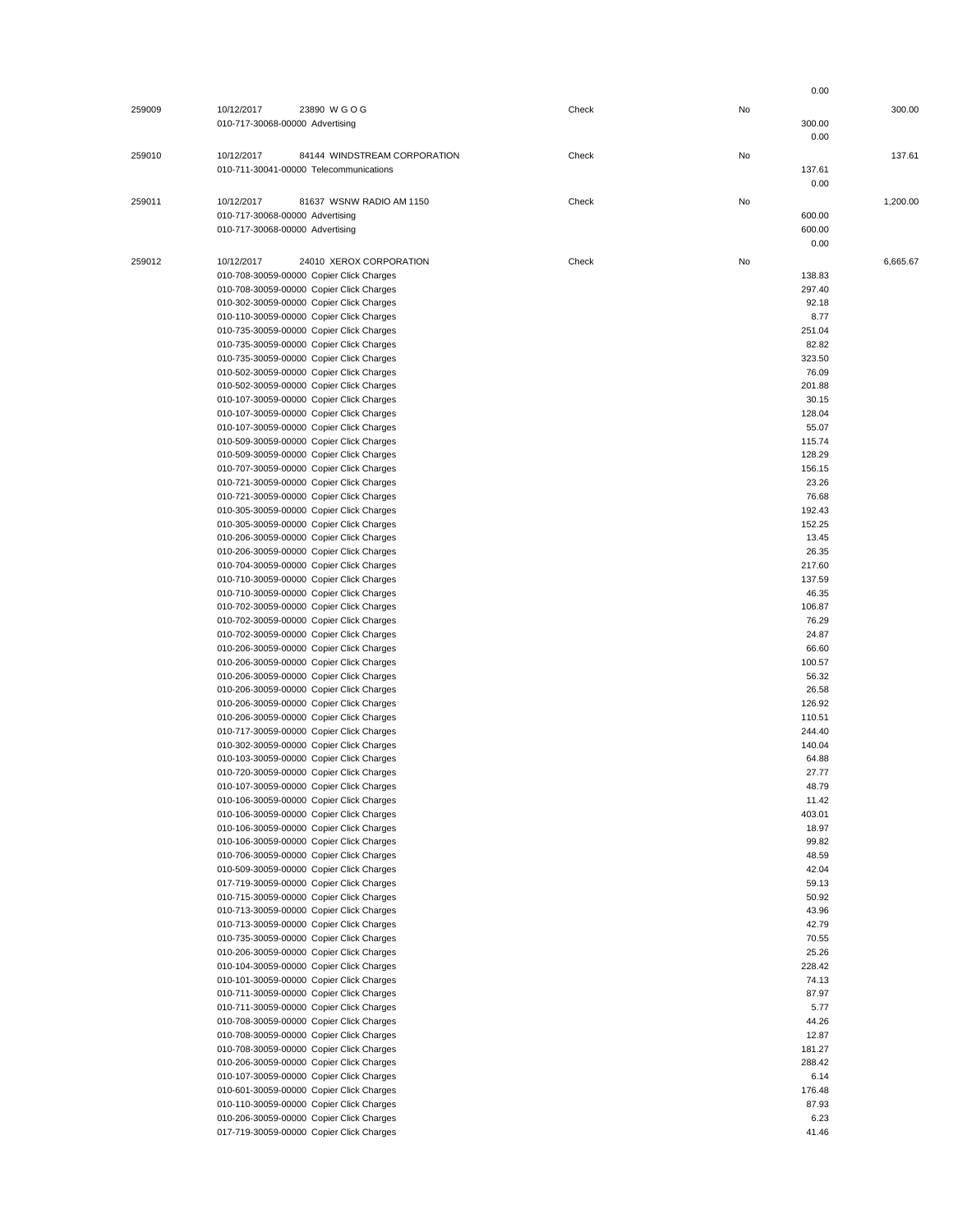|        |                                            |       |    | 0.00     |
|--------|--------------------------------------------|-------|----|----------|
| 259009 | 23890 WGOG<br>10/12/2017                   | Check | No | 300.00   |
|        | 010-717-30068-00000 Advertising            |       |    | 300.00   |
|        |                                            |       |    |          |
|        |                                            |       |    | 0.00     |
| 259010 | 10/12/2017<br>84144 WINDSTREAM CORPORATION | Check | No | 137.61   |
|        | 010-711-30041-00000 Telecommunications     |       |    | 137.61   |
|        |                                            |       |    | 0.00     |
|        |                                            |       |    |          |
| 259011 | 10/12/2017<br>81637 WSNW RADIO AM 1150     | Check | No | 1,200.00 |
|        | 010-717-30068-00000 Advertising            |       |    | 600.00   |
|        | 010-717-30068-00000 Advertising            |       |    | 600.00   |
|        |                                            |       |    | 0.00     |
| 259012 | 10/12/2017<br>24010 XEROX CORPORATION      | Check | No | 6,665.67 |
|        | 010-708-30059-00000 Copier Click Charges   |       |    | 138.83   |
|        | 010-708-30059-00000 Copier Click Charges   |       |    | 297.40   |
|        | 010-302-30059-00000 Copier Click Charges   |       |    |          |
|        |                                            |       |    | 92.18    |
|        | 010-110-30059-00000 Copier Click Charges   |       |    | 8.77     |
|        | 010-735-30059-00000 Copier Click Charges   |       |    | 251.04   |
|        | 010-735-30059-00000 Copier Click Charges   |       |    | 82.82    |
|        | 010-735-30059-00000 Copier Click Charges   |       |    | 323.50   |
|        | 010-502-30059-00000 Copier Click Charges   |       |    | 76.09    |
|        | 010-502-30059-00000 Copier Click Charges   |       |    | 201.88   |
|        | 010-107-30059-00000 Copier Click Charges   |       |    | 30.15    |
|        | 010-107-30059-00000 Copier Click Charges   |       |    | 128.04   |
|        | 010-107-30059-00000 Copier Click Charges   |       |    | 55.07    |
|        | 010-509-30059-00000 Copier Click Charges   |       |    | 115.74   |
|        | 010-509-30059-00000 Copier Click Charges   |       |    | 128.29   |
|        | 010-707-30059-00000 Copier Click Charges   |       |    | 156.15   |
|        | 010-721-30059-00000 Copier Click Charges   |       |    | 23.26    |
|        |                                            |       |    |          |
|        | 010-721-30059-00000 Copier Click Charges   |       |    | 76.68    |
|        | 010-305-30059-00000 Copier Click Charges   |       |    | 192.43   |
|        | 010-305-30059-00000 Copier Click Charges   |       |    | 152.25   |
|        | 010-206-30059-00000 Copier Click Charges   |       |    | 13.45    |
|        | 010-206-30059-00000 Copier Click Charges   |       |    | 26.35    |
|        | 010-704-30059-00000 Copier Click Charges   |       |    | 217.60   |
|        | 010-710-30059-00000 Copier Click Charges   |       |    | 137.59   |
|        | 010-710-30059-00000 Copier Click Charges   |       |    | 46.35    |
|        | 010-702-30059-00000 Copier Click Charges   |       |    | 106.87   |
|        | 010-702-30059-00000 Copier Click Charges   |       |    | 76.29    |
|        | 010-702-30059-00000 Copier Click Charges   |       |    | 24.87    |
|        |                                            |       |    |          |
|        | 010-206-30059-00000 Copier Click Charges   |       |    | 66.60    |
|        | 010-206-30059-00000 Copier Click Charges   |       |    | 100.57   |
|        | 010-206-30059-00000 Copier Click Charges   |       |    | 56.32    |
|        | 010-206-30059-00000 Copier Click Charges   |       |    | 26.58    |
|        | 010-206-30059-00000 Copier Click Charges   |       |    | 126.92   |
|        | 010-206-30059-00000 Copier Click Charges   |       |    | 110.51   |
|        | 010-717-30059-00000 Copier Click Charges   |       |    | 244.40   |
|        | 010-302-30059-00000 Copier Click Charges   |       |    | 140.04   |
|        | 010-103-30059-00000 Copier Click Charges   |       |    | 64.88    |
|        | 010-720-30059-00000 Copier Click Charges   |       |    | 27.77    |
|        | 010-107-30059-00000 Copier Click Charges   |       |    | 48.79    |
|        | 010-106-30059-00000 Copier Click Charges   |       |    | 11.42    |
|        | 010-106-30059-00000 Copier Click Charges   |       |    | 403.01   |
|        | 010-106-30059-00000 Copier Click Charges   |       |    | 18.97    |
|        |                                            |       |    |          |
|        | 010-106-30059-00000 Copier Click Charges   |       |    | 99.82    |
|        | 010-706-30059-00000 Copier Click Charges   |       |    | 48.59    |
|        | 010-509-30059-00000 Copier Click Charges   |       |    | 42.04    |
|        | 017-719-30059-00000 Copier Click Charges   |       |    | 59.13    |
|        | 010-715-30059-00000 Copier Click Charges   |       |    | 50.92    |
|        | 010-713-30059-00000 Copier Click Charges   |       |    | 43.96    |
|        | 010-713-30059-00000 Copier Click Charges   |       |    | 42.79    |
|        | 010-735-30059-00000 Copier Click Charges   |       |    | 70.55    |
|        | 010-206-30059-00000 Copier Click Charges   |       |    | 25.26    |
|        | 010-104-30059-00000 Copier Click Charges   |       |    | 228.42   |
|        | 010-101-30059-00000 Copier Click Charges   |       |    | 74.13    |
|        | 010-711-30059-00000 Copier Click Charges   |       |    | 87.97    |
|        | 010-711-30059-00000 Copier Click Charges   |       |    | 5.77     |
|        |                                            |       |    |          |
|        | 010-708-30059-00000 Copier Click Charges   |       |    | 44.26    |
|        | 010-708-30059-00000 Copier Click Charges   |       |    | 12.87    |
|        | 010-708-30059-00000 Copier Click Charges   |       |    | 181.27   |
|        | 010-206-30059-00000 Copier Click Charges   |       |    | 288.42   |
|        | 010-107-30059-00000 Copier Click Charges   |       |    | 6.14     |
|        | 010-601-30059-00000 Copier Click Charges   |       |    | 176.48   |
|        | 010-110-30059-00000 Copier Click Charges   |       |    | 87.93    |
|        | 010-206-30059-00000 Copier Click Charges   |       |    | 6.23     |
|        | 017-719-30059-00000 Copier Click Charges   |       |    | 41.46    |
|        |                                            |       |    |          |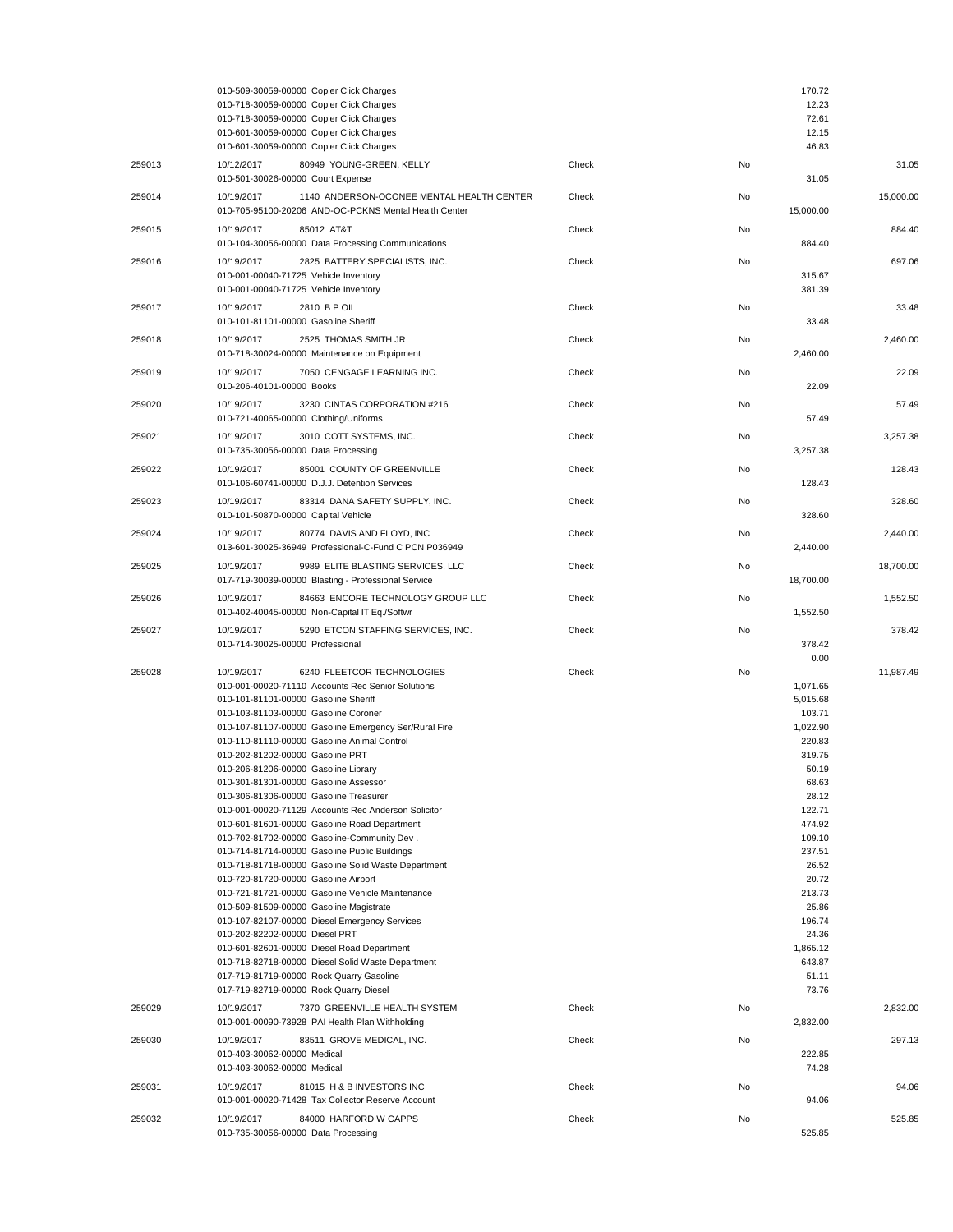|        | 010-509-30059-00000 Copier Click Charges<br>010-718-30059-00000 Copier Click Charges<br>010-718-30059-00000 Copier Click Charges<br>010-601-30059-00000 Copier Click Charges                                                                                                                                                                                                                                                                                                                                                                                                                                                                                                                                                                                                                                                                                                                                                                                                                                                                                                                                                         |       |    | 170.72<br>12.23<br>72.61<br>12.15                                                                                                                                                                                                 |           |
|--------|--------------------------------------------------------------------------------------------------------------------------------------------------------------------------------------------------------------------------------------------------------------------------------------------------------------------------------------------------------------------------------------------------------------------------------------------------------------------------------------------------------------------------------------------------------------------------------------------------------------------------------------------------------------------------------------------------------------------------------------------------------------------------------------------------------------------------------------------------------------------------------------------------------------------------------------------------------------------------------------------------------------------------------------------------------------------------------------------------------------------------------------|-------|----|-----------------------------------------------------------------------------------------------------------------------------------------------------------------------------------------------------------------------------------|-----------|
| 259013 | 010-601-30059-00000 Copier Click Charges<br>10/12/2017<br>80949 YOUNG-GREEN, KELLY                                                                                                                                                                                                                                                                                                                                                                                                                                                                                                                                                                                                                                                                                                                                                                                                                                                                                                                                                                                                                                                   | Check | No | 46.83                                                                                                                                                                                                                             | 31.05     |
| 259014 | 010-501-30026-00000 Court Expense<br>10/19/2017<br>1140 ANDERSON-OCONEE MENTAL HEALTH CENTER                                                                                                                                                                                                                                                                                                                                                                                                                                                                                                                                                                                                                                                                                                                                                                                                                                                                                                                                                                                                                                         | Check | No | 31.05                                                                                                                                                                                                                             | 15,000.00 |
| 259015 | 010-705-95100-20206 AND-OC-PCKNS Mental Health Center<br>10/19/2017<br>85012 AT&T                                                                                                                                                                                                                                                                                                                                                                                                                                                                                                                                                                                                                                                                                                                                                                                                                                                                                                                                                                                                                                                    | Check | No | 15,000.00                                                                                                                                                                                                                         | 884.40    |
| 259016 | 010-104-30056-00000 Data Processing Communications<br>2825 BATTERY SPECIALISTS, INC.<br>10/19/2017                                                                                                                                                                                                                                                                                                                                                                                                                                                                                                                                                                                                                                                                                                                                                                                                                                                                                                                                                                                                                                   | Check | No | 884.40                                                                                                                                                                                                                            | 697.06    |
|        | 010-001-00040-71725 Vehicle Inventory<br>010-001-00040-71725 Vehicle Inventory                                                                                                                                                                                                                                                                                                                                                                                                                                                                                                                                                                                                                                                                                                                                                                                                                                                                                                                                                                                                                                                       |       |    | 315.67<br>381.39                                                                                                                                                                                                                  |           |
| 259017 | 2810 B P OIL<br>10/19/2017<br>010-101-81101-00000 Gasoline Sheriff                                                                                                                                                                                                                                                                                                                                                                                                                                                                                                                                                                                                                                                                                                                                                                                                                                                                                                                                                                                                                                                                   | Check | No | 33.48                                                                                                                                                                                                                             | 33.48     |
| 259018 | 2525 THOMAS SMITH JR<br>10/19/2017<br>010-718-30024-00000 Maintenance on Equipment                                                                                                                                                                                                                                                                                                                                                                                                                                                                                                                                                                                                                                                                                                                                                                                                                                                                                                                                                                                                                                                   | Check | No | 2,460.00                                                                                                                                                                                                                          | 2,460.00  |
| 259019 | 7050 CENGAGE LEARNING INC.<br>10/19/2017<br>010-206-40101-00000 Books                                                                                                                                                                                                                                                                                                                                                                                                                                                                                                                                                                                                                                                                                                                                                                                                                                                                                                                                                                                                                                                                | Check | No | 22.09                                                                                                                                                                                                                             | 22.09     |
| 259020 | 3230 CINTAS CORPORATION #216<br>10/19/2017<br>010-721-40065-00000 Clothing/Uniforms                                                                                                                                                                                                                                                                                                                                                                                                                                                                                                                                                                                                                                                                                                                                                                                                                                                                                                                                                                                                                                                  | Check | No | 57.49                                                                                                                                                                                                                             | 57.49     |
| 259021 | 10/19/2017<br>3010 COTT SYSTEMS, INC.<br>010-735-30056-00000 Data Processing                                                                                                                                                                                                                                                                                                                                                                                                                                                                                                                                                                                                                                                                                                                                                                                                                                                                                                                                                                                                                                                         | Check | No | 3,257.38                                                                                                                                                                                                                          | 3,257.38  |
| 259022 | 85001 COUNTY OF GREENVILLE<br>10/19/2017<br>010-106-60741-00000 D.J.J. Detention Services                                                                                                                                                                                                                                                                                                                                                                                                                                                                                                                                                                                                                                                                                                                                                                                                                                                                                                                                                                                                                                            | Check | No | 128.43                                                                                                                                                                                                                            | 128.43    |
| 259023 | 10/19/2017<br>83314 DANA SAFETY SUPPLY, INC.<br>010-101-50870-00000 Capital Vehicle                                                                                                                                                                                                                                                                                                                                                                                                                                                                                                                                                                                                                                                                                                                                                                                                                                                                                                                                                                                                                                                  | Check | No | 328.60                                                                                                                                                                                                                            | 328.60    |
| 259024 | 10/19/2017<br>80774 DAVIS AND FLOYD, INC<br>013-601-30025-36949 Professional-C-Fund C PCN P036949                                                                                                                                                                                                                                                                                                                                                                                                                                                                                                                                                                                                                                                                                                                                                                                                                                                                                                                                                                                                                                    | Check | No | 2,440.00                                                                                                                                                                                                                          | 2,440.00  |
| 259025 | 10/19/2017<br>9989 ELITE BLASTING SERVICES, LLC<br>017-719-30039-00000 Blasting - Professional Service                                                                                                                                                                                                                                                                                                                                                                                                                                                                                                                                                                                                                                                                                                                                                                                                                                                                                                                                                                                                                               | Check | No | 18,700.00                                                                                                                                                                                                                         | 18,700.00 |
| 259026 | 10/19/2017<br>84663 ENCORE TECHNOLOGY GROUP LLC<br>010-402-40045-00000 Non-Capital IT Eq./Softwr                                                                                                                                                                                                                                                                                                                                                                                                                                                                                                                                                                                                                                                                                                                                                                                                                                                                                                                                                                                                                                     | Check | No | 1,552.50                                                                                                                                                                                                                          | 1,552.50  |
| 259027 | 10/19/2017<br>5290 ETCON STAFFING SERVICES, INC.<br>010-714-30025-00000 Professional                                                                                                                                                                                                                                                                                                                                                                                                                                                                                                                                                                                                                                                                                                                                                                                                                                                                                                                                                                                                                                                 | Check | No | 378.42<br>0.00                                                                                                                                                                                                                    | 378.42    |
| 259028 | 6240 FLEETCOR TECHNOLOGIES<br>10/19/2017<br>010-001-00020-71110 Accounts Rec Senior Solutions<br>010-101-81101-00000 Gasoline Sheriff<br>010-103-81103-00000 Gasoline Coroner<br>010-107-81107-00000 Gasoline Emergency Ser/Rural Fire<br>010-110-81110-00000 Gasoline Animal Control<br>010-202-81202-00000 Gasoline PRT<br>010-206-81206-00000 Gasoline Library<br>010-301-81301-00000 Gasoline Assesso<br>010-306-81306-00000 Gasoline Treasurer<br>010-001-00020-71129 Accounts Rec Anderson Solicitor<br>010-601-81601-00000 Gasoline Road Department<br>010-702-81702-00000 Gasoline-Community Dev.<br>010-714-81714-00000 Gasoline Public Buildings<br>010-718-81718-00000 Gasoline Solid Waste Department<br>010-720-81720-00000 Gasoline Airport<br>010-721-81721-00000 Gasoline Vehicle Maintenance<br>010-509-81509-00000 Gasoline Magistrate<br>010-107-82107-00000 Diesel Emergency Services<br>010-202-82202-00000 Diesel PRT<br>010-601-82601-00000 Diesel Road Department<br>010-718-82718-00000 Diesel Solid Waste Department<br>017-719-81719-00000 Rock Quarry Gasoline<br>017-719-82719-00000 Rock Quarry Diesel | Check | No | 1,071.65<br>5,015.68<br>103.71<br>1,022.90<br>220.83<br>319.75<br>50.19<br>68.63<br>28.12<br>122.71<br>474.92<br>109.10<br>237.51<br>26.52<br>20.72<br>213.73<br>25.86<br>196.74<br>24.36<br>1,865.12<br>643.87<br>51.11<br>73.76 | 11,987.49 |
| 259029 | 7370 GREENVILLE HEALTH SYSTEM<br>10/19/2017<br>010-001-00090-73928 PAI Health Plan Withholding                                                                                                                                                                                                                                                                                                                                                                                                                                                                                                                                                                                                                                                                                                                                                                                                                                                                                                                                                                                                                                       | Check | No | 2,832.00                                                                                                                                                                                                                          | 2,832.00  |
| 259030 | 10/19/2017<br>83511 GROVE MEDICAL, INC.<br>010-403-30062-00000 Medical<br>010-403-30062-00000 Medical                                                                                                                                                                                                                                                                                                                                                                                                                                                                                                                                                                                                                                                                                                                                                                                                                                                                                                                                                                                                                                | Check | No | 222.85<br>74.28                                                                                                                                                                                                                   | 297.13    |
| 259031 | 10/19/2017<br>81015 H & B INVESTORS INC<br>010-001-00020-71428 Tax Collector Reserve Account                                                                                                                                                                                                                                                                                                                                                                                                                                                                                                                                                                                                                                                                                                                                                                                                                                                                                                                                                                                                                                         | Check | No | 94.06                                                                                                                                                                                                                             | 94.06     |
| 259032 | 10/19/2017<br>84000 HARFORD W CAPPS<br>010-735-30056-00000 Data Processing                                                                                                                                                                                                                                                                                                                                                                                                                                                                                                                                                                                                                                                                                                                                                                                                                                                                                                                                                                                                                                                           | Check | No | 525.85                                                                                                                                                                                                                            | 525.85    |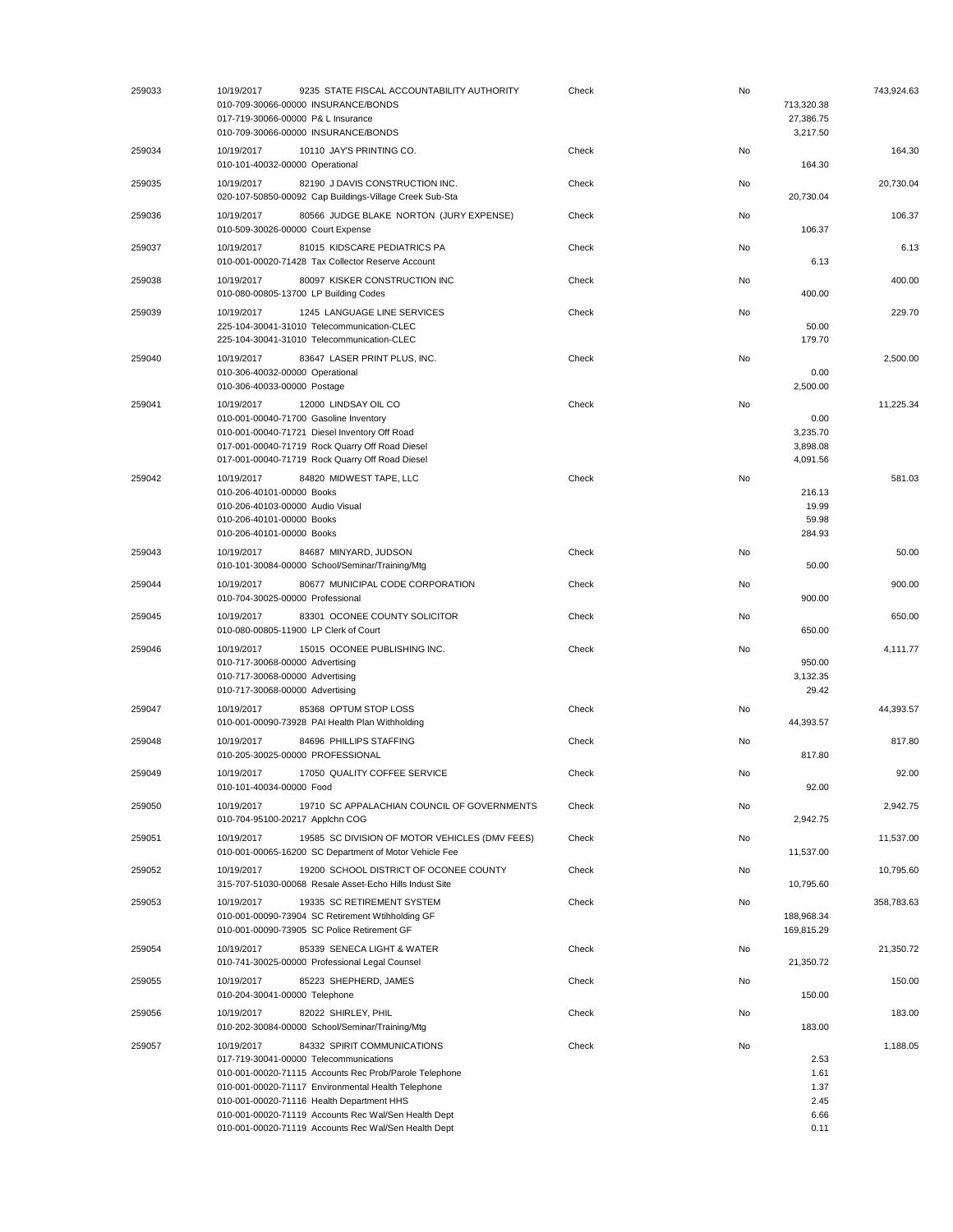| 259033 | 10/19/2017<br>9235 STATE FISCAL ACCOUNTABILITY AUTHORITY<br>010-709-30066-00000 INSURANCE/BONDS<br>017-719-30066-00000 P& L Insurance<br>010-709-30066-00000 INSURANCE/BONDS                                                                                                                                                                                     | Check | No | 713,320.38<br>27,386.75<br>3,217.50          | 743,924.63 |
|--------|------------------------------------------------------------------------------------------------------------------------------------------------------------------------------------------------------------------------------------------------------------------------------------------------------------------------------------------------------------------|-------|----|----------------------------------------------|------------|
| 259034 | 10/19/2017<br>10110 JAY'S PRINTING CO.<br>010-101-40032-00000 Operational                                                                                                                                                                                                                                                                                        | Check | No | 164.30                                       | 164.30     |
| 259035 | 10/19/2017<br>82190 J DAVIS CONSTRUCTION INC.<br>020-107-50850-00092 Cap Buildings-Village Creek Sub-Sta                                                                                                                                                                                                                                                         | Check | No | 20,730.04                                    | 20,730.04  |
| 259036 | 10/19/2017<br>80566 JUDGE BLAKE NORTON (JURY EXPENSE)<br>010-509-30026-00000 Court Expense                                                                                                                                                                                                                                                                       | Check | No | 106.37                                       | 106.37     |
| 259037 | 81015 KIDSCARE PEDIATRICS PA<br>10/19/2017<br>010-001-00020-71428 Tax Collector Reserve Account                                                                                                                                                                                                                                                                  | Check | No | 6.13                                         | 6.13       |
| 259038 | 10/19/2017<br>80097 KISKER CONSTRUCTION INC<br>010-080-00805-13700 LP Building Codes                                                                                                                                                                                                                                                                             | Check | No | 400.00                                       | 400.00     |
| 259039 | 10/19/2017<br>1245 LANGUAGE LINE SERVICES<br>225-104-30041-31010 Telecommunication-CLEC<br>225-104-30041-31010 Telecommunication-CLEC                                                                                                                                                                                                                            | Check | No | 50.00<br>179.70                              | 229.70     |
| 259040 | 10/19/2017<br>83647 LASER PRINT PLUS, INC.<br>010-306-40032-00000 Operational<br>010-306-40033-00000 Postage                                                                                                                                                                                                                                                     | Check | No | 0.00<br>2,500.00                             | 2,500.00   |
| 259041 | 10/19/2017<br>12000 LINDSAY OIL CO<br>010-001-00040-71700 Gasoline Inventory<br>010-001-00040-71721 Diesel Inventory Off Road<br>017-001-00040-71719 Rock Quarry Off Road Diesel<br>017-001-00040-71719 Rock Quarry Off Road Diesel                                                                                                                              | Check | No | 0.00<br>3,235.70<br>3,898.08<br>4,091.56     | 11,225.34  |
| 259042 | 10/19/2017<br>84820 MIDWEST TAPE, LLC<br>010-206-40101-00000 Books<br>010-206-40103-00000 Audio Visual<br>010-206-40101-00000 Books<br>010-206-40101-00000 Books                                                                                                                                                                                                 | Check | No | 216.13<br>19.99<br>59.98<br>284.93           | 581.03     |
| 259043 | 10/19/2017<br>84687 MINYARD, JUDSON<br>010-101-30084-00000 School/Seminar/Training/Mtg                                                                                                                                                                                                                                                                           | Check | No | 50.00                                        | 50.00      |
| 259044 | 80677 MUNICIPAL CODE CORPORATION<br>10/19/2017<br>010-704-30025-00000 Professional                                                                                                                                                                                                                                                                               | Check | No | 900.00                                       | 900.00     |
| 259045 | 83301 OCONEE COUNTY SOLICITOR<br>10/19/2017<br>010-080-00805-11900 LP Clerk of Court                                                                                                                                                                                                                                                                             | Check | No | 650.00                                       | 650.00     |
| 259046 | 10/19/2017<br>15015 OCONEE PUBLISHING INC.<br>010-717-30068-00000 Advertising<br>010-717-30068-00000 Advertising<br>010-717-30068-00000 Advertising                                                                                                                                                                                                              | Check | No | 950.00<br>3,132.35<br>29.42                  | 4,111.77   |
| 259047 | 85368 OPTUM STOP LOSS<br>10/19/2017<br>010-001-00090-73928 PAI Health Plan Withholding                                                                                                                                                                                                                                                                           | Check | No | 44,393.57                                    | 44,393.57  |
| 259048 | 10/19/2017<br>84696 PHILLIPS STAFFING<br>010-205-30025-00000 PROFESSIONAL                                                                                                                                                                                                                                                                                        | Check | No | 817.80                                       | 817.80     |
| 259049 | 10/19/2017<br>17050 QUALITY COFFEE SERVICE<br>010-101-40034-00000 Food                                                                                                                                                                                                                                                                                           | Check | No | 92.00                                        | 92.00      |
| 259050 | 10/19/2017<br>19710 SC APPALACHIAN COUNCIL OF GOVERNMENTS<br>010-704-95100-20217 Applchn COG                                                                                                                                                                                                                                                                     | Check | No | 2,942.75                                     | 2,942.75   |
| 259051 | 10/19/2017<br>19585 SC DIVISION OF MOTOR VEHICLES (DMV FEES)<br>010-001-00065-16200 SC Department of Motor Vehicle Fee                                                                                                                                                                                                                                           | Check | No | 11,537.00                                    | 11,537.00  |
| 259052 | 19200 SCHOOL DISTRICT OF OCONEE COUNTY<br>10/19/2017<br>315-707-51030-00068 Resale Asset-Echo Hills Indust Site                                                                                                                                                                                                                                                  | Check | No | 10,795.60                                    | 10,795.60  |
| 259053 | 10/19/2017<br>19335 SC RETIREMENT SYSTEM<br>010-001-00090-73904 SC Retirement Wtihholding GF<br>010-001-00090-73905 SC Police Retirement GF                                                                                                                                                                                                                      | Check | No | 188,968.34<br>169,815.29                     | 358,783.63 |
| 259054 | 85339 SENECA LIGHT & WATER<br>10/19/2017<br>010-741-30025-00000 Professional Legal Counsel                                                                                                                                                                                                                                                                       | Check | No | 21,350.72                                    | 21,350.72  |
| 259055 | 10/19/2017<br>85223 SHEPHERD, JAMES<br>010-204-30041-00000 Telephone                                                                                                                                                                                                                                                                                             | Check | No | 150.00                                       | 150.00     |
| 259056 | 82022 SHIRLEY, PHIL<br>10/19/2017<br>010-202-30084-00000 School/Seminar/Training/Mtg                                                                                                                                                                                                                                                                             | Check | No | 183.00                                       | 183.00     |
| 259057 | 10/19/2017<br>84332 SPIRIT COMMUNICATIONS<br>017-719-30041-00000 Telecommunications<br>010-001-00020-71115 Accounts Rec Prob/Parole Telephone<br>010-001-00020-71117 Environmental Health Telephone<br>010-001-00020-71116 Health Department HHS<br>010-001-00020-71119 Accounts Rec Wal/Sen Health Dept<br>010-001-00020-71119 Accounts Rec Wal/Sen Health Dept | Check | No | 2.53<br>1.61<br>1.37<br>2.45<br>6.66<br>0.11 | 1,188.05   |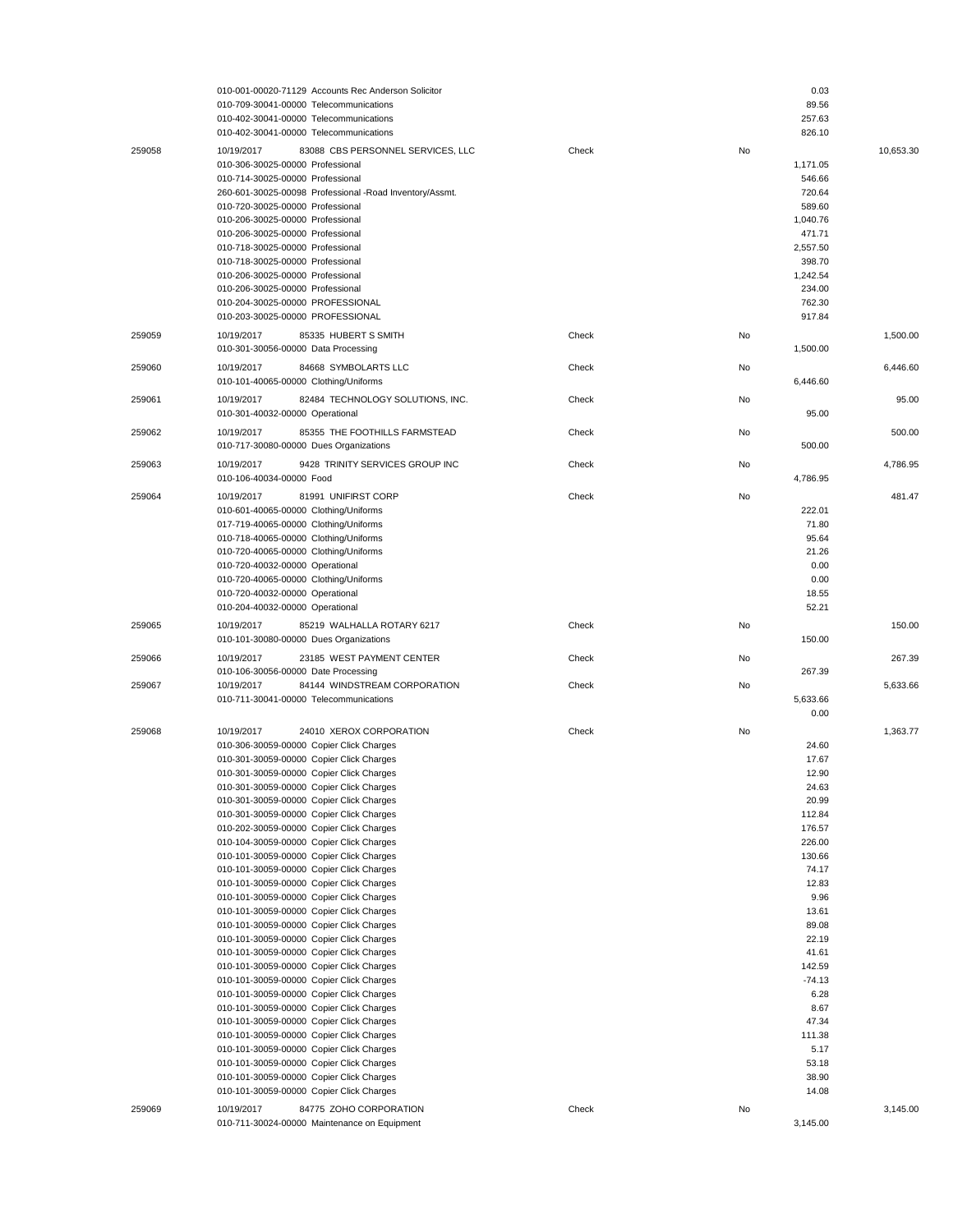|        |                                                                                      | 010-001-00020-71129 Accounts Rec Anderson Solicitor                    |       |    | 0.03             |           |
|--------|--------------------------------------------------------------------------------------|------------------------------------------------------------------------|-------|----|------------------|-----------|
|        | 010-709-30041-00000 Telecommunications                                               |                                                                        |       |    | 89.56            |           |
|        | 010-402-30041-00000 Telecommunications                                               |                                                                        |       |    | 257.63           |           |
|        | 010-402-30041-00000 Telecommunications                                               |                                                                        |       |    | 826.10           |           |
| 259058 | 10/19/2017                                                                           | 83088 CBS PERSONNEL SERVICES, LLC                                      | Check | No |                  | 10,653.30 |
|        | 010-306-30025-00000 Professional                                                     |                                                                        |       |    | 1,171.05         |           |
|        | 010-714-30025-00000 Professional                                                     | 260-601-30025-00098 Professional -Road Inventory/Assmt.                |       |    | 546.66<br>720.64 |           |
|        | 010-720-30025-00000 Professional                                                     |                                                                        |       |    | 589.60           |           |
|        | 010-206-30025-00000 Professional                                                     |                                                                        |       |    | 1,040.76         |           |
|        | 010-206-30025-00000 Professional                                                     |                                                                        |       |    | 471.71           |           |
|        | 010-718-30025-00000 Professional                                                     |                                                                        |       |    | 2,557.50         |           |
|        | 010-718-30025-00000 Professional                                                     |                                                                        |       |    | 398.70           |           |
|        | 010-206-30025-00000 Professional                                                     |                                                                        |       |    | 1,242.54         |           |
|        | 010-206-30025-00000 Professional                                                     |                                                                        |       |    | 234.00           |           |
|        | 010-204-30025-00000 PROFESSIONAL                                                     |                                                                        |       |    | 762.30           |           |
|        | 010-203-30025-00000 PROFESSIONAL                                                     |                                                                        |       |    | 917.84           |           |
| 259059 | 10/19/2017                                                                           | 85335 HUBERT S SMITH                                                   | Check | No |                  | 1,500.00  |
|        | 010-301-30056-00000 Data Processing                                                  |                                                                        |       |    | 1,500.00         |           |
| 259060 | 10/19/2017                                                                           | 84668 SYMBOLARTS LLC                                                   | Check | No |                  | 6,446.60  |
|        | 010-101-40065-00000 Clothing/Uniforms                                                |                                                                        |       |    | 6,446.60         |           |
| 259061 | 10/19/2017                                                                           | 82484 TECHNOLOGY SOLUTIONS, INC.                                       | Check | No |                  | 95.00     |
|        | 010-301-40032-00000 Operational                                                      |                                                                        |       |    | 95.00            |           |
|        |                                                                                      |                                                                        |       |    |                  |           |
| 259062 | 10/19/2017                                                                           | 85355 THE FOOTHILLS FARMSTEAD                                          | Check | No |                  | 500.00    |
|        | 010-717-30080-00000 Dues Organizations                                               |                                                                        |       |    | 500.00           |           |
| 259063 | 10/19/2017                                                                           | 9428 TRINITY SERVICES GROUP INC                                        | Check | No |                  | 4,786.95  |
|        | 010-106-40034-00000 Food                                                             |                                                                        |       |    | 4,786.95         |           |
| 259064 | 10/19/2017                                                                           | 81991 UNIFIRST CORP                                                    | Check | No |                  | 481.47    |
|        | 010-601-40065-00000 Clothing/Uniforms                                                |                                                                        |       |    | 222.01           |           |
|        | 017-719-40065-00000 Clothing/Uniforms                                                |                                                                        |       |    | 71.80            |           |
|        | 010-718-40065-00000 Clothing/Uniforms                                                |                                                                        |       |    | 95.64            |           |
|        | 010-720-40065-00000 Clothing/Uniforms                                                |                                                                        |       |    | 21.26            |           |
|        | 010-720-40032-00000 Operational                                                      |                                                                        |       |    | 0.00             |           |
|        | 010-720-40065-00000 Clothing/Uniforms                                                |                                                                        |       |    | 0.00<br>18.55    |           |
|        | 010-720-40032-00000 Operational                                                      |                                                                        |       |    |                  |           |
|        |                                                                                      |                                                                        |       |    |                  |           |
|        | 010-204-40032-00000 Operational                                                      |                                                                        |       |    | 52.21            |           |
| 259065 | 10/19/2017                                                                           | 85219 WALHALLA ROTARY 6217                                             | Check | No |                  | 150.00    |
|        | 010-101-30080-00000 Dues Organizations                                               |                                                                        |       |    | 150.00           |           |
| 259066 | 10/19/2017                                                                           | 23185 WEST PAYMENT CENTER                                              | Check | No |                  | 267.39    |
|        | 010-106-30056-00000 Date Processing                                                  |                                                                        |       |    | 267.39           |           |
| 259067 | 10/19/2017                                                                           | 84144 WINDSTREAM CORPORATION                                           | Check | No |                  | 5,633.66  |
|        | 010-711-30041-00000 Telecommunications                                               |                                                                        |       |    | 5,633.66         |           |
|        |                                                                                      |                                                                        |       |    | 0.00             |           |
| 259068 | 10/19/2017                                                                           | 24010 XEROX CORPORATION                                                | Check | No |                  | 1,363.77  |
|        | 010-306-30059-00000 Copier Click Charges                                             |                                                                        |       |    | 24.60            |           |
|        | 010-301-30059-00000 Copier Click Charges                                             |                                                                        |       |    | 17.67            |           |
|        | 010-301-30059-00000 Copier Click Charges                                             |                                                                        |       |    | 12.90            |           |
|        | 010-301-30059-00000 Copier Click Charges                                             |                                                                        |       |    | 24.63            |           |
|        | 010-301-30059-00000 Copier Click Charges<br>010-301-30059-00000 Copier Click Charges |                                                                        |       |    | 20.99<br>112.84  |           |
|        | 010-202-30059-00000 Copier Click Charges                                             |                                                                        |       |    | 176.57           |           |
|        | 010-104-30059-00000 Copier Click Charges                                             |                                                                        |       |    | 226.00           |           |
|        | 010-101-30059-00000 Copier Click Charges                                             |                                                                        |       |    | 130.66           |           |
|        | 010-101-30059-00000 Copier Click Charges                                             |                                                                        |       |    | 74.17            |           |
|        | 010-101-30059-00000 Copier Click Charges                                             |                                                                        |       |    | 12.83            |           |
|        | 010-101-30059-00000 Copier Click Charges                                             |                                                                        |       |    | 9.96             |           |
|        | 010-101-30059-00000 Copier Click Charges                                             |                                                                        |       |    | 13.61            |           |
|        | 010-101-30059-00000 Copier Click Charges                                             |                                                                        |       |    | 89.08            |           |
|        | 010-101-30059-00000 Copier Click Charges                                             |                                                                        |       |    | 22.19            |           |
|        | 010-101-30059-00000 Copier Click Charges                                             |                                                                        |       |    | 41.61<br>142.59  |           |
|        | 010-101-30059-00000 Copier Click Charges<br>010-101-30059-00000 Copier Click Charges |                                                                        |       |    | $-74.13$         |           |
|        | 010-101-30059-00000 Copier Click Charges                                             |                                                                        |       |    | 6.28             |           |
|        | 010-101-30059-00000 Copier Click Charges                                             |                                                                        |       |    | 8.67             |           |
|        | 010-101-30059-00000 Copier Click Charges                                             |                                                                        |       |    | 47.34            |           |
|        | 010-101-30059-00000 Copier Click Charges                                             |                                                                        |       |    | 111.38           |           |
|        | 010-101-30059-00000 Copier Click Charges                                             |                                                                        |       |    | 5.17             |           |
|        | 010-101-30059-00000 Copier Click Charges                                             |                                                                        |       |    | 53.18            |           |
|        | 010-101-30059-00000 Copier Click Charges                                             |                                                                        |       |    | 38.90            |           |
|        | 010-101-30059-00000 Copier Click Charges                                             |                                                                        |       |    | 14.08            |           |
| 259069 | 10/19/2017                                                                           | 84775 ZOHO CORPORATION<br>010-711-30024-00000 Maintenance on Equipment | Check | No | 3,145.00         | 3,145.00  |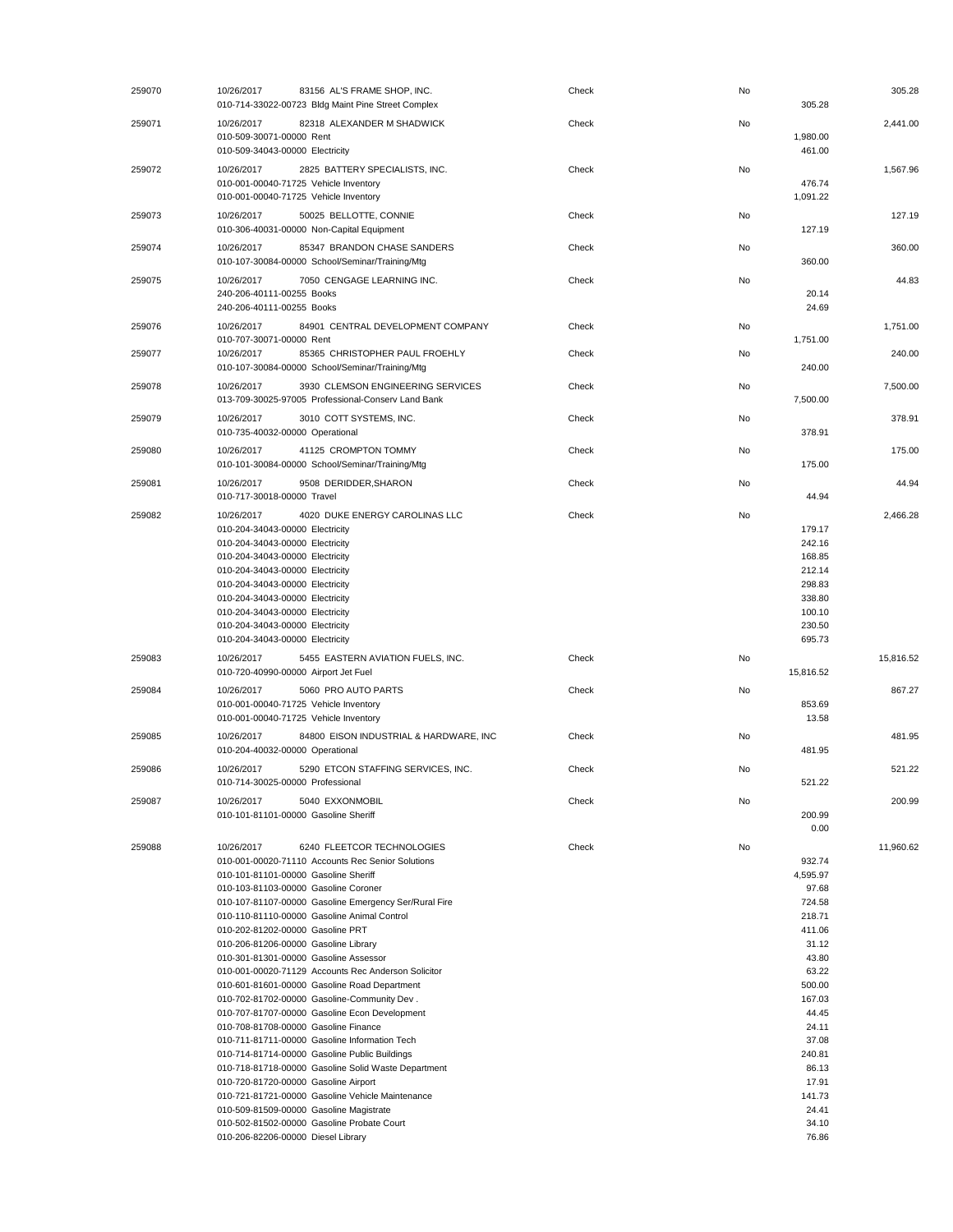| 259070 | 10/26/2017<br>010-714-33022-00723 Bldg Maint Pine Street Complex                                     | 83156 AL'S FRAME SHOP, INC.            | Check | No | 305.28             | 305.28    |
|--------|------------------------------------------------------------------------------------------------------|----------------------------------------|-------|----|--------------------|-----------|
| 259071 | 10/26/2017<br>010-509-30071-00000 Rent<br>010-509-34043-00000 Electricity                            | 82318 ALEXANDER M SHADWICK             | Check | No | 1,980.00<br>461.00 | 2,441.00  |
| 259072 | 10/26/2017<br>010-001-00040-71725 Vehicle Inventory<br>010-001-00040-71725 Vehicle Inventory         | 2825 BATTERY SPECIALISTS, INC.         | Check | No | 476.74<br>1,091.22 | 1,567.96  |
| 259073 | 50025 BELLOTTE, CONNIE<br>10/26/2017<br>010-306-40031-00000 Non-Capital Equipment                    |                                        | Check | No | 127.19             | 127.19    |
| 259074 | 10/26/2017<br>010-107-30084-00000 School/Seminar/Training/Mtg                                        | 85347 BRANDON CHASE SANDERS            | Check | No | 360.00             | 360.00    |
| 259075 | 10/26/2017<br>240-206-40111-00255 Books<br>240-206-40111-00255 Books                                 | 7050 CENGAGE LEARNING INC.             | Check | No | 20.14<br>24.69     | 44.83     |
| 259076 | 10/26/2017<br>010-707-30071-00000 Rent                                                               | 84901 CENTRAL DEVELOPMENT COMPANY      | Check | No |                    | 1,751.00  |
| 259077 | 10/26/2017<br>010-107-30084-00000 School/Seminar/Training/Mtg                                        | 85365 CHRISTOPHER PAUL FROEHLY         | Check | No | 1,751.00<br>240.00 | 240.00    |
| 259078 | 10/26/2017<br>013-709-30025-97005 Professional-Conserv Land Bank                                     | 3930 CLEMSON ENGINEERING SERVICES      | Check | No | 7,500.00           | 7.500.00  |
| 259079 | 3010 COTT SYSTEMS, INC.<br>10/26/2017<br>010-735-40032-00000 Operational                             |                                        | Check | No | 378.91             | 378.91    |
| 259080 | 41125 CROMPTON TOMMY<br>10/26/2017<br>010-101-30084-00000 School/Seminar/Training/Mtg                |                                        | Check | No | 175.00             | 175.00    |
| 259081 | 10/26/2017<br>9508 DERIDDER, SHARON<br>010-717-30018-00000 Travel                                    |                                        | Check | No | 44.94              | 44.94     |
| 259082 | 10/26/2017                                                                                           | 4020 DUKE ENERGY CAROLINAS LLC         | Check | No |                    | 2,466.28  |
|        | 010-204-34043-00000 Electricity                                                                      |                                        |       |    | 179.17             |           |
|        | 010-204-34043-00000 Electricity                                                                      |                                        |       |    | 242.16             |           |
|        | 010-204-34043-00000 Electricity<br>010-204-34043-00000 Electricity                                   |                                        |       |    | 168.85<br>212.14   |           |
|        | 010-204-34043-00000 Electricity                                                                      |                                        |       |    | 298.83             |           |
|        | 010-204-34043-00000 Electricity                                                                      |                                        |       |    | 338.80             |           |
|        | 010-204-34043-00000 Electricity                                                                      |                                        |       |    | 100.10             |           |
|        | 010-204-34043-00000 Electricity<br>010-204-34043-00000 Electricity                                   |                                        |       |    | 230.50<br>695.73   |           |
| 259083 | 10/26/2017                                                                                           | 5455 EASTERN AVIATION FUELS, INC.      | Check | No |                    | 15,816.52 |
|        | 010-720-40990-00000 Airport Jet Fuel                                                                 |                                        |       |    | 15,816.52          |           |
| 259084 | 10/26/2017<br>5060 PRO AUTO PARTS<br>010-001-00040-71725 Vehicle Inventory                           |                                        | Check | No | 853.69             | 867.27    |
|        | 010-001-00040-71725 Vehicle Inventory                                                                |                                        |       |    | 13.58              |           |
| 259085 | 10/26/2017                                                                                           | 84800 EISON INDUSTRIAL & HARDWARE, INC | Check | No |                    | 481.95    |
|        | 010-204-40032-00000 Operational                                                                      |                                        |       |    | 481.95             |           |
| 259086 | 10/26/2017<br>010-714-30025-00000 Professional                                                       | 5290 ETCON STAFFING SERVICES. INC.     | Check | No | 521.22             | 521.22    |
| 259087 | 10/26/2017<br>5040 EXXONMOBIL                                                                        |                                        | Check | No |                    | 200.99    |
|        | 010-101-81101-00000 Gasoline Sheriff                                                                 |                                        |       |    | 200.99             |           |
|        |                                                                                                      |                                        |       |    | 0.00               |           |
| 259088 | 10/26/2017<br>010-001-00020-71110 Accounts Rec Senior Solutions                                      | 6240 FLEETCOR TECHNOLOGIES             | Check | No | 932.74             | 11,960.62 |
|        | 010-101-81101-00000 Gasoline Sheriff                                                                 |                                        |       |    | 4,595.97           |           |
|        | 010-103-81103-00000 Gasoline Coroner                                                                 |                                        |       |    | 97.68              |           |
|        | 010-107-81107-00000 Gasoline Emergency Ser/Rural Fire                                                |                                        |       |    | 724.58             |           |
|        | 010-110-81110-00000 Gasoline Animal Control<br>010-202-81202-00000 Gasoline PRT                      |                                        |       |    | 218.71<br>411.06   |           |
|        | 010-206-81206-00000 Gasoline Library                                                                 |                                        |       |    | 31.12              |           |
|        | 010-301-81301-00000 Gasoline Assessor                                                                |                                        |       |    | 43.80              |           |
|        | 010-001-00020-71129 Accounts Rec Anderson Solicitor                                                  |                                        |       |    | 63.22              |           |
|        | 010-601-81601-00000 Gasoline Road Department<br>010-702-81702-00000 Gasoline-Community Dev.          |                                        |       |    | 500.00<br>167.03   |           |
|        | 010-707-81707-00000 Gasoline Econ Development                                                        |                                        |       |    | 44.45              |           |
|        | 010-708-81708-00000 Gasoline Finance                                                                 |                                        |       |    | 24.11              |           |
|        | 010-711-81711-00000 Gasoline Information Tech                                                        |                                        |       |    | 37.08              |           |
|        | 010-714-81714-00000 Gasoline Public Buildings<br>010-718-81718-00000 Gasoline Solid Waste Department |                                        |       |    | 240.81<br>86.13    |           |
|        | 010-720-81720-00000 Gasoline Airport                                                                 |                                        |       |    | 17.91              |           |
|        |                                                                                                      |                                        |       |    |                    |           |
|        | 010-721-81721-00000 Gasoline Vehicle Maintenance                                                     |                                        |       |    | 141.73             |           |
|        | 010-509-81509-00000 Gasoline Magistrate                                                              |                                        |       |    | 24.41              |           |
|        | 010-502-81502-00000 Gasoline Probate Court<br>010-206-82206-00000 Diesel Library                     |                                        |       |    | 34.10<br>76.86     |           |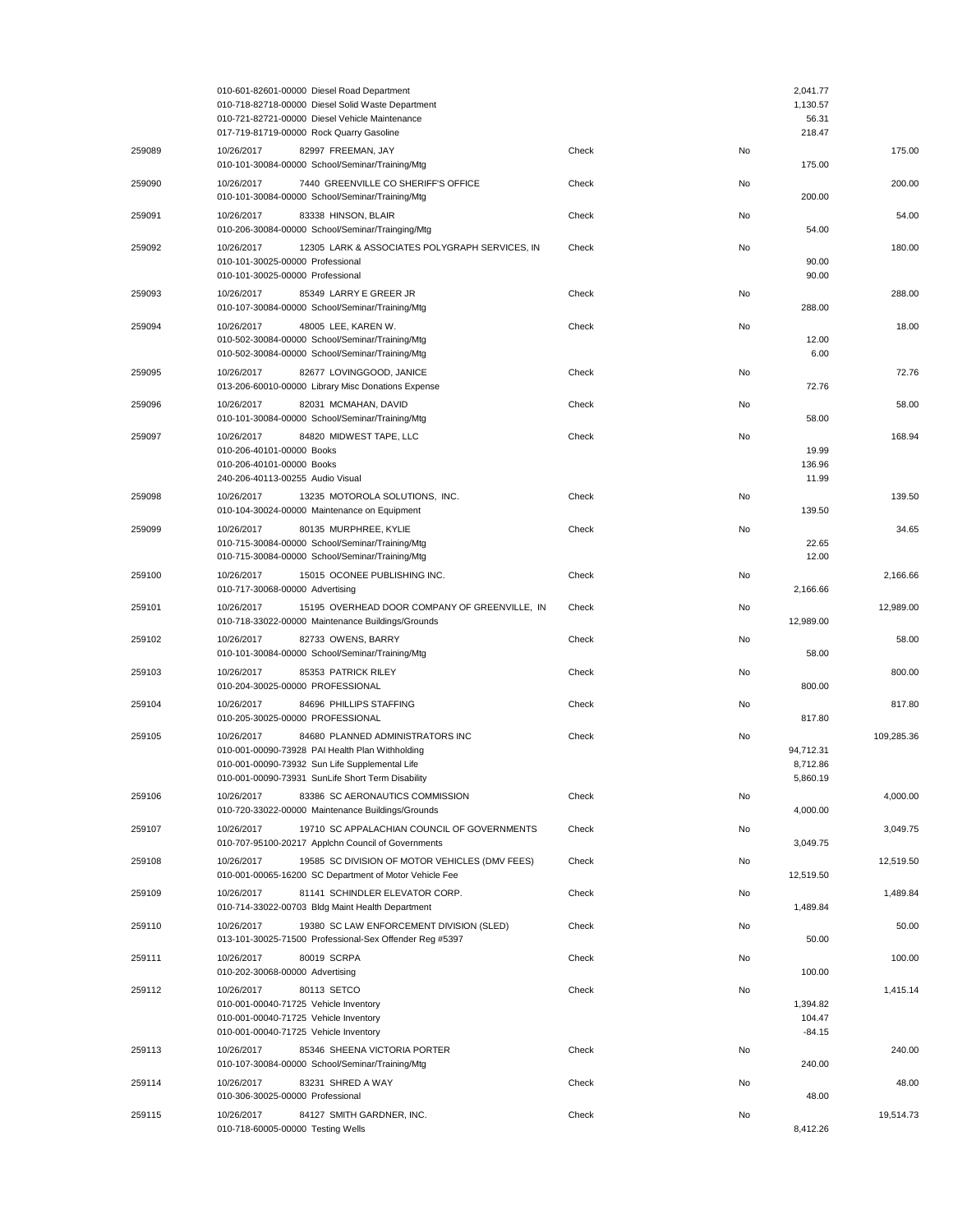|        | 010-601-82601-00000 Diesel Road Department<br>010-718-82718-00000 Diesel Solid Waste Department<br>010-721-82721-00000 Diesel Vehicle Maintenance<br>017-719-81719-00000 Rock Quarry Gasoline            |       |    | 2,041.77<br>1,130.57<br>56.31<br>218.47 |            |
|--------|----------------------------------------------------------------------------------------------------------------------------------------------------------------------------------------------------------|-------|----|-----------------------------------------|------------|
| 259089 | 10/26/2017<br>82997 FREEMAN, JAY<br>010-101-30084-00000 School/Seminar/Training/Mtg                                                                                                                      | Check | No | 175.00                                  | 175.00     |
| 259090 | 10/26/2017<br>7440 GREENVILLE CO SHERIFF'S OFFICE<br>010-101-30084-00000 School/Seminar/Training/Mtg                                                                                                     | Check | No | 200.00                                  | 200.00     |
| 259091 | 10/26/2017<br>83338 HINSON, BLAIR<br>010-206-30084-00000 School/Seminar/Trainging/Mtg                                                                                                                    | Check | No | 54.00                                   | 54.00      |
| 259092 | 12305 LARK & ASSOCIATES POLYGRAPH SERVICES, IN<br>10/26/2017<br>010-101-30025-00000 Professional<br>010-101-30025-00000 Professional                                                                     | Check | No | 90.00<br>90.00                          | 180.00     |
| 259093 | 85349 LARRY E GREER JR<br>10/26/2017<br>010-107-30084-00000 School/Seminar/Training/Mtg                                                                                                                  | Check | No | 288.00                                  | 288.00     |
| 259094 | 10/26/2017<br>48005 LEE, KAREN W.<br>010-502-30084-00000 School/Seminar/Training/Mtg<br>010-502-30084-00000 School/Seminar/Training/Mtg                                                                  | Check | No | 12.00<br>6.00                           | 18.00      |
| 259095 | 10/26/2017<br>82677 LOVINGGOOD, JANICE<br>013-206-60010-00000 Library Misc Donations Expense                                                                                                             | Check | No | 72.76                                   | 72.76      |
| 259096 | 10/26/2017<br>82031 MCMAHAN, DAVID<br>010-101-30084-00000 School/Seminar/Training/Mtg                                                                                                                    | Check | No | 58.00                                   | 58.00      |
| 259097 | 10/26/2017<br>84820 MIDWEST TAPE, LLC<br>010-206-40101-00000 Books<br>010-206-40101-00000 Books<br>240-206-40113-00255 Audio Visual                                                                      | Check | No | 19.99<br>136.96<br>11.99                | 168.94     |
| 259098 | 10/26/2017<br>13235 MOTOROLA SOLUTIONS, INC.<br>010-104-30024-00000 Maintenance on Equipment                                                                                                             | Check | No | 139.50                                  | 139.50     |
| 259099 | 10/26/2017<br>80135 MURPHREE, KYLIE<br>010-715-30084-00000 School/Seminar/Training/Mtg<br>010-715-30084-00000 School/Seminar/Training/Mtg                                                                | Check | No | 22.65<br>12.00                          | 34.65      |
| 259100 | 10/26/2017<br>15015 OCONEE PUBLISHING INC.<br>010-717-30068-00000 Advertising                                                                                                                            | Check | No | 2,166.66                                | 2,166.66   |
| 259101 | 10/26/2017<br>15195 OVERHEAD DOOR COMPANY OF GREENVILLE, IN<br>010-718-33022-00000 Maintenance Buildings/Grounds                                                                                         | Check | No | 12,989.00                               | 12,989.00  |
| 259102 | 82733 OWENS, BARRY<br>10/26/2017<br>010-101-30084-00000 School/Seminar/Training/Mtg                                                                                                                      | Check | No | 58.00                                   | 58.00      |
| 259103 | 85353 PATRICK RILEY<br>10/26/2017<br>010-204-30025-00000 PROFESSIONAL                                                                                                                                    | Check | No | 800.00                                  | 800.00     |
| 259104 | 10/26/2017<br>84696 PHILLIPS STAFFING<br>010-205-30025-00000 PROFESSIONAL                                                                                                                                | Check | No | 817.80                                  | 817.80     |
| 259105 | 10/26/2017<br>84680 PLANNED ADMINISTRATORS INC<br>010-001-00090-73928 PAI Health Plan Withholding<br>010-001-00090-73932 Sun Life Supplemental Life<br>010-001-00090-73931 SunLife Short Term Disability | Check | No | 94,712.31<br>8,712.86<br>5,860.19       | 109,285.36 |
| 259106 | 10/26/2017<br>83386 SC AERONAUTICS COMMISSION<br>010-720-33022-00000 Maintenance Buildings/Grounds                                                                                                       | Check | No | 4,000.00                                | 4,000.00   |
| 259107 | 10/26/2017<br>19710 SC APPALACHIAN COUNCIL OF GOVERNMENTS<br>010-707-95100-20217 Applchn Council of Governments                                                                                          | Check | No | 3,049.75                                | 3,049.75   |
| 259108 | 10/26/2017<br>19585 SC DIVISION OF MOTOR VEHICLES (DMV FEES)<br>010-001-00065-16200 SC Department of Motor Vehicle Fee                                                                                   | Check | No | 12,519.50                               | 12,519.50  |
| 259109 | 81141 SCHINDLER ELEVATOR CORP.<br>10/26/2017<br>010-714-33022-00703 Bldg Maint Health Department                                                                                                         | Check | No | 1,489.84                                | 1,489.84   |
| 259110 | 19380 SC LAW ENFORCEMENT DIVISION (SLED)<br>10/26/2017<br>013-101-30025-71500 Professional-Sex Offender Reg #5397                                                                                        | Check | No | 50.00                                   | 50.00      |
| 259111 | 10/26/2017<br>80019 SCRPA<br>010-202-30068-00000 Advertising                                                                                                                                             | Check | No | 100.00                                  | 100.00     |
| 259112 | 10/26/2017<br>80113 SETCO<br>010-001-00040-71725 Vehicle Inventory<br>010-001-00040-71725 Vehicle Inventory<br>010-001-00040-71725 Vehicle Inventory                                                     | Check | No | 1,394.82<br>104.47<br>$-84.15$          | 1,415.14   |
| 259113 | 10/26/2017<br>85346 SHEENA VICTORIA PORTER<br>010-107-30084-00000 School/Seminar/Training/Mtg                                                                                                            | Check | No | 240.00                                  | 240.00     |
| 259114 | 83231 SHRED A WAY<br>10/26/2017<br>010-306-30025-00000 Professional                                                                                                                                      | Check | No | 48.00                                   | 48.00      |
| 259115 | 10/26/2017<br>84127 SMITH GARDNER, INC.<br>010-718-60005-00000 Testing Wells                                                                                                                             | Check | No | 8,412.26                                | 19,514.73  |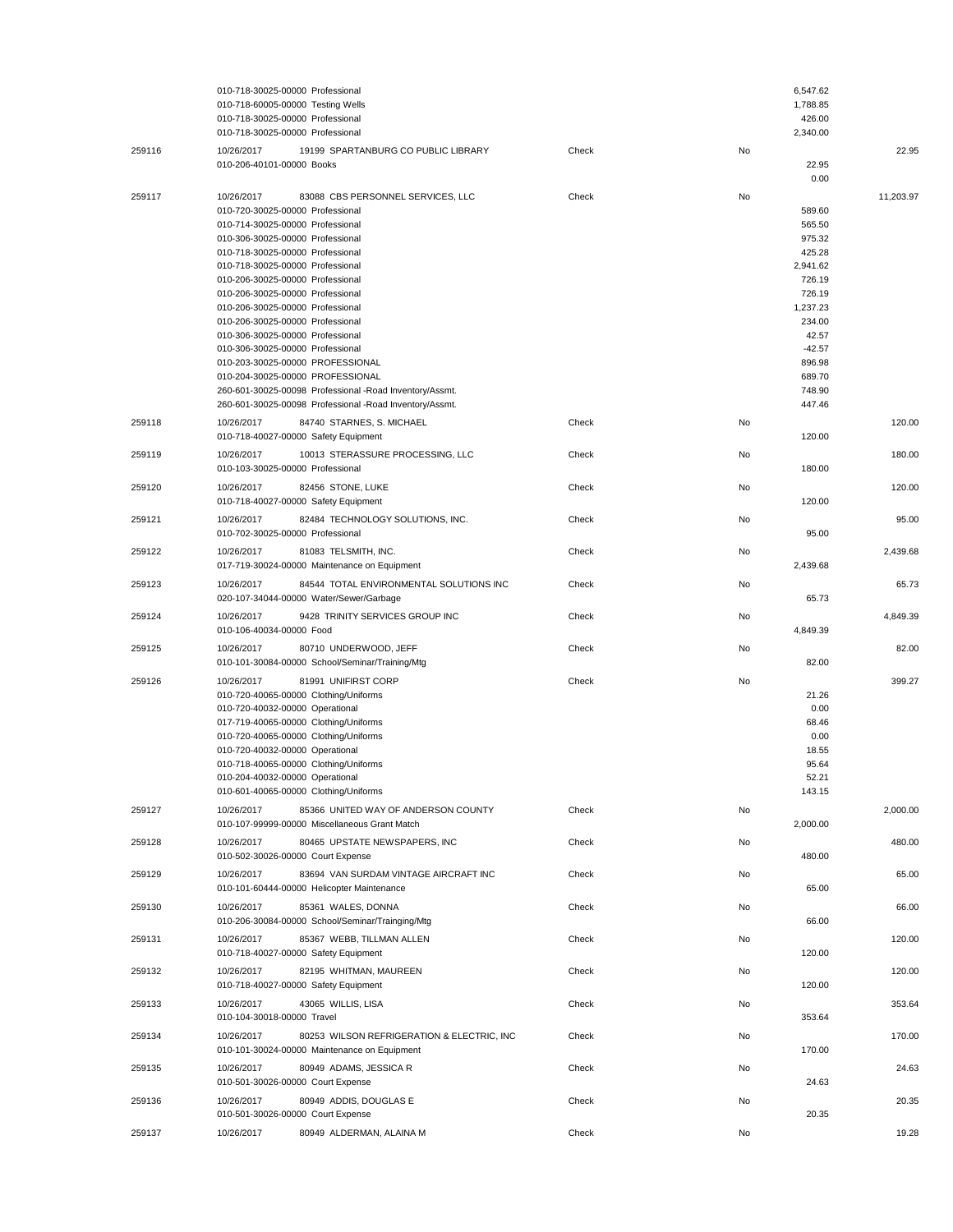|        | 010-718-30025-00000 Professional<br>010-718-60005-00000 Testing Wells<br>010-718-30025-00000 Professional<br>010-718-30025-00000 Professional                                                                                                                                                                                                                                                                                                                                                                                                                                                                                                             |       |    | 6,547.62<br>1,788.85<br>426.00<br>2,340.00                                                                                                                           |
|--------|-----------------------------------------------------------------------------------------------------------------------------------------------------------------------------------------------------------------------------------------------------------------------------------------------------------------------------------------------------------------------------------------------------------------------------------------------------------------------------------------------------------------------------------------------------------------------------------------------------------------------------------------------------------|-------|----|----------------------------------------------------------------------------------------------------------------------------------------------------------------------|
| 259116 | 10/26/2017<br>19199 SPARTANBURG CO PUBLIC LIBRARY<br>010-206-40101-00000 Books                                                                                                                                                                                                                                                                                                                                                                                                                                                                                                                                                                            | Check | No | 22.95<br>22.95<br>0.00                                                                                                                                               |
| 259117 | 10/26/2017<br>83088 CBS PERSONNEL SERVICES, LLC<br>010-720-30025-00000 Professional<br>010-714-30025-00000 Professional<br>010-306-30025-00000 Professional<br>010-718-30025-00000 Professional<br>010-718-30025-00000 Professional<br>010-206-30025-00000 Professional<br>010-206-30025-00000 Professional<br>010-206-30025-00000 Professional<br>010-206-30025-00000 Professional<br>010-306-30025-00000 Professional<br>010-306-30025-00000 Professional<br>010-203-30025-00000 PROFESSIONAL<br>010-204-30025-00000 PROFESSIONAL<br>260-601-30025-00098 Professional -Road Inventory/Assmt.<br>260-601-30025-00098 Professional -Road Inventory/Assmt. | Check | No | 11,203.97<br>589.60<br>565.50<br>975.32<br>425.28<br>2,941.62<br>726.19<br>726.19<br>1,237.23<br>234.00<br>42.57<br>$-42.57$<br>896.98<br>689.70<br>748.90<br>447.46 |
| 259118 | 10/26/2017<br>84740 STARNES, S. MICHAEL<br>010-718-40027-00000 Safety Equipment                                                                                                                                                                                                                                                                                                                                                                                                                                                                                                                                                                           | Check | No | 120.00<br>120.00                                                                                                                                                     |
| 259119 | 10013 STERASSURE PROCESSING, LLC<br>10/26/2017<br>010-103-30025-00000 Professional                                                                                                                                                                                                                                                                                                                                                                                                                                                                                                                                                                        | Check | No | 180.00<br>180.00                                                                                                                                                     |
| 259120 | 82456 STONE, LUKE<br>10/26/2017<br>010-718-40027-00000 Safety Equipment                                                                                                                                                                                                                                                                                                                                                                                                                                                                                                                                                                                   | Check | No | 120.00<br>120.00                                                                                                                                                     |
| 259121 | 10/26/2017<br>82484 TECHNOLOGY SOLUTIONS, INC.<br>010-702-30025-00000 Professional                                                                                                                                                                                                                                                                                                                                                                                                                                                                                                                                                                        | Check | No | 95.00<br>95.00                                                                                                                                                       |
| 259122 | 10/26/2017<br>81083 TELSMITH, INC.<br>017-719-30024-00000 Maintenance on Equipment                                                                                                                                                                                                                                                                                                                                                                                                                                                                                                                                                                        | Check | No | 2,439.68<br>2,439.68                                                                                                                                                 |
| 259123 | 10/26/2017<br>84544 TOTAL ENVIRONMENTAL SOLUTIONS INC<br>020-107-34044-00000 Water/Sewer/Garbage                                                                                                                                                                                                                                                                                                                                                                                                                                                                                                                                                          | Check | No | 65.73<br>65.73                                                                                                                                                       |
| 259124 | 9428 TRINITY SERVICES GROUP INC<br>10/26/2017<br>010-106-40034-00000 Food                                                                                                                                                                                                                                                                                                                                                                                                                                                                                                                                                                                 | Check | No | 4,849.39<br>4,849.39                                                                                                                                                 |
| 259125 | 80710 UNDERWOOD, JEFF<br>10/26/2017<br>010-101-30084-00000 School/Seminar/Training/Mtg                                                                                                                                                                                                                                                                                                                                                                                                                                                                                                                                                                    | Check | No | 82.00<br>82.00                                                                                                                                                       |
| 259126 | 81991 UNIFIRST CORP<br>10/26/2017<br>010-720-40065-00000 Clothing/Uniforms<br>010-720-40032-00000 Operational<br>017-719-40065-00000 Clothing/Uniforms<br>010-720-40065-00000 Clothing/Uniforms<br>010-720-40032-00000 Operational<br>010-718-40065-00000 Clothing/Uniforms<br>010-204-40032-00000 Operational<br>010-601-40065-00000 Clothing/Uniforms                                                                                                                                                                                                                                                                                                   | Check | No | 399.27<br>21.26<br>0.00<br>68.46<br>0.00<br>18.55<br>95.64<br>52.21<br>143.15                                                                                        |
| 259127 | 85366 UNITED WAY OF ANDERSON COUNTY<br>10/26/2017<br>010-107-99999-00000 Miscellaneous Grant Match                                                                                                                                                                                                                                                                                                                                                                                                                                                                                                                                                        | Check | No | 2,000.00<br>2,000.00                                                                                                                                                 |
| 259128 | 10/26/2017<br>80465 UPSTATE NEWSPAPERS, INC<br>010-502-30026-00000 Court Expense                                                                                                                                                                                                                                                                                                                                                                                                                                                                                                                                                                          | Check | No | 480.00<br>480.00                                                                                                                                                     |
| 259129 | 83694 VAN SURDAM VINTAGE AIRCRAFT INC<br>10/26/2017<br>010-101-60444-00000 Helicopter Maintenance                                                                                                                                                                                                                                                                                                                                                                                                                                                                                                                                                         | Check | No | 65.00<br>65.00                                                                                                                                                       |
| 259130 | 10/26/2017<br>85361 WALES, DONNA<br>010-206-30084-00000 School/Seminar/Trainging/Mtg                                                                                                                                                                                                                                                                                                                                                                                                                                                                                                                                                                      | Check | No | 66.00<br>66.00                                                                                                                                                       |
| 259131 | 85367 WEBB, TILLMAN ALLEN<br>10/26/2017<br>010-718-40027-00000 Safety Equipment                                                                                                                                                                                                                                                                                                                                                                                                                                                                                                                                                                           | Check | No | 120.00<br>120.00                                                                                                                                                     |
| 259132 | 10/26/2017<br>82195 WHITMAN, MAUREEN<br>010-718-40027-00000 Safety Equipment                                                                                                                                                                                                                                                                                                                                                                                                                                                                                                                                                                              | Check | No | 120.00<br>120.00                                                                                                                                                     |
| 259133 | 43065 WILLIS, LISA<br>10/26/2017<br>010-104-30018-00000 Travel                                                                                                                                                                                                                                                                                                                                                                                                                                                                                                                                                                                            | Check | No | 353.64<br>353.64                                                                                                                                                     |
| 259134 | 80253 WILSON REFRIGERATION & ELECTRIC, INC<br>10/26/2017<br>010-101-30024-00000 Maintenance on Equipment                                                                                                                                                                                                                                                                                                                                                                                                                                                                                                                                                  | Check | No | 170.00<br>170.00                                                                                                                                                     |
| 259135 | 10/26/2017<br>80949 ADAMS, JESSICA R                                                                                                                                                                                                                                                                                                                                                                                                                                                                                                                                                                                                                      | Check | No | 24.63                                                                                                                                                                |
|        | 010-501-30026-00000 Court Expense                                                                                                                                                                                                                                                                                                                                                                                                                                                                                                                                                                                                                         |       |    | 24.63                                                                                                                                                                |
| 259136 | 80949 ADDIS, DOUGLAS E<br>10/26/2017<br>010-501-30026-00000 Court Expense                                                                                                                                                                                                                                                                                                                                                                                                                                                                                                                                                                                 | Check | No | 20.35<br>20.35                                                                                                                                                       |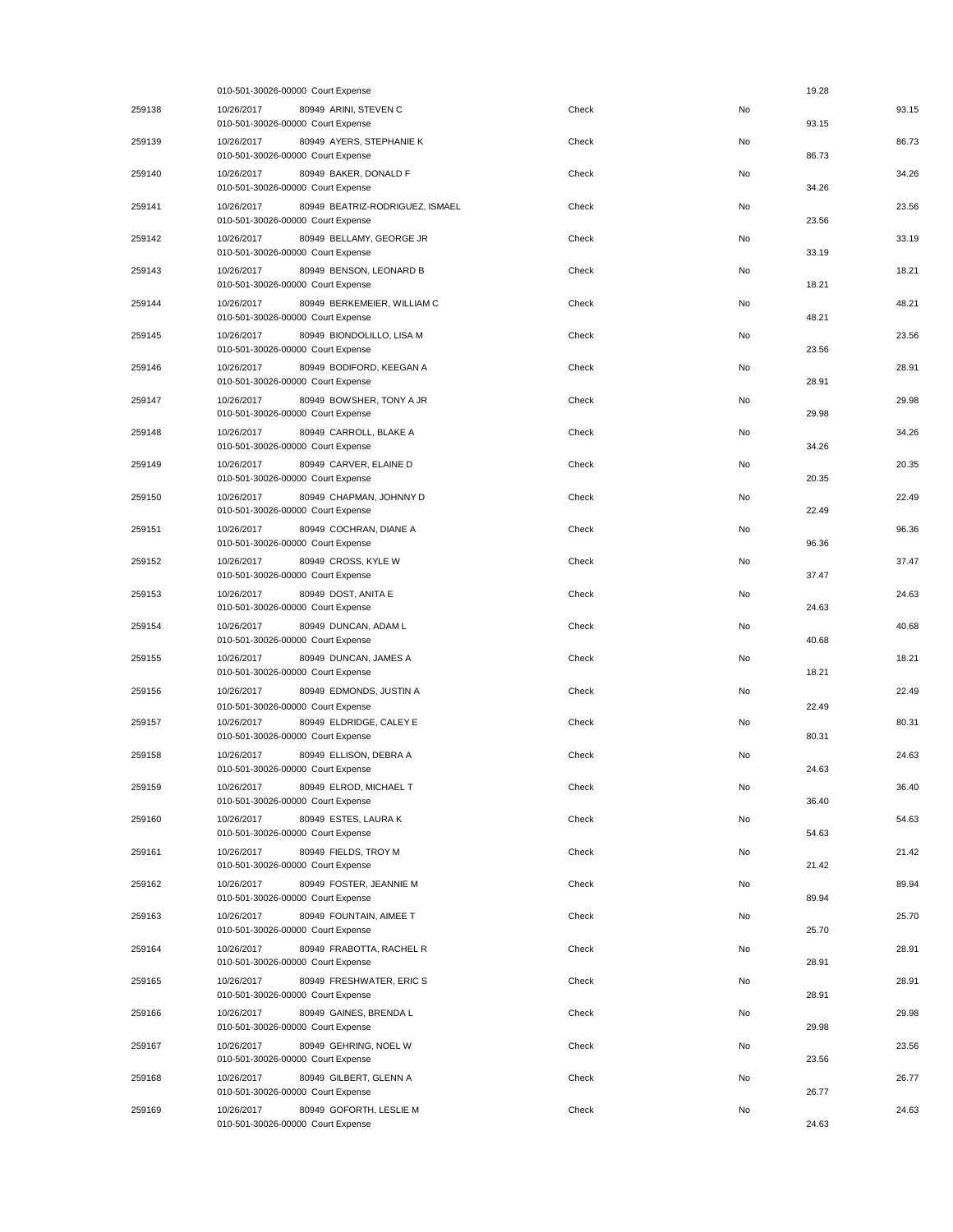|        | 010-501-30026-00000 Court Expense                                                  |       |    | 19.28 |       |
|--------|------------------------------------------------------------------------------------|-------|----|-------|-------|
| 259138 | 10/26/2017<br>80949 ARINI, STEVEN C<br>010-501-30026-00000 Court Expense           | Check | No | 93.15 | 93.15 |
| 259139 | 10/26/2017<br>80949 AYERS, STEPHANIE K<br>010-501-30026-00000 Court Expense        | Check | No | 86.73 | 86.73 |
| 259140 | 80949 BAKER, DONALD F<br>10/26/2017<br>010-501-30026-00000 Court Expense           | Check | No | 34.26 | 34.26 |
| 259141 | 80949 BEATRIZ-RODRIGUEZ, ISMAEL<br>10/26/2017<br>010-501-30026-00000 Court Expense | Check | No | 23.56 | 23.56 |
| 259142 | 10/26/2017<br>80949 BELLAMY, GEORGE JR<br>010-501-30026-00000 Court Expense        | Check | No | 33.19 | 33.19 |
| 259143 | 10/26/2017<br>80949 BENSON, LEONARD B<br>010-501-30026-00000 Court Expense         | Check | No | 18.21 | 18.21 |
| 259144 | 80949 BERKEMEIER, WILLIAM C<br>10/26/2017<br>010-501-30026-00000 Court Expense     | Check | No | 48.21 | 48.21 |
| 259145 | 10/26/2017<br>80949 BIONDOLILLO, LISA M<br>010-501-30026-00000 Court Expense       | Check | No | 23.56 | 23.56 |
| 259146 | 10/26/2017<br>80949 BODIFORD, KEEGAN A<br>010-501-30026-00000 Court Expense        | Check | No | 28.91 | 28.91 |
| 259147 | 80949 BOWSHER, TONY A JR<br>10/26/2017<br>010-501-30026-00000 Court Expense        | Check | No | 29.98 | 29.98 |
| 259148 | 80949 CARROLL, BLAKE A<br>10/26/2017<br>010-501-30026-00000 Court Expense          | Check | No | 34.26 | 34.26 |
| 259149 | 10/26/2017<br>80949 CARVER, ELAINE D<br>010-501-30026-00000 Court Expense          | Check | No | 20.35 | 20.35 |
| 259150 | 10/26/2017<br>80949 CHAPMAN, JOHNNY D<br>010-501-30026-00000 Court Expense         | Check | No | 22.49 | 22.49 |
| 259151 | 10/26/2017<br>80949 COCHRAN, DIANE A<br>010-501-30026-00000 Court Expense          | Check | No | 96.36 | 96.36 |
| 259152 | 80949 CROSS, KYLE W<br>10/26/2017<br>010-501-30026-00000 Court Expense             | Check | No | 37.47 | 37.47 |
| 259153 | 10/26/2017<br>80949 DOST, ANITA E<br>010-501-30026-00000 Court Expense             | Check | No | 24.63 | 24.63 |
| 259154 | 10/26/2017<br>80949 DUNCAN, ADAM L<br>010-501-30026-00000 Court Expense            | Check | No | 40.68 | 40.68 |
| 259155 | 10/26/2017<br>80949 DUNCAN, JAMES A<br>010-501-30026-00000 Court Expense           | Check | No | 18.21 | 18.21 |
| 259156 | 10/26/2017<br>80949 EDMONDS, JUSTIN A<br>010-501-30026-00000 Court Expense         | Check | No | 22.49 | 22.49 |
| 259157 | 10/26/2017<br>80949 ELDRIDGE, CALEY E<br>010-501-30026-00000 Court Expense         | Check | No | 80.31 | 80.31 |
| 259158 | 80949 ELLISON, DEBRA A<br>10/26/2017<br>010-501-30026-00000 Court Expense          | Check | No | 24.63 | 24.63 |
| 259159 | 10/26/2017<br>80949 ELROD, MICHAEL T<br>010-501-30026-00000 Court Expense          | Check | No | 36.40 | 36.40 |
| 259160 | 10/26/2017<br>80949 ESTES, LAURA K<br>010-501-30026-00000 Court Expense            | Check | No | 54.63 | 54.63 |
| 259161 | 10/26/2017<br>80949 FIELDS, TROY M<br>010-501-30026-00000 Court Expense            | Check | No | 21.42 | 21.42 |
| 259162 | 10/26/2017<br>80949 FOSTER, JEANNIE M<br>010-501-30026-00000 Court Expense         | Check | No | 89.94 | 89.94 |
| 259163 | 80949 FOUNTAIN, AIMEE T<br>10/26/2017<br>010-501-30026-00000 Court Expense         | Check | No | 25.70 | 25.70 |
| 259164 | 80949 FRABOTTA, RACHEL R<br>10/26/2017<br>010-501-30026-00000 Court Expense        | Check | No | 28.91 | 28.91 |
| 259165 | 10/26/2017<br>80949 FRESHWATER, ERIC S<br>010-501-30026-00000 Court Expense        | Check | No | 28.91 | 28.91 |
| 259166 | 10/26/2017<br>80949 GAINES, BRENDA L<br>010-501-30026-00000 Court Expense          | Check | No | 29.98 | 29.98 |
| 259167 | 10/26/2017<br>80949 GEHRING, NOEL W<br>010-501-30026-00000 Court Expense           | Check | No | 23.56 | 23.56 |
| 259168 | 80949 GILBERT, GLENN A<br>10/26/2017<br>010-501-30026-00000 Court Expense          | Check | No | 26.77 | 26.77 |
| 259169 | 10/26/2017<br>80949 GOFORTH, LESLIE M<br>010-501-30026-00000 Court Expense         | Check | No | 24.63 | 24.63 |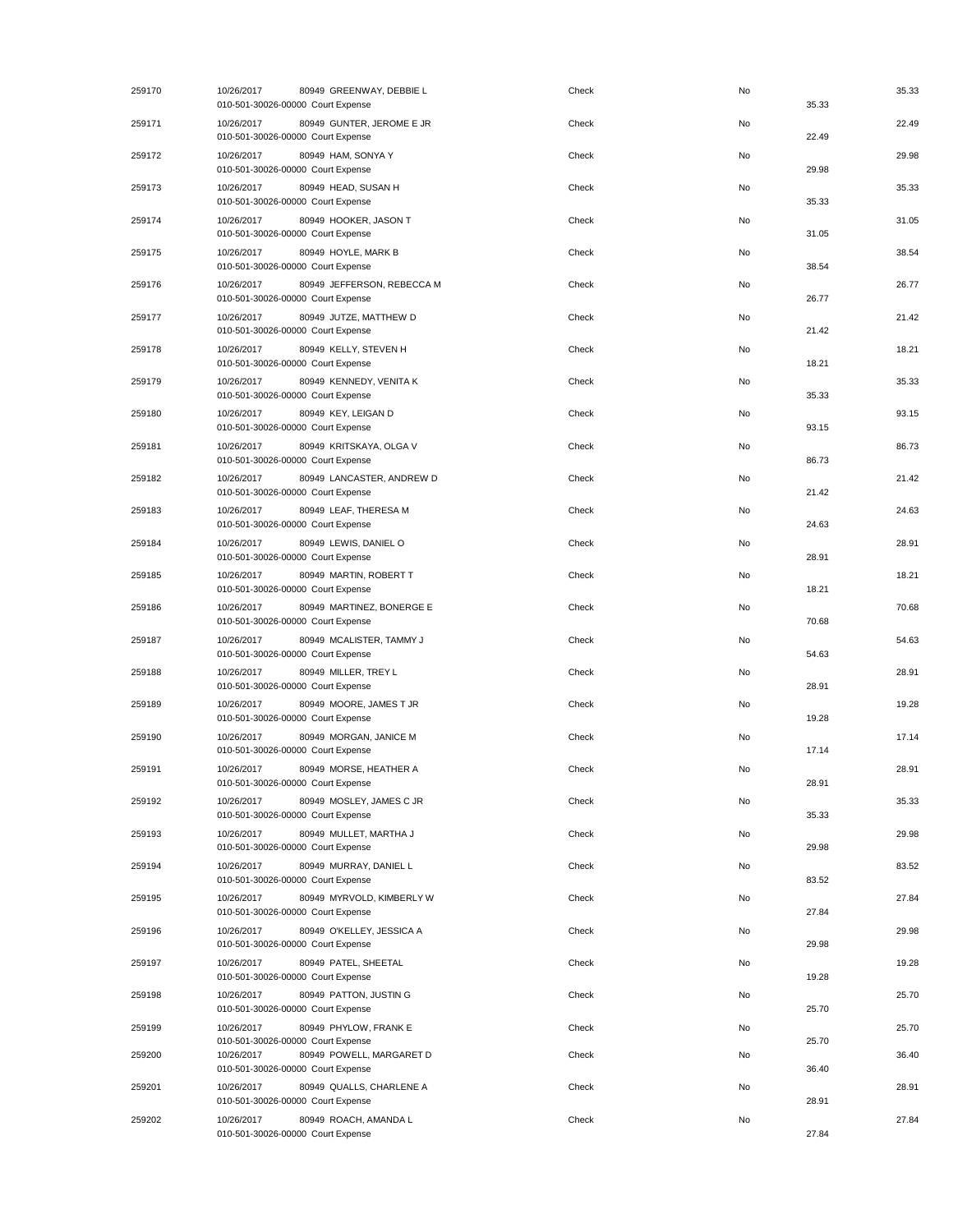| 259170 | 10/26/2017<br>80949 GREENWAY, DEBBIE L<br>010-501-30026-00000 Court Expense   | Check | No | 35.33 | 35.33 |
|--------|-------------------------------------------------------------------------------|-------|----|-------|-------|
| 259171 | 80949 GUNTER, JEROME E JR<br>10/26/2017<br>010-501-30026-00000 Court Expense  | Check | No | 22.49 | 22.49 |
| 259172 | 10/26/2017<br>80949 HAM, SONYA Y<br>010-501-30026-00000 Court Expense         | Check | No | 29.98 | 29.98 |
| 259173 | 10/26/2017<br>80949 HEAD, SUSAN H<br>010-501-30026-00000 Court Expense        | Check | No | 35.33 | 35.33 |
| 259174 | 10/26/2017<br>80949 HOOKER, JASON T<br>010-501-30026-00000 Court Expense      | Check | No | 31.05 | 31.05 |
| 259175 | 80949 HOYLE, MARK B<br>10/26/2017<br>010-501-30026-00000 Court Expense        | Check | No | 38.54 | 38.54 |
| 259176 | 80949 JEFFERSON, REBECCA M<br>10/26/2017<br>010-501-30026-00000 Court Expense | Check | No | 26.77 | 26.77 |
| 259177 | 80949 JUTZE, MATTHEW D<br>10/26/2017<br>010-501-30026-00000 Court Expense     | Check | No | 21.42 | 21.42 |
| 259178 | 10/26/2017<br>80949 KELLY, STEVEN H<br>010-501-30026-00000 Court Expense      | Check | No | 18.21 | 18.21 |
| 259179 | 10/26/2017<br>80949 KENNEDY, VENITA K<br>010-501-30026-00000 Court Expense    | Check | No | 35.33 | 35.33 |
| 259180 | 80949 KEY, LEIGAN D<br>10/26/2017<br>010-501-30026-00000 Court Expense        | Check | No | 93.15 | 93.15 |
| 259181 | 10/26/2017<br>80949 KRITSKAYA, OLGA V<br>010-501-30026-00000 Court Expense    | Check | No | 86.73 | 86.73 |
| 259182 | 10/26/2017<br>80949 LANCASTER, ANDREW D<br>010-501-30026-00000 Court Expense  | Check | No | 21.42 | 21.42 |
| 259183 | 10/26/2017<br>80949 LEAF, THERESA M<br>010-501-30026-00000 Court Expense      | Check | No | 24.63 | 24.63 |
| 259184 | 10/26/2017<br>80949 LEWIS, DANIEL O<br>010-501-30026-00000 Court Expense      | Check | No | 28.91 | 28.91 |
| 259185 | 10/26/2017<br>80949 MARTIN, ROBERT T<br>010-501-30026-00000 Court Expense     | Check | No | 18.21 | 18.21 |
| 259186 | 80949 MARTINEZ, BONERGE E<br>10/26/2017<br>010-501-30026-00000 Court Expense  | Check | No | 70.68 | 70.68 |
| 259187 | 80949 MCALISTER, TAMMY J<br>10/26/2017<br>010-501-30026-00000 Court Expense   | Check | No | 54.63 | 54.63 |
| 259188 | 80949 MILLER, TREY L<br>10/26/2017<br>010-501-30026-00000 Court Expense       | Check | No | 28.91 | 28.91 |
| 259189 | 10/26/2017<br>80949 MOORE, JAMES T JR<br>010-501-30026-00000 Court Expense    | Check | No | 19.28 | 19.28 |
| 259190 | 10/26/2017<br>80949 MORGAN, JANICE M<br>010-501-30026-00000 Court Expense     | Check | No | 17.14 | 17.14 |
| 259191 | 10/26/2017<br>80949 MORSE, HEATHER A<br>010-501-30026-00000 Court Expense     | Check | No | 28.91 | 28.91 |
| 259192 | 10/26/2017<br>80949 MOSLEY, JAMES C JR<br>010-501-30026-00000 Court Expense   | Check | No | 35.33 | 35.33 |
| 259193 | 80949 MULLET, MARTHA J<br>10/26/2017<br>010-501-30026-00000 Court Expense     | Check | No | 29.98 | 29.98 |
| 259194 | 80949 MURRAY, DANIEL L<br>10/26/2017<br>010-501-30026-00000 Court Expense     | Check | No | 83.52 | 83.52 |
| 259195 | 80949 MYRVOLD, KIMBERLY W<br>10/26/2017<br>010-501-30026-00000 Court Expense  | Check | No | 27.84 | 27.84 |
| 259196 | 10/26/2017<br>80949 O'KELLEY, JESSICA A<br>010-501-30026-00000 Court Expense  | Check | No | 29.98 | 29.98 |
| 259197 | 10/26/2017<br>80949 PATEL, SHEETAL<br>010-501-30026-00000 Court Expense       | Check | No | 19.28 | 19.28 |
| 259198 | 10/26/2017<br>80949 PATTON, JUSTIN G<br>010-501-30026-00000 Court Expense     | Check | No | 25.70 | 25.70 |
| 259199 | 80949 PHYLOW, FRANK E<br>10/26/2017<br>010-501-30026-00000 Court Expense      | Check | No | 25.70 | 25.70 |
| 259200 | 80949 POWELL, MARGARET D<br>10/26/2017<br>010-501-30026-00000 Court Expense   | Check | No | 36.40 | 36.40 |
| 259201 | 10/26/2017<br>80949 QUALLS, CHARLENE A<br>010-501-30026-00000 Court Expense   | Check | No | 28.91 | 28.91 |
| 259202 | 10/26/2017<br>80949 ROACH, AMANDA L<br>010-501-30026-00000 Court Expense      | Check | No | 27.84 | 27.84 |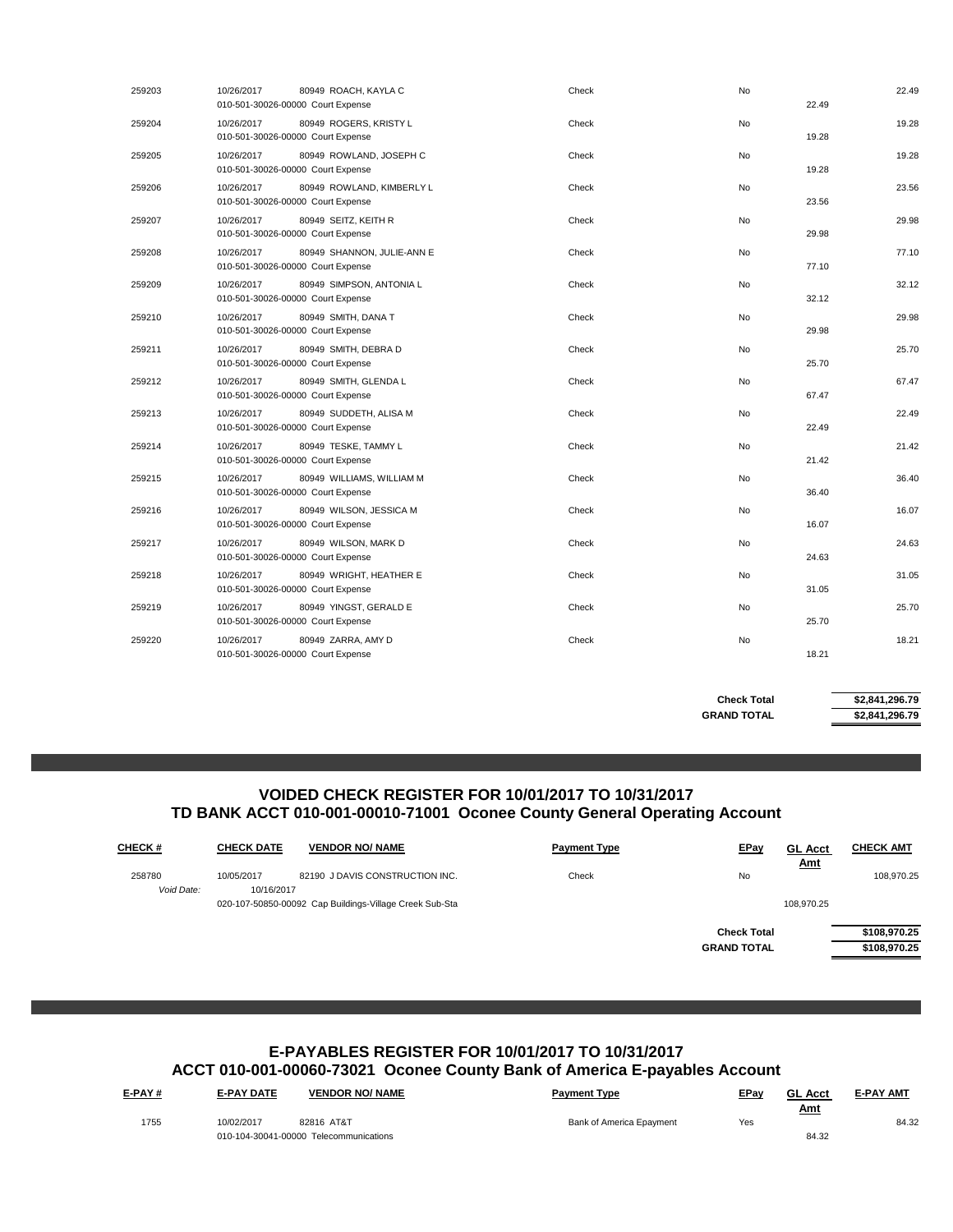| 259203 | 10/26/2017<br>80949 ROACH, KAYLA C<br>010-501-30026-00000 Court Expense       | Check | No | 22.49 | 22.49 |
|--------|-------------------------------------------------------------------------------|-------|----|-------|-------|
| 259204 | 10/26/2017<br>80949 ROGERS, KRISTY L<br>010-501-30026-00000 Court Expense     | Check | No | 19.28 | 19.28 |
| 259205 | 10/26/2017<br>80949 ROWLAND, JOSEPH C<br>010-501-30026-00000 Court Expense    | Check | No | 19.28 | 19.28 |
| 259206 | 10/26/2017<br>80949 ROWLAND, KIMBERLY L<br>010-501-30026-00000 Court Expense  | Check | No | 23.56 | 23.56 |
| 259207 | 10/26/2017<br>80949 SEITZ, KEITH R<br>010-501-30026-00000 Court Expense       | Check | No | 29.98 | 29.98 |
| 259208 | 10/26/2017<br>80949 SHANNON, JULIE-ANN E<br>010-501-30026-00000 Court Expense | Check | No | 77.10 | 77.10 |
| 259209 | 80949 SIMPSON, ANTONIA L<br>10/26/2017<br>010-501-30026-00000 Court Expense   | Check | No | 32.12 | 32.12 |
| 259210 | 80949 SMITH, DANA T<br>10/26/2017<br>010-501-30026-00000 Court Expense        | Check | No | 29.98 | 29.98 |
| 259211 | 10/26/2017<br>80949 SMITH, DEBRA D<br>010-501-30026-00000 Court Expense       | Check | No | 25.70 | 25.70 |
| 259212 | 80949 SMITH, GLENDA L<br>10/26/2017<br>010-501-30026-00000 Court Expense      | Check | No | 67.47 | 67.47 |
| 259213 | 80949 SUDDETH, ALISA M<br>10/26/2017<br>010-501-30026-00000 Court Expense     | Check | No | 22.49 | 22.49 |
| 259214 | 10/26/2017<br>80949 TESKE, TAMMY L<br>010-501-30026-00000 Court Expense       | Check | No | 21.42 | 21.42 |
| 259215 | 10/26/2017<br>80949 WILLIAMS, WILLIAM M<br>010-501-30026-00000 Court Expense  | Check | No | 36.40 | 36.40 |
| 259216 | 10/26/2017<br>80949 WILSON, JESSICA M<br>010-501-30026-00000 Court Expense    | Check | No | 16.07 | 16.07 |
| 259217 | 10/26/2017<br>80949 WILSON, MARK D<br>010-501-30026-00000 Court Expense       | Check | No | 24.63 | 24.63 |
| 259218 | 10/26/2017<br>80949 WRIGHT, HEATHER E<br>010-501-30026-00000 Court Expense    | Check | No | 31.05 | 31.05 |
| 259219 | 10/26/2017<br>80949 YINGST, GERALD E<br>010-501-30026-00000 Court Expense     | Check | No | 25.70 | 25.70 |
| 259220 | 10/26/2017<br>80949 ZARRA, AMY D<br>010-501-30026-00000 Court Expense         | Check | No | 18.21 | 18.21 |
|        |                                                                               |       |    |       |       |

**GRAND TOTAL \$2,841,296.79 Check Total \$2,841,296.79**

#### **VOIDED CHECK REGISTER FOR 10/01/2017 TO 10/31/2017 TD BANK ACCT 010-001-00010-71001 Oconee County General Operating Account**

| <b>CHECK#</b>        | <b>CHECK DATE</b>        | <b>VENDOR NO/ NAME</b>                                                                     | <b>Payment Type</b> | <b>EPay</b>                              | <b>GL Acct</b><br><u>Amt</u> | <b>CHECK AMT</b>             |
|----------------------|--------------------------|--------------------------------------------------------------------------------------------|---------------------|------------------------------------------|------------------------------|------------------------------|
| 258780<br>Void Date: | 10/05/2017<br>10/16/2017 | 82190 J DAVIS CONSTRUCTION INC.<br>020-107-50850-00092 Cap Buildings-Village Creek Sub-Sta | Check               | No                                       | 108,970.25                   | 108.970.25                   |
|                      |                          |                                                                                            |                     | <b>Check Total</b><br><b>GRAND TOTAL</b> |                              | \$108,970.25<br>\$108,970.25 |

## **E-PAYABLES REGISTER FOR 10/01/2017 TO 10/31/2017 ACCT 010-001-00060-73021 Oconee County Bank of America E-payables Account**

| <u>E-PAY #</u> | <b>E-PAY DATE</b> | <b>VENDOR NO/ NAME</b>                 | <b>Payment Type</b>      | EPay | <b>GL Acct</b> | <b>E-PAY AMT</b> |
|----------------|-------------------|----------------------------------------|--------------------------|------|----------------|------------------|
| 1755           | 10/02/2017        | 82816 AT&T                             | Bank of America Epayment | Yes  | <u>Amt</u>     | 84.32            |
|                |                   | 010-104-30041-00000 Telecommunications |                          |      | 84.32          |                  |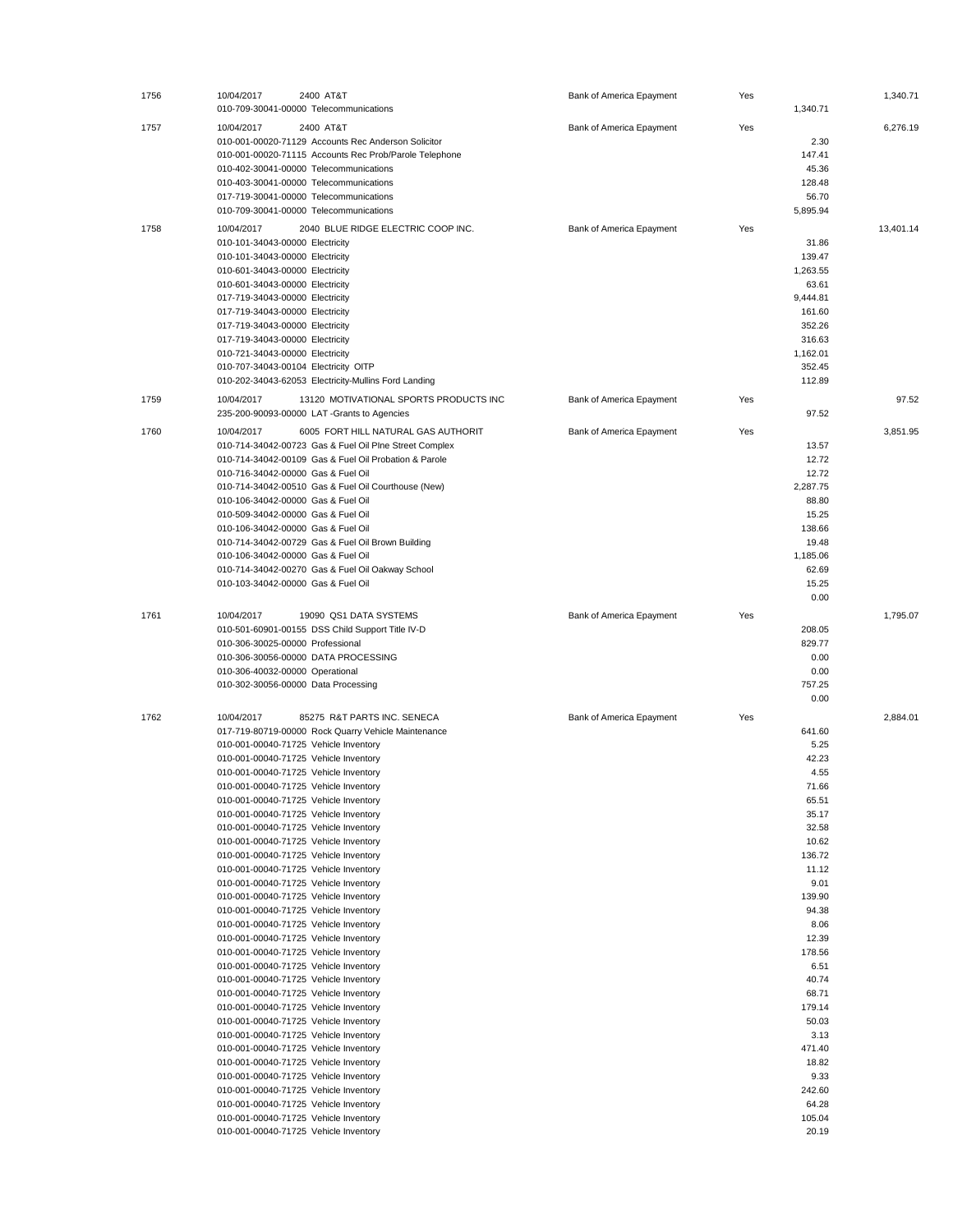| 1756 | 10/04/2017<br>2400 AT&T<br>010-709-30041-00000 Telecommunications                                                                                                                                                                                                                                                                                                                                                                                                                                                                                                                                                                                                                                                                                                                                                                                                                                                                                                                                                                                                                                                                                                                                                                                                                                                                     | Bank of America Epayment | Yes | 1,340.71                                                                                                                                                                                                                                                                    | 1,340.71  |
|------|---------------------------------------------------------------------------------------------------------------------------------------------------------------------------------------------------------------------------------------------------------------------------------------------------------------------------------------------------------------------------------------------------------------------------------------------------------------------------------------------------------------------------------------------------------------------------------------------------------------------------------------------------------------------------------------------------------------------------------------------------------------------------------------------------------------------------------------------------------------------------------------------------------------------------------------------------------------------------------------------------------------------------------------------------------------------------------------------------------------------------------------------------------------------------------------------------------------------------------------------------------------------------------------------------------------------------------------|--------------------------|-----|-----------------------------------------------------------------------------------------------------------------------------------------------------------------------------------------------------------------------------------------------------------------------------|-----------|
| 1757 | 2400 AT&T<br>10/04/2017<br>010-001-00020-71129 Accounts Rec Anderson Solicitor<br>010-001-00020-71115 Accounts Rec Prob/Parole Telephone<br>010-402-30041-00000 Telecommunications<br>010-403-30041-00000 Telecommunications                                                                                                                                                                                                                                                                                                                                                                                                                                                                                                                                                                                                                                                                                                                                                                                                                                                                                                                                                                                                                                                                                                          | Bank of America Epayment | Yes | 2.30<br>147.41<br>45.36<br>128.48                                                                                                                                                                                                                                           | 6,276.19  |
|      | 017-719-30041-00000 Telecommunications<br>010-709-30041-00000 Telecommunications                                                                                                                                                                                                                                                                                                                                                                                                                                                                                                                                                                                                                                                                                                                                                                                                                                                                                                                                                                                                                                                                                                                                                                                                                                                      |                          |     | 56.70<br>5,895.94                                                                                                                                                                                                                                                           |           |
| 1758 | 2040 BLUE RIDGE ELECTRIC COOP INC.<br>10/04/2017<br>010-101-34043-00000 Electricity<br>010-101-34043-00000 Electricity<br>010-601-34043-00000 Electricity<br>010-601-34043-00000 Electricity<br>017-719-34043-00000 Electricity<br>017-719-34043-00000 Electricity<br>017-719-34043-00000 Electricity<br>017-719-34043-00000 Electricity<br>010-721-34043-00000 Electricity<br>010-707-34043-00104 Electricity OITP<br>010-202-34043-62053 Electricity-Mullins Ford Landing                                                                                                                                                                                                                                                                                                                                                                                                                                                                                                                                                                                                                                                                                                                                                                                                                                                           | Bank of America Epayment | Yes | 31.86<br>139.47<br>1,263.55<br>63.61<br>9,444.81<br>161.60<br>352.26<br>316.63<br>1,162.01<br>352.45<br>112.89                                                                                                                                                              | 13,401.14 |
| 1759 | 10/04/2017<br>13120 MOTIVATIONAL SPORTS PRODUCTS INC<br>235-200-90093-00000 LAT-Grants to Agencies                                                                                                                                                                                                                                                                                                                                                                                                                                                                                                                                                                                                                                                                                                                                                                                                                                                                                                                                                                                                                                                                                                                                                                                                                                    | Bank of America Epayment | Yes | 97.52                                                                                                                                                                                                                                                                       | 97.52     |
| 1760 | 10/04/2017<br>6005 FORT HILL NATURAL GAS AUTHORIT<br>010-714-34042-00723 Gas & Fuel Oil Plne Street Complex<br>010-714-34042-00109 Gas & Fuel Oil Probation & Parole<br>010-716-34042-00000 Gas & Fuel Oil<br>010-714-34042-00510 Gas & Fuel Oil Courthouse (New)<br>010-106-34042-00000 Gas & Fuel Oil<br>010-509-34042-00000 Gas & Fuel Oil<br>010-106-34042-00000 Gas & Fuel Oil<br>010-714-34042-00729 Gas & Fuel Oil Brown Building<br>010-106-34042-00000 Gas & Fuel Oil<br>010-714-34042-00270 Gas & Fuel Oil Oakway School<br>010-103-34042-00000 Gas & Fuel Oil                                                                                                                                                                                                                                                                                                                                                                                                                                                                                                                                                                                                                                                                                                                                                              | Bank of America Epayment | Yes | 13.57<br>12.72<br>12.72<br>2,287.75<br>88.80<br>15.25<br>138.66<br>19.48<br>1,185.06<br>62.69<br>15.25<br>0.00                                                                                                                                                              | 3,851.95  |
| 1761 | 10/04/2017<br>19090 QS1 DATA SYSTEMS<br>010-501-60901-00155 DSS Child Support Title IV-D<br>010-306-30025-00000 Professional<br>010-306-30056-00000 DATA PROCESSING<br>010-306-40032-00000 Operational<br>010-302-30056-00000 Data Processing                                                                                                                                                                                                                                                                                                                                                                                                                                                                                                                                                                                                                                                                                                                                                                                                                                                                                                                                                                                                                                                                                         | Bank of America Epayment | Yes | 208.05<br>829.77<br>0.00<br>0.00<br>757.25<br>0.00                                                                                                                                                                                                                          | 1,795.07  |
| 1762 | 10/04/2017<br>85275 R&T PARTS INC. SENECA<br>017-719-80719-00000 Rock Quarry Vehicle Maintenance<br>010-001-00040-71725 Vehicle Inventory<br>010-001-00040-71725 Vehicle Inventory<br>010-001-00040-71725 Vehicle Inventory<br>010-001-00040-71725 Vehicle Inventory<br>010-001-00040-71725 Vehicle Inventory<br>010-001-00040-71725 Vehicle Inventory<br>010-001-00040-71725 Vehicle Inventory<br>010-001-00040-71725 Vehicle Inventory<br>010-001-00040-71725 Vehicle Inventory<br>010-001-00040-71725 Vehicle Inventory<br>010-001-00040-71725 Vehicle Inventory<br>010-001-00040-71725 Vehicle Inventory<br>010-001-00040-71725 Vehicle Inventory<br>010-001-00040-71725 Vehicle Inventory<br>010-001-00040-71725 Vehicle Inventory<br>010-001-00040-71725 Vehicle Inventory<br>010-001-00040-71725 Vehicle Inventory<br>010-001-00040-71725 Vehicle Inventory<br>010-001-00040-71725 Vehicle Inventory<br>010-001-00040-71725 Vehicle Inventory<br>010-001-00040-71725 Vehicle Inventory<br>010-001-00040-71725 Vehicle Inventory<br>010-001-00040-71725 Vehicle Inventory<br>010-001-00040-71725 Vehicle Inventory<br>010-001-00040-71725 Vehicle Inventory<br>010-001-00040-71725 Vehicle Inventory<br>010-001-00040-71725 Vehicle Inventory<br>010-001-00040-71725 Vehicle Inventory<br>010-001-00040-71725 Vehicle Inventory | Bank of America Epayment | Yes | 641.60<br>5.25<br>42.23<br>4.55<br>71.66<br>65.51<br>35.17<br>32.58<br>10.62<br>136.72<br>11.12<br>9.01<br>139.90<br>94.38<br>8.06<br>12.39<br>178.56<br>6.51<br>40.74<br>68.71<br>179.14<br>50.03<br>3.13<br>471.40<br>18.82<br>9.33<br>242.60<br>64.28<br>105.04<br>20.19 | 2,884.01  |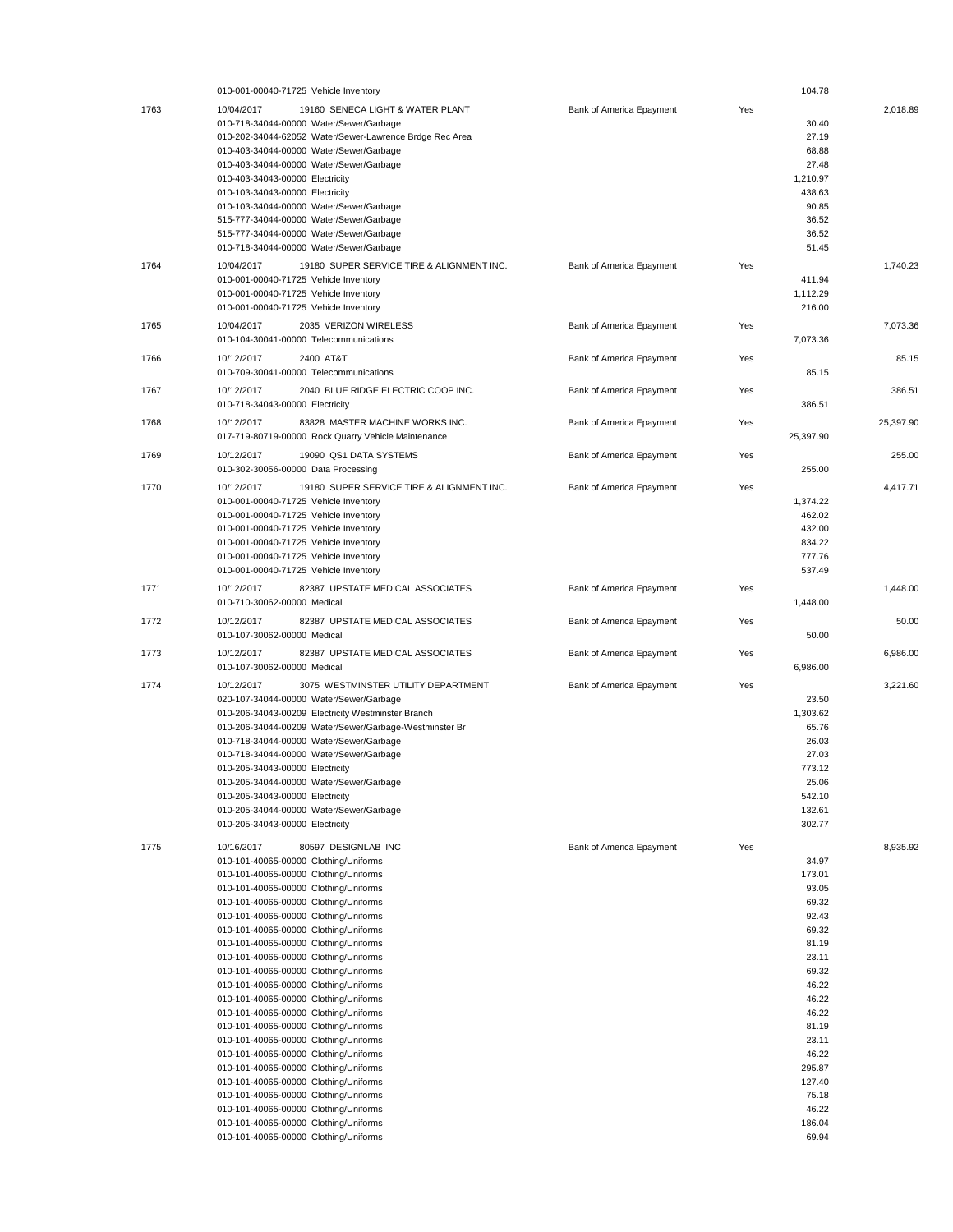|      | 010-001-00040-71725 Vehicle Inventory                                          |                                 |     | 104.78          |           |
|------|--------------------------------------------------------------------------------|---------------------------------|-----|-----------------|-----------|
| 1763 | 10/04/2017<br>19160 SENECA LIGHT & WATER PLANT                                 | Bank of America Epayment        | Yes |                 | 2,018.89  |
|      | 010-718-34044-00000 Water/Sewer/Garbage                                        |                                 |     | 30.40           |           |
|      | 010-202-34044-62052 Water/Sewer-Lawrence Brdge Rec Area                        |                                 |     | 27.19           |           |
|      | 010-403-34044-00000 Water/Sewer/Garbage                                        |                                 |     | 68.88           |           |
|      |                                                                                |                                 |     |                 |           |
|      | 010-403-34044-00000 Water/Sewer/Garbage                                        |                                 |     | 27.48           |           |
|      | 010-403-34043-00000 Electricity                                                |                                 |     | 1.210.97        |           |
|      | 010-103-34043-00000 Electricity                                                |                                 |     | 438.63          |           |
|      | 010-103-34044-00000 Water/Sewer/Garbage                                        |                                 |     | 90.85           |           |
|      | 515-777-34044-00000 Water/Sewer/Garbage                                        |                                 |     | 36.52           |           |
|      | 515-777-34044-00000 Water/Sewer/Garbage                                        |                                 |     | 36.52           |           |
|      | 010-718-34044-00000 Water/Sewer/Garbage                                        |                                 |     | 51.45           |           |
|      |                                                                                |                                 |     |                 |           |
| 1764 | 10/04/2017<br>19180 SUPER SERVICE TIRE & ALIGNMENT INC.                        | Bank of America Epayment        | Yes |                 | 1,740.23  |
|      | 010-001-00040-71725 Vehicle Inventory                                          |                                 |     | 411.94          |           |
|      | 010-001-00040-71725 Vehicle Inventory                                          |                                 |     | 1,112.29        |           |
|      | 010-001-00040-71725 Vehicle Inventory                                          |                                 |     | 216.00          |           |
|      | 10/04/2017<br>2035 VERIZON WIRELESS                                            |                                 | Yes |                 | 7,073.36  |
| 1765 |                                                                                | Bank of America Epayment        |     |                 |           |
|      | 010-104-30041-00000 Telecommunications                                         |                                 |     | 7,073.36        |           |
| 1766 | 10/12/2017<br>2400 AT&T                                                        | Bank of America Epayment        | Yes |                 | 85.15     |
|      | 010-709-30041-00000 Telecommunications                                         |                                 |     | 85.15           |           |
|      |                                                                                |                                 |     |                 |           |
| 1767 | 10/12/2017<br>2040 BLUE RIDGE ELECTRIC COOP INC.                               | Bank of America Epayment        | Yes |                 | 386.51    |
|      | 010-718-34043-00000 Electricity                                                |                                 |     | 386.51          |           |
| 1768 | 83828 MASTER MACHINE WORKS INC.<br>10/12/2017                                  | Bank of America Epayment        | Yes |                 | 25,397.90 |
|      | 017-719-80719-00000 Rock Quarry Vehicle Maintenance                            |                                 |     | 25,397.90       |           |
|      |                                                                                |                                 |     |                 |           |
| 1769 | 10/12/2017<br>19090 QS1 DATA SYSTEMS                                           | <b>Bank of America Epayment</b> | Yes |                 | 255.00    |
|      | 010-302-30056-00000 Data Processing                                            |                                 |     | 255.00          |           |
| 1770 | 10/12/2017<br>19180 SUPER SERVICE TIRE & ALIGNMENT INC.                        |                                 | Yes |                 | 4,417.71  |
|      |                                                                                | Bank of America Epayment        |     |                 |           |
|      | 010-001-00040-71725 Vehicle Inventory                                          |                                 |     | 1,374.22        |           |
|      | 010-001-00040-71725 Vehicle Inventory                                          |                                 |     | 462.02          |           |
|      | 010-001-00040-71725 Vehicle Inventory                                          |                                 |     | 432.00          |           |
|      | 010-001-00040-71725 Vehicle Inventory                                          |                                 |     | 834.22          |           |
|      | 010-001-00040-71725 Vehicle Inventory                                          |                                 |     | 777.76          |           |
|      | 010-001-00040-71725 Vehicle Inventory                                          |                                 |     | 537.49          |           |
|      |                                                                                |                                 |     |                 |           |
| 1771 | 82387 UPSTATE MEDICAL ASSOCIATES<br>10/12/2017                                 | Bank of America Epayment        | Yes |                 | 1,448.00  |
|      | 010-710-30062-00000 Medical                                                    |                                 |     | 1,448.00        |           |
| 1772 | 82387 UPSTATE MEDICAL ASSOCIATES<br>10/12/2017                                 | Bank of America Epayment        | Yes |                 | 50.00     |
|      | 010-107-30062-00000 Medical                                                    |                                 |     | 50.00           |           |
|      |                                                                                |                                 |     |                 |           |
| 1773 | 82387 UPSTATE MEDICAL ASSOCIATES<br>10/12/2017                                 | Bank of America Epayment        | Yes |                 | 6,986.00  |
|      | 010-107-30062-00000 Medical                                                    |                                 |     | 6,986.00        |           |
|      |                                                                                |                                 |     |                 |           |
|      |                                                                                |                                 |     |                 |           |
| 1774 | 3075 WESTMINSTER UTILITY DEPARTMENT<br>10/12/2017                              | Bank of America Epayment        | Yes |                 | 3,221.60  |
|      | 020-107-34044-00000 Water/Sewer/Garbage                                        |                                 |     | 23.50           |           |
|      | 010-206-34043-00209 Electricity Westminster Branch                             |                                 |     | 1,303.62        |           |
|      | 010-206-34044-00209 Water/Sewer/Garbage-Westminster Br                         |                                 |     | 65.76           |           |
|      | 010-718-34044-00000 Water/Sewer/Garbage                                        |                                 |     | 26.03           |           |
|      | 010-718-34044-00000 Water/Sewer/Garbage                                        |                                 |     | 27.03           |           |
|      | 010-205-34043-00000 Electricity                                                |                                 |     | 773.12          |           |
|      |                                                                                |                                 |     | 25.06           |           |
|      | 010-205-34044-00000 Water/Sewer/Garbage                                        |                                 |     |                 |           |
|      | 010-205-34043-00000 Electricity                                                |                                 |     | 542.10          |           |
|      | 010-205-34044-00000 Water/Sewer/Garbage                                        |                                 |     | 132.61          |           |
|      | 010-205-34043-00000 Electricity                                                |                                 |     | 302.77          |           |
|      | 10/16/2017                                                                     |                                 |     |                 |           |
| 1775 | 80597 DESIGNLAB INC                                                            | Bank of America Epayment        | Yes |                 | 8,935.92  |
|      | 010-101-40065-00000 Clothing/Uniforms                                          |                                 |     | 34.97           |           |
|      | 010-101-40065-00000 Clothing/Uniforms                                          |                                 |     | 173.01          |           |
|      | 010-101-40065-00000 Clothing/Uniforms                                          |                                 |     | 93.05           |           |
|      | 010-101-40065-00000 Clothing/Uniforms                                          |                                 |     | 69.32           |           |
|      | 010-101-40065-00000 Clothing/Uniforms                                          |                                 |     | 92.43           |           |
|      | 010-101-40065-00000 Clothing/Uniforms                                          |                                 |     | 69.32           |           |
|      | 010-101-40065-00000 Clothing/Uniforms                                          |                                 |     | 81.19           |           |
|      | 010-101-40065-00000 Clothing/Uniforms                                          |                                 |     | 23.11           |           |
|      |                                                                                |                                 |     |                 |           |
|      | 010-101-40065-00000 Clothing/Uniforms                                          |                                 |     | 69.32           |           |
|      | 010-101-40065-00000 Clothing/Uniforms                                          |                                 |     | 46.22           |           |
|      | 010-101-40065-00000 Clothing/Uniforms                                          |                                 |     | 46.22           |           |
|      | 010-101-40065-00000 Clothing/Uniforms                                          |                                 |     | 46.22           |           |
|      | 010-101-40065-00000 Clothing/Uniforms                                          |                                 |     | 81.19           |           |
|      | 010-101-40065-00000 Clothing/Uniforms                                          |                                 |     | 23.11           |           |
|      | 010-101-40065-00000 Clothing/Uniforms                                          |                                 |     | 46.22           |           |
|      | 010-101-40065-00000 Clothing/Uniforms                                          |                                 |     | 295.87          |           |
|      | 010-101-40065-00000 Clothing/Uniforms                                          |                                 |     | 127.40          |           |
|      |                                                                                |                                 |     |                 |           |
|      | 010-101-40065-00000 Clothing/Uniforms                                          |                                 |     | 75.18           |           |
|      | 010-101-40065-00000 Clothing/Uniforms                                          |                                 |     | 46.22           |           |
|      | 010-101-40065-00000 Clothing/Uniforms<br>010-101-40065-00000 Clothing/Uniforms |                                 |     | 186.04<br>69.94 |           |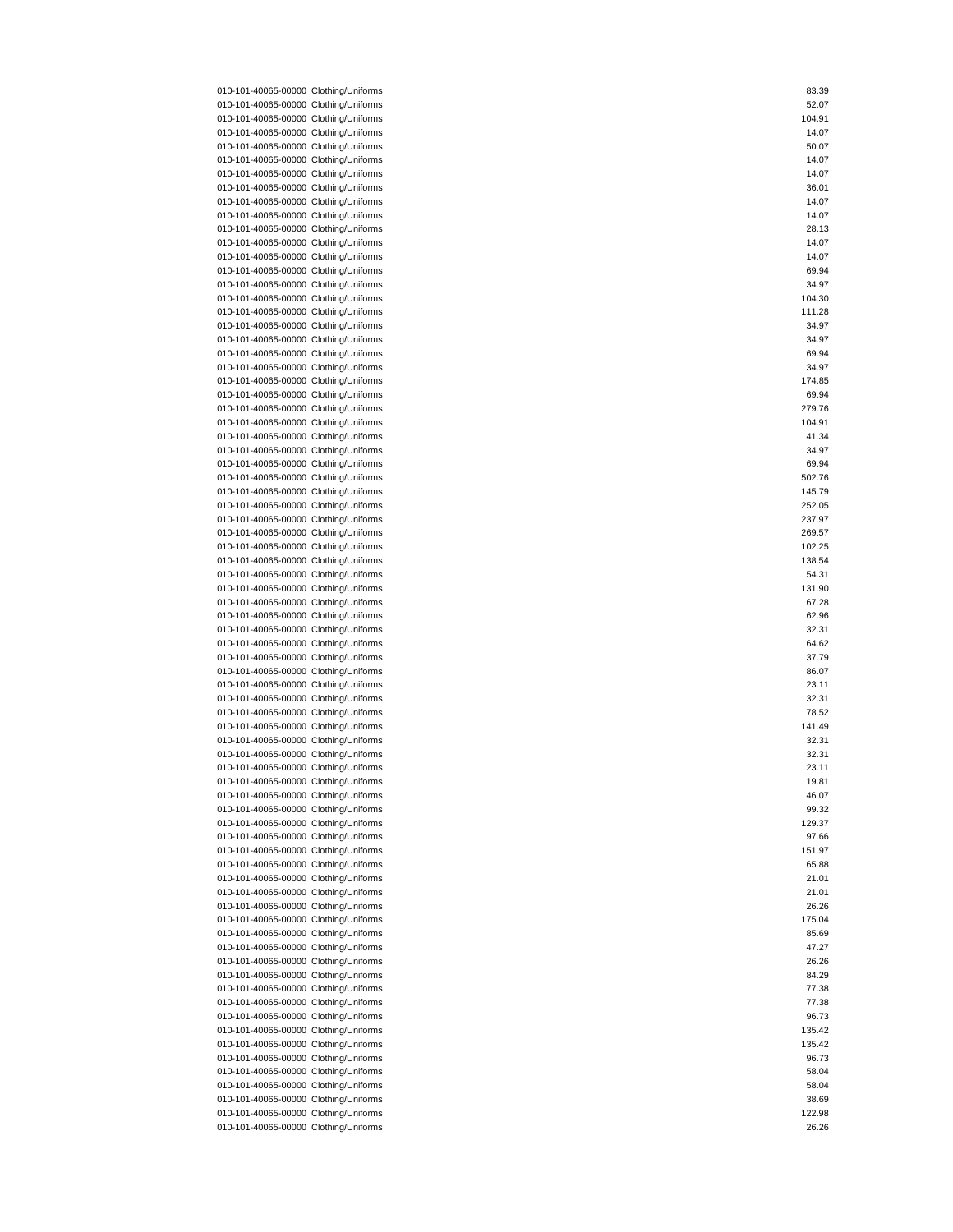| 010-101-40065-00000 Clothing/Uniforms | 83.39  |
|---------------------------------------|--------|
| 010-101-40065-00000 Clothing/Uniforms | 52.07  |
|                                       |        |
| 010-101-40065-00000 Clothing/Uniforms | 104.91 |
| 010-101-40065-00000 Clothing/Uniforms | 14.07  |
| 010-101-40065-00000 Clothing/Uniforms | 50.07  |
|                                       |        |
| 010-101-40065-00000 Clothing/Uniforms | 14.07  |
| 010-101-40065-00000 Clothing/Uniforms | 14.07  |
| 010-101-40065-00000 Clothing/Uniforms | 36.01  |
|                                       |        |
| 010-101-40065-00000 Clothing/Uniforms | 14.07  |
| 010-101-40065-00000 Clothing/Uniforms | 14.07  |
| 010-101-40065-00000 Clothing/Uniforms | 28.13  |
| 010-101-40065-00000 Clothing/Uniforms | 14.07  |
|                                       |        |
| 010-101-40065-00000 Clothing/Uniforms | 14.07  |
| 010-101-40065-00000 Clothing/Uniforms | 69.94  |
| 010-101-40065-00000 Clothing/Uniforms | 34.97  |
|                                       |        |
| 010-101-40065-00000 Clothing/Uniforms | 104.30 |
| 010-101-40065-00000 Clothing/Uniforms | 111.28 |
| 010-101-40065-00000 Clothing/Uniforms | 34.97  |
|                                       |        |
| 010-101-40065-00000 Clothing/Uniforms | 34.97  |
| 010-101-40065-00000 Clothing/Uniforms | 69.94  |
| 010-101-40065-00000 Clothing/Uniforms | 34.97  |
| 010-101-40065-00000 Clothing/Uniforms | 174.85 |
|                                       |        |
| 010-101-40065-00000 Clothing/Uniforms | 69.94  |
| 010-101-40065-00000 Clothing/Uniforms | 279.76 |
| 010-101-40065-00000 Clothing/Uniforms | 104.91 |
|                                       |        |
| 010-101-40065-00000 Clothing/Uniforms | 41.34  |
| 010-101-40065-00000 Clothing/Uniforms | 34.97  |
| 010-101-40065-00000 Clothing/Uniforms | 69.94  |
| 010-101-40065-00000 Clothing/Uniforms | 502.76 |
|                                       |        |
| 010-101-40065-00000 Clothing/Uniforms | 145.79 |
| 010-101-40065-00000 Clothing/Uniforms | 252.05 |
| 010-101-40065-00000 Clothing/Uniforms | 237.97 |
|                                       |        |
| 010-101-40065-00000 Clothing/Uniforms | 269.57 |
| 010-101-40065-00000 Clothing/Uniforms | 102.25 |
| 010-101-40065-00000 Clothing/Uniforms | 138.54 |
|                                       |        |
| 010-101-40065-00000 Clothing/Uniforms | 54.31  |
| 010-101-40065-00000 Clothing/Uniforms | 131.90 |
| 010-101-40065-00000 Clothing/Uniforms | 67.28  |
| 010-101-40065-00000 Clothing/Uniforms | 62.96  |
|                                       |        |
| 010-101-40065-00000 Clothing/Uniforms | 32.31  |
| 010-101-40065-00000 Clothing/Uniforms | 64.62  |
| 010-101-40065-00000 Clothing/Uniforms | 37.79  |
|                                       |        |
| 010-101-40065-00000 Clothing/Uniforms | 86.07  |
| 010-101-40065-00000 Clothing/Uniforms | 23.11  |
| 010-101-40065-00000 Clothing/Uniforms | 32.31  |
|                                       |        |
| 010-101-40065-00000 Clothing/Uniforms | 78.52  |
| 010-101-40065-00000 Clothing/Uniforms | 141.49 |
| 010-101-40065-00000 Clothing/Uniforms | 32.31  |
| 010-101-40065-00000 Clothing/Uniforms | 32.31  |
|                                       |        |
| 010-101-40065-00000 Clothing/Uniforms | 23.11  |
| 010-101-40065-00000 Clothing/Uniforms | 19.81  |
| 010-101-40065-00000 Clothing/Uniforms | 46.07  |
|                                       |        |
| 010-101-40065-00000 Clothing/Uniforms | 99.32  |
| 010-101-40065-00000 Clothing/Uniforms | 129.37 |
| 010-101-40065-00000 Clothing/Uniforms | 97.66  |
| 010-101-40065-00000 Clothing/Uniforms | 151.97 |
|                                       |        |
| 010-101-40065-00000 Clothing/Uniforms | 65.88  |
| 010-101-40065-00000 Clothing/Uniforms | 21.01  |
| 010-101-40065-00000 Clothing/Uniforms | 21.01  |
|                                       |        |
| 010-101-40065-00000 Clothing/Uniforms | 26.26  |
| 010-101-40065-00000 Clothing/Uniforms | 175.04 |
| 010-101-40065-00000 Clothing/Uniforms | 85.69  |
|                                       |        |
| 010-101-40065-00000 Clothing/Uniforms | 47.27  |
| 010-101-40065-00000 Clothing/Uniforms | 26.26  |
| 010-101-40065-00000 Clothing/Uniforms | 84.29  |
| 010-101-40065-00000 Clothing/Uniforms | 77.38  |
|                                       |        |
| 010-101-40065-00000 Clothing/Uniforms | 77.38  |
| 010-101-40065-00000 Clothing/Uniforms | 96.73  |
| 010-101-40065-00000 Clothing/Uniforms | 135.42 |
|                                       |        |
| 010-101-40065-00000 Clothing/Uniforms | 135.42 |
| 010-101-40065-00000 Clothing/Uniforms | 96.73  |
| 010-101-40065-00000 Clothing/Uniforms | 58.04  |
|                                       |        |
| 010-101-40065-00000 Clothing/Uniforms | 58.04  |
| 010-101-40065-00000 Clothing/Uniforms | 38.69  |
| 010-101-40065-00000 Clothing/Uniforms | 122.98 |
|                                       |        |
| 010-101-40065-00000 Clothing/Uniforms | 26.26  |

|   | 83.39           |            |   |
|---|-----------------|------------|---|
|   | 52.07           |            |   |
| 1 | 04.91           |            |   |
|   | 14.07           |            |   |
|   | 50.07           |            |   |
|   | 14.07           |            |   |
|   | 14.07           |            |   |
|   |                 |            |   |
|   | 36.01           |            |   |
|   | 14.07           |            |   |
|   | 14.07           |            |   |
|   | 28.13           |            |   |
|   | 14.07           |            |   |
|   | 14.07           |            |   |
|   | 69.94           |            |   |
|   | 34.97           |            |   |
|   | 104.30          |            |   |
|   | 111.28          |            |   |
|   | 34.97           |            |   |
|   | 34.97           |            |   |
|   |                 |            |   |
|   | 69.94           |            |   |
|   | 34.97           |            |   |
|   | 174.85          |            |   |
|   | 69.94           |            |   |
|   | 279.76          |            |   |
|   | 104.91          |            |   |
|   | 41.34           |            |   |
|   | 34.97           |            |   |
|   | 69.94           |            |   |
|   | 502.76          |            |   |
|   | 145.79          |            |   |
|   | 252.05          |            |   |
|   |                 |            |   |
|   | 237.97          |            |   |
|   | 269.57          |            |   |
|   | 102.25          |            |   |
|   | 138.54          |            |   |
|   | 54.31           |            |   |
|   | 131.90          |            |   |
|   | 67.28           |            |   |
|   |                 |            |   |
|   | 62.96           |            |   |
|   | 32.31           |            |   |
|   |                 |            |   |
|   | 64.62           |            |   |
|   | 37.79           |            |   |
|   | 86.07           |            |   |
|   | 23.11           |            |   |
|   | 32.31           |            |   |
|   | 78.52           |            |   |
|   | 141.49          |            |   |
|   | 32.31           |            |   |
|   | 32.31           |            |   |
|   | 23.11           |            |   |
|   |                 | $\epsilon$ | 1 |
|   | 46.07           |            |   |
|   | 99.32           |            |   |
|   | 129.37          |            |   |
|   | 97.66           |            |   |
|   |                 |            |   |
|   | 151.97<br>65.88 |            |   |
|   |                 |            |   |
|   | 21.01           |            |   |
|   | 21.01           |            |   |
|   | 26.26           |            |   |
|   | 175.04          |            |   |
|   | 85.69           |            |   |
|   | 47.27           |            |   |
|   | 26.26           |            |   |
|   | 84.29           |            |   |
|   | 77.38           |            |   |
|   | 77.38           |            |   |
|   | 96.73           |            |   |
|   | 135.42          |            |   |
|   | 135.42          |            |   |
|   | 96.73           |            |   |
|   |                 |            |   |
|   | 58.04           |            |   |
|   | 58.04           |            |   |
|   | 38.69           |            |   |
| 1 | 22.98<br>26.26  |            |   |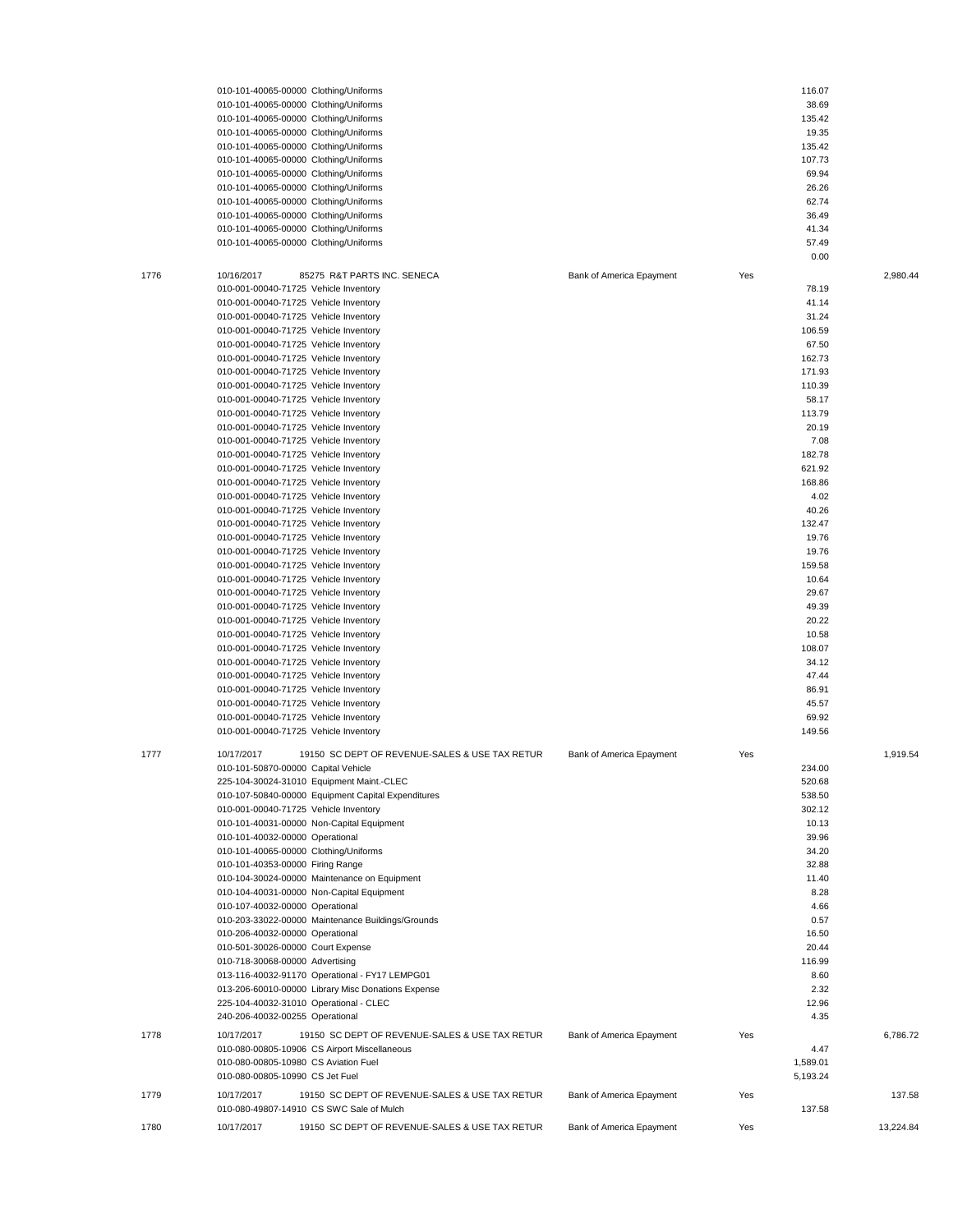|      | 010-101-40065-00000 Clothing/Uniforms                        |                          |     | 116.07   |           |
|------|--------------------------------------------------------------|--------------------------|-----|----------|-----------|
|      | 010-101-40065-00000 Clothing/Uniforms                        |                          |     | 38.69    |           |
|      | 010-101-40065-00000 Clothing/Uniforms                        |                          |     | 135.42   |           |
|      | 010-101-40065-00000 Clothing/Uniforms                        |                          |     | 19.35    |           |
|      |                                                              |                          |     | 135.42   |           |
|      | 010-101-40065-00000 Clothing/Uniforms                        |                          |     |          |           |
|      | 010-101-40065-00000 Clothing/Uniforms                        |                          |     | 107.73   |           |
|      | 010-101-40065-00000 Clothing/Uniforms                        |                          |     | 69.94    |           |
|      | 010-101-40065-00000 Clothing/Uniforms                        |                          |     | 26.26    |           |
|      | 010-101-40065-00000 Clothing/Uniforms                        |                          |     | 62.74    |           |
|      | 010-101-40065-00000 Clothing/Uniforms                        |                          |     | 36.49    |           |
|      | 010-101-40065-00000 Clothing/Uniforms                        |                          |     | 41.34    |           |
|      | 010-101-40065-00000 Clothing/Uniforms                        |                          |     | 57.49    |           |
|      |                                                              |                          |     | 0.00     |           |
|      |                                                              |                          |     |          |           |
| 1776 | 10/16/2017<br>85275 R&T PARTS INC. SENECA                    | Bank of America Epayment | Yes |          | 2,980.44  |
|      | 010-001-00040-71725 Vehicle Inventory                        |                          |     | 78.19    |           |
|      | 010-001-00040-71725 Vehicle Inventory                        |                          |     | 41.14    |           |
|      | 010-001-00040-71725 Vehicle Inventory                        |                          |     | 31.24    |           |
|      | 010-001-00040-71725 Vehicle Inventory                        |                          |     | 106.59   |           |
|      | 010-001-00040-71725 Vehicle Inventory                        |                          |     | 67.50    |           |
|      | 010-001-00040-71725 Vehicle Inventory                        |                          |     | 162.73   |           |
|      | 010-001-00040-71725 Vehicle Inventory                        |                          |     | 171.93   |           |
|      |                                                              |                          |     |          |           |
|      | 010-001-00040-71725 Vehicle Inventory                        |                          |     | 110.39   |           |
|      | 010-001-00040-71725 Vehicle Inventory                        |                          |     | 58.17    |           |
|      | 010-001-00040-71725 Vehicle Inventory                        |                          |     | 113.79   |           |
|      | 010-001-00040-71725 Vehicle Inventory                        |                          |     | 20.19    |           |
|      | 010-001-00040-71725 Vehicle Inventory                        |                          |     | 7.08     |           |
|      | 010-001-00040-71725 Vehicle Inventory                        |                          |     | 182.78   |           |
|      | 010-001-00040-71725 Vehicle Inventory                        |                          |     | 621.92   |           |
|      | 010-001-00040-71725 Vehicle Inventory                        |                          |     | 168.86   |           |
|      | 010-001-00040-71725 Vehicle Inventory                        |                          |     | 4.02     |           |
|      | 010-001-00040-71725 Vehicle Inventory                        |                          |     | 40.26    |           |
|      |                                                              |                          |     |          |           |
|      | 010-001-00040-71725 Vehicle Inventory                        |                          |     | 132.47   |           |
|      | 010-001-00040-71725 Vehicle Inventory                        |                          |     | 19.76    |           |
|      | 010-001-00040-71725 Vehicle Inventory                        |                          |     | 19.76    |           |
|      | 010-001-00040-71725 Vehicle Inventory                        |                          |     | 159.58   |           |
|      | 010-001-00040-71725 Vehicle Inventory                        |                          |     | 10.64    |           |
|      | 010-001-00040-71725 Vehicle Inventory                        |                          |     | 29.67    |           |
|      | 010-001-00040-71725 Vehicle Inventory                        |                          |     | 49.39    |           |
|      | 010-001-00040-71725 Vehicle Inventory                        |                          |     | 20.22    |           |
|      | 010-001-00040-71725 Vehicle Inventory                        |                          |     | 10.58    |           |
|      |                                                              |                          |     |          |           |
|      | 010-001-00040-71725 Vehicle Inventory                        |                          |     | 108.07   |           |
|      | 010-001-00040-71725 Vehicle Inventory                        |                          |     | 34.12    |           |
|      | 010-001-00040-71725 Vehicle Inventory                        |                          |     | 47.44    |           |
|      | 010-001-00040-71725 Vehicle Inventory                        |                          |     | 86.91    |           |
|      | 010-001-00040-71725 Vehicle Inventory                        |                          |     | 45.57    |           |
|      | 010-001-00040-71725 Vehicle Inventory                        |                          |     | 69.92    |           |
|      | 010-001-00040-71725 Vehicle Inventory                        |                          |     | 149.56   |           |
|      |                                                              |                          |     |          |           |
| 1777 | 10/17/2017<br>19150 SC DEPT OF REVENUE-SALES & USE TAX RETUR | Bank of America Epayment | Yes |          | 1,919.54  |
|      | 010-101-50870-00000 Capital Vehicle                          |                          |     | 234.00   |           |
|      | 225-104-30024-31010 Equipment Maint.-CLEC                    |                          |     | 520.68   |           |
|      | 010-107-50840-00000 Equipment Capital Expenditures           |                          |     | 538.50   |           |
|      | 010-001-00040-71725 Vehicle Inventory                        |                          |     |          |           |
|      |                                                              |                          |     | 302.12   |           |
|      | 010-101-40031-00000 Non-Capital Equipment                    |                          |     | 10.13    |           |
|      | 010-101-40032-00000 Operational                              |                          |     | 39.96    |           |
|      | 010-101-40065-00000 Clothing/Uniforms                        |                          |     | 34.20    |           |
|      | 010-101-40353-00000 Firing Range                             |                          |     | 32.88    |           |
|      | 010-104-30024-00000 Maintenance on Equipment                 |                          |     | 11.40    |           |
|      | 010-104-40031-00000 Non-Capital Equipment                    |                          |     | 8.28     |           |
|      | 010-107-40032-00000 Operational                              |                          |     | 4.66     |           |
|      | 010-203-33022-00000 Maintenance Buildings/Grounds            |                          |     | 0.57     |           |
|      | 010-206-40032-00000 Operational                              |                          |     | 16.50    |           |
|      |                                                              |                          |     |          |           |
|      | 010-501-30026-00000 Court Expense                            |                          |     | 20.44    |           |
|      | 010-718-30068-00000 Advertising                              |                          |     | 116.99   |           |
|      | 013-116-40032-91170 Operational - FY17 LEMPG01               |                          |     | 8.60     |           |
|      | 013-206-60010-00000 Library Misc Donations Expense           |                          |     | 2.32     |           |
|      | 225-104-40032-31010 Operational - CLEC                       |                          |     | 12.96    |           |
|      | 240-206-40032-00255 Operational                              |                          |     | 4.35     |           |
|      |                                                              |                          |     |          |           |
| 1778 | 10/17/2017<br>19150 SC DEPT OF REVENUE-SALES & USE TAX RETUR | Bank of America Epayment | Yes |          | 6,786.72  |
|      | 010-080-00805-10906 CS Airport Miscellaneous                 |                          |     | 4.47     |           |
|      | 010-080-00805-10980 CS Aviation Fuel                         |                          |     | 1,589.01 |           |
|      | 010-080-00805-10990 CS Jet Fuel                              |                          |     | 5,193.24 |           |
| 1779 | 10/17/2017<br>19150 SC DEPT OF REVENUE-SALES & USE TAX RETUR | Bank of America Epayment | Yes |          | 137.58    |
|      | 010-080-49807-14910 CS SWC Sale of Mulch                     |                          |     | 137.58   |           |
|      |                                                              |                          |     |          |           |
| 1780 | 19150 SC DEPT OF REVENUE-SALES & USE TAX RETUR<br>10/17/2017 | Bank of America Epayment | Yes |          | 13,224.84 |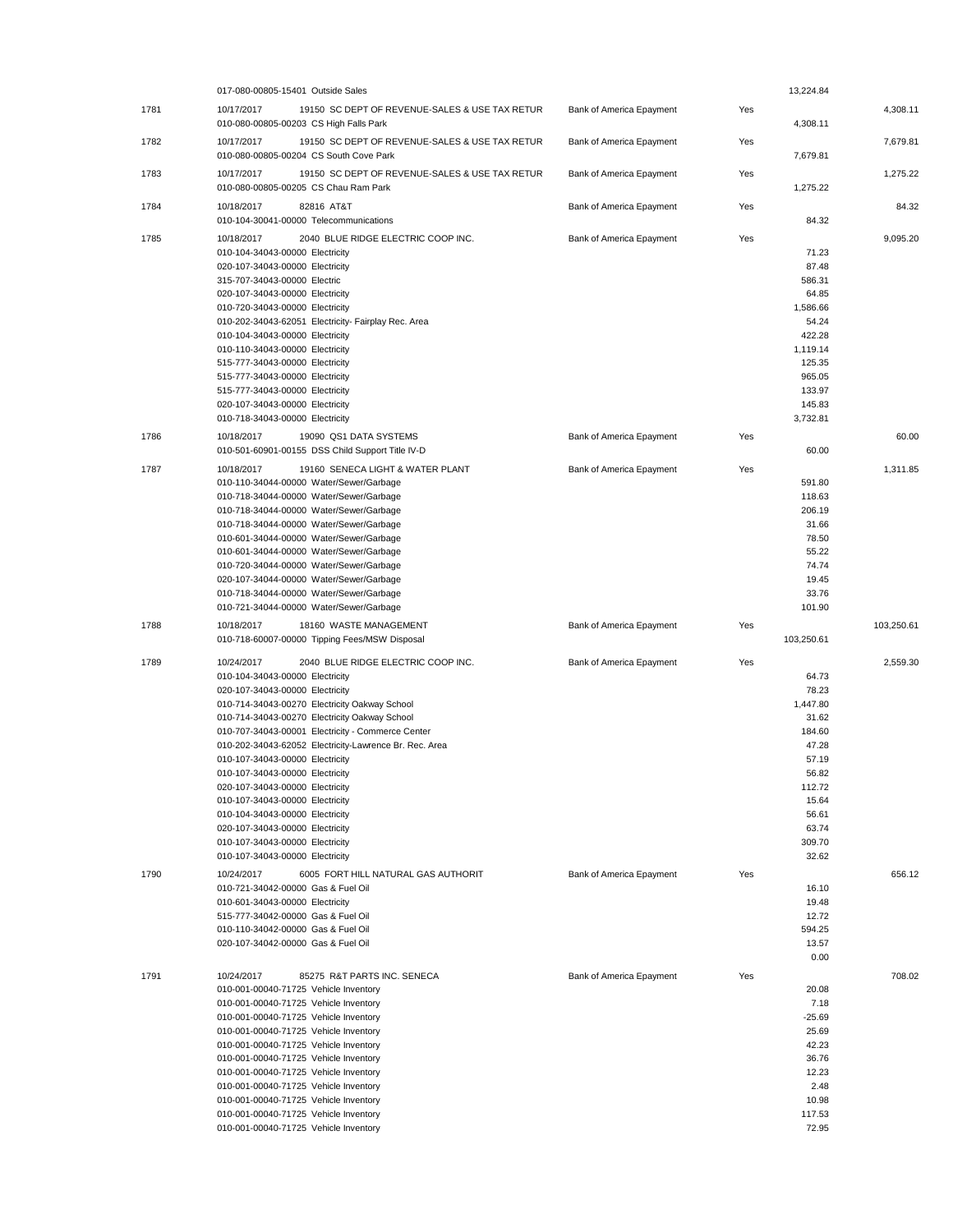|      | 017-080-00805-15401 Outside Sales                                                                      |                          |     | 13,224.84        |            |
|------|--------------------------------------------------------------------------------------------------------|--------------------------|-----|------------------|------------|
| 1781 | 10/17/2017<br>19150 SC DEPT OF REVENUE-SALES & USE TAX RETUR<br>010-080-00805-00203 CS High Falls Park | Bank of America Epayment | Yes | 4,308.11         | 4,308.11   |
| 1782 | 10/17/2017<br>19150 SC DEPT OF REVENUE-SALES & USE TAX RETUR<br>010-080-00805-00204 CS South Cove Park | Bank of America Epayment | Yes | 7,679.81         | 7,679.81   |
| 1783 | 10/17/2017<br>19150 SC DEPT OF REVENUE-SALES & USE TAX RETUR<br>010-080-00805-00205 CS Chau Ram Park   | Bank of America Epayment | Yes | 1,275.22         | 1.275.22   |
| 1784 | 10/18/2017<br>82816 AT&T<br>010-104-30041-00000 Telecommunications                                     | Bank of America Epayment | Yes | 84.32            | 84.32      |
| 1785 | 10/18/2017<br>2040 BLUE RIDGE ELECTRIC COOP INC.                                                       | Bank of America Epayment | Yes |                  | 9,095.20   |
|      | 010-104-34043-00000 Electricity                                                                        |                          |     | 71.23            |            |
|      | 020-107-34043-00000 Electricity                                                                        |                          |     | 87.48            |            |
|      | 315-707-34043-00000 Electric<br>020-107-34043-00000 Electricity                                        |                          |     | 586.31<br>64.85  |            |
|      | 010-720-34043-00000 Electricity                                                                        |                          |     | 1,586.66         |            |
|      | 010-202-34043-62051 Electricity- Fairplay Rec. Area                                                    |                          |     | 54.24            |            |
|      | 010-104-34043-00000 Electricity                                                                        |                          |     | 422.28           |            |
|      | 010-110-34043-00000 Electricity                                                                        |                          |     | 1,119.14         |            |
|      | 515-777-34043-00000 Electricity                                                                        |                          |     | 125.35           |            |
|      | 515-777-34043-00000 Electricity                                                                        |                          |     | 965.05<br>133.97 |            |
|      | 515-777-34043-00000 Electricity<br>020-107-34043-00000 Electricity                                     |                          |     | 145.83           |            |
|      | 010-718-34043-00000 Electricity                                                                        |                          |     | 3,732.81         |            |
| 1786 | 10/18/2017<br>19090 QS1 DATA SYSTEMS                                                                   | Bank of America Epayment | Yes |                  | 60.00      |
|      | 010-501-60901-00155 DSS Child Support Title IV-D                                                       |                          |     | 60.00            |            |
| 1787 | 10/18/2017<br>19160 SENECA LIGHT & WATER PLANT                                                         | Bank of America Epayment | Yes |                  | 1,311.85   |
|      | 010-110-34044-00000 Water/Sewer/Garbage                                                                |                          |     | 591.80           |            |
|      | 010-718-34044-00000 Water/Sewer/Garbage                                                                |                          |     | 118.63           |            |
|      | 010-718-34044-00000 Water/Sewer/Garbage                                                                |                          |     | 206.19           |            |
|      | 010-718-34044-00000 Water/Sewer/Garbage                                                                |                          |     | 31.66            |            |
|      | 010-601-34044-00000 Water/Sewer/Garbage                                                                |                          |     | 78.50            |            |
|      | 010-601-34044-00000 Water/Sewer/Garbage                                                                |                          |     | 55.22<br>74.74   |            |
|      | 010-720-34044-00000 Water/Sewer/Garbage<br>020-107-34044-00000 Water/Sewer/Garbage                     |                          |     | 19.45            |            |
|      | 010-718-34044-00000 Water/Sewer/Garbage                                                                |                          |     | 33.76            |            |
|      | 010-721-34044-00000 Water/Sewer/Garbage                                                                |                          |     | 101.90           |            |
|      |                                                                                                        |                          |     |                  |            |
| 1788 | 10/18/2017<br>18160 WASTE MANAGEMENT<br>010-718-60007-00000 Tipping Fees/MSW Disposal                  | Bank of America Epayment | Yes | 103,250.61       | 103,250.61 |
| 1789 | 10/24/2017<br>2040 BLUE RIDGE ELECTRIC COOP INC.                                                       | Bank of America Epayment | Yes |                  | 2,559.30   |
|      | 010-104-34043-00000 Electricity                                                                        |                          |     | 64.73            |            |
|      | 020-107-34043-00000 Electricity                                                                        |                          |     | 78.23            |            |
|      | 010-714-34043-00270 Electricity Oakway School                                                          |                          |     | 1,447.80         |            |
|      | 010-714-34043-00270 Electricity Oakway School                                                          |                          |     | 31.62            |            |
|      | 010-707-34043-00001 Electricity - Commerce Center                                                      |                          |     | 184.60           |            |
|      | 010-202-34043-62052 Electricity-Lawrence Br. Rec. Area<br>010-107-34043-00000 Electricity              |                          |     | 47.28<br>57.19   |            |
|      | 010-107-34043-00000 Electricity                                                                        |                          |     | 56.82            |            |
|      | 020-107-34043-00000 Electricity                                                                        |                          |     | 112.72           |            |
|      | 010-107-34043-00000 Electricity                                                                        |                          |     | 15.64            |            |
|      | 010-104-34043-00000 Electricity                                                                        |                          |     | 56.61            |            |
|      | 020-107-34043-00000 Electricity<br>010-107-34043-00000 Electricity                                     |                          |     | 63.74<br>309.70  |            |
|      | 010-107-34043-00000 Electricity                                                                        |                          |     | 32.62            |            |
| 1790 | 10/24/2017<br>6005 FORT HILL NATURAL GAS AUTHORIT                                                      | Bank of America Epayment | Yes |                  | 656.12     |
|      | 010-721-34042-00000 Gas & Fuel Oil                                                                     |                          |     | 16.10            |            |
|      | 010-601-34043-00000 Electricity                                                                        |                          |     | 19.48            |            |
|      | 515-777-34042-00000 Gas & Fuel Oil                                                                     |                          |     | 12.72            |            |
|      | 010-110-34042-00000 Gas & Fuel Oil                                                                     |                          |     | 594.25           |            |
|      | 020-107-34042-00000 Gas & Fuel Oil                                                                     |                          |     | 13.57<br>0.00    |            |
|      | 10/24/2017<br>85275 R&T PARTS INC. SENECA                                                              |                          | Yes |                  | 708.02     |
| 1791 | 010-001-00040-71725 Vehicle Inventory                                                                  | Bank of America Epayment |     | 20.08            |            |
|      | 010-001-00040-71725 Vehicle Inventory                                                                  |                          |     | 7.18             |            |
|      | 010-001-00040-71725 Vehicle Inventory                                                                  |                          |     | $-25.69$         |            |
|      | 010-001-00040-71725 Vehicle Inventory                                                                  |                          |     | 25.69            |            |
|      | 010-001-00040-71725 Vehicle Inventory                                                                  |                          |     | 42.23            |            |
|      | 010-001-00040-71725 Vehicle Inventory<br>010-001-00040-71725 Vehicle Inventory                         |                          |     | 36.76<br>12.23   |            |
|      | 010-001-00040-71725 Vehicle Inventory                                                                  |                          |     | 2.48             |            |
|      | 010-001-00040-71725 Vehicle Inventory                                                                  |                          |     | 10.98            |            |
|      | 010-001-00040-71725 Vehicle Inventory<br>010-001-00040-71725 Vehicle Inventory                         |                          |     | 117.53<br>72.95  |            |